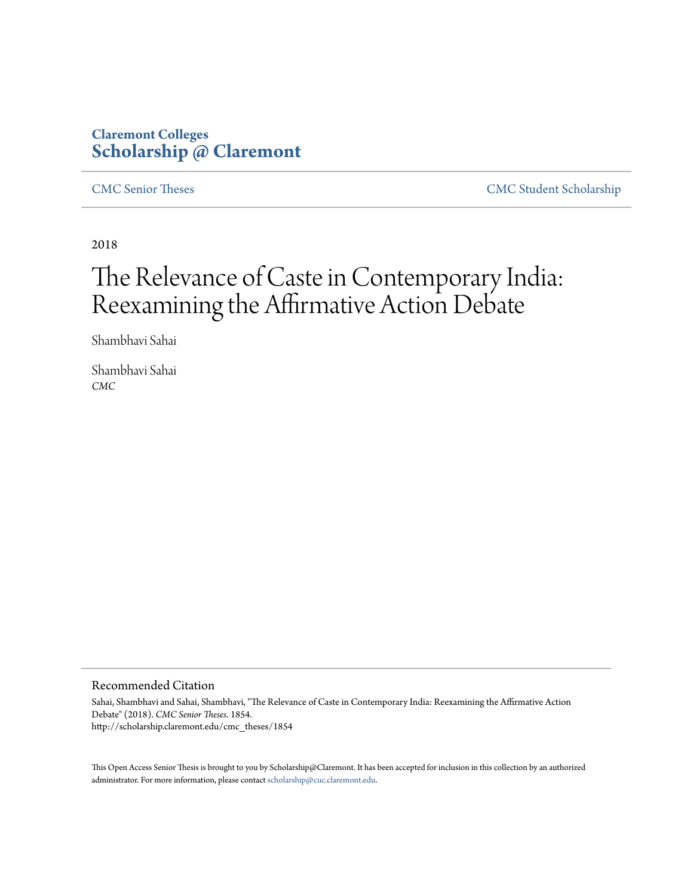### **Claremont Colleges [Scholarship @ Claremont](http://scholarship.claremont.edu)**

[CMC Senior Theses](http://scholarship.claremont.edu/cmc_theses) [CMC Student Scholarship](http://scholarship.claremont.edu/cmc_student)

2018

# The Relevance of Caste in Contemporary India: Reexamining the Affirmative Action Debate

Shambhavi Sahai

Shambhavi Sahai *CMC*

#### Recommended Citation

Sahai, Shambhavi and Sahai, Shambhavi, "The Relevance of Caste in Contemporary India: Reexamining the Affirmative Action Debate" (2018). *CMC Senior Theses*. 1854. http://scholarship.claremont.edu/cmc\_theses/1854

This Open Access Senior Thesis is brought to you by Scholarship@Claremont. It has been accepted for inclusion in this collection by an authorized administrator. For more information, please contact [scholarship@cuc.claremont.edu.](mailto:scholarship@cuc.claremont.edu)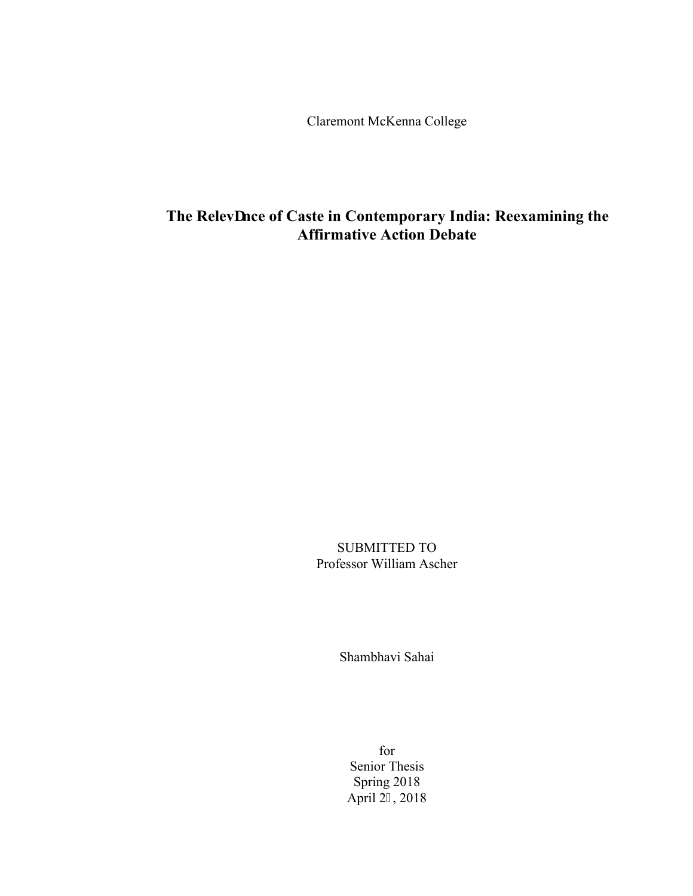Claremont McKenna College

## The Relevcnce of Caste in Contemporary India: Reexamining the **Affirmative Action Debate**

SUBMITTED TO Professor William Ascher

Shambhavi Sahai

for Senior Thesis Spring 2018 April 25, 2018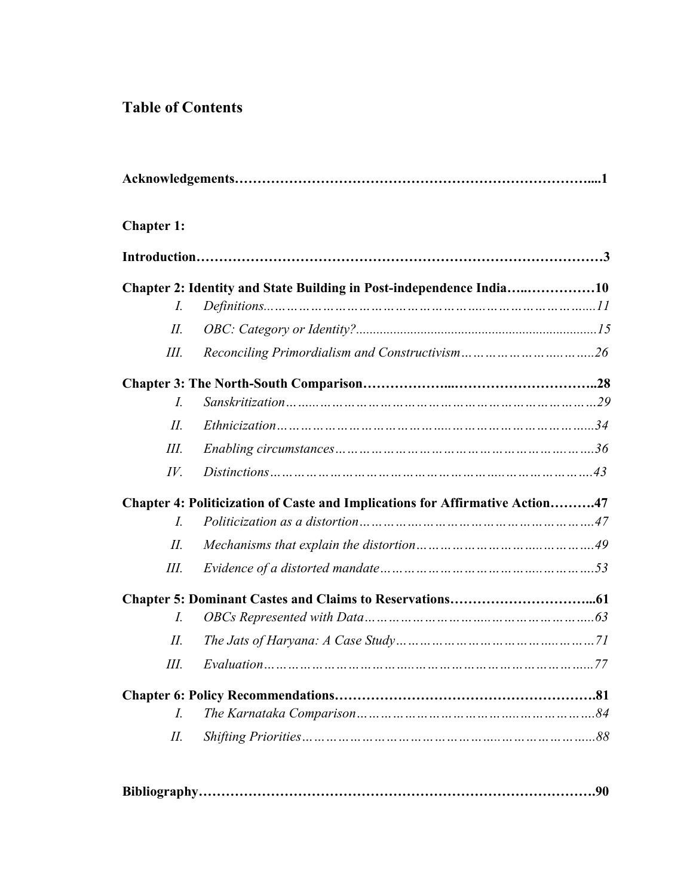## **Table of Contents**

| <b>Chapter 1:</b> |                                                                              |  |
|-------------------|------------------------------------------------------------------------------|--|
|                   |                                                                              |  |
|                   | Chapter 2: Identity and State Building in Post-independence India10          |  |
| I.                |                                                                              |  |
| $H_{\cdot}$       |                                                                              |  |
| Ш.                |                                                                              |  |
|                   |                                                                              |  |
| I.                |                                                                              |  |
| П.                |                                                                              |  |
| Ш.                |                                                                              |  |
| $I\!V$ .          | $Distributions \dots 13$                                                     |  |
|                   | Chapter 4: Politicization of Caste and Implications for Affirmative Action47 |  |
| L                 |                                                                              |  |
| H.                |                                                                              |  |
| Ш.                |                                                                              |  |
|                   |                                                                              |  |
| I.                |                                                                              |  |
| H.                |                                                                              |  |
| Ш.                |                                                                              |  |
|                   |                                                                              |  |
| I.                |                                                                              |  |
| II.               |                                                                              |  |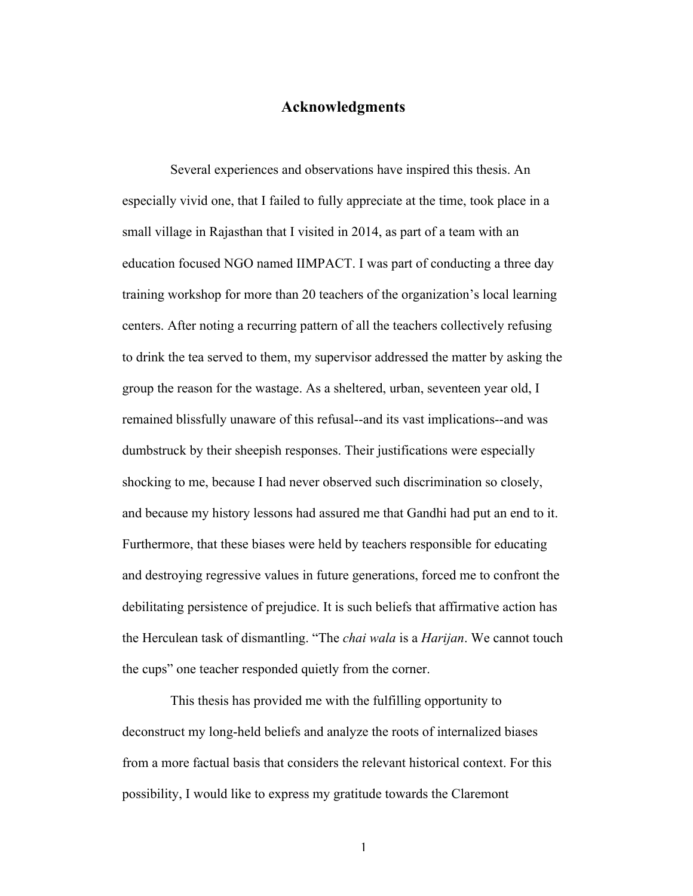### **Acknowledgments**

Several experiences and observations have inspired this thesis. An especially vivid one, that I failed to fully appreciate at the time, took place in a small village in Rajasthan that I visited in 2014, as part of a team with an education focused NGO named IIMPACT. I was part of conducting a three day training workshop for more than 20 teachers of the organization's local learning centers. After noting a recurring pattern of all the teachers collectively refusing to drink the tea served to them, my supervisor addressed the matter by asking the group the reason for the wastage. As a sheltered, urban, seventeen year old, I remained blissfully unaware of this refusal--and its vast implications--and was dumbstruck by their sheepish responses. Their justifications were especially shocking to me, because I had never observed such discrimination so closely, and because my history lessons had assured me that Gandhi had put an end to it. Furthermore, that these biases were held by teachers responsible for educating and destroying regressive values in future generations, forced me to confront the debilitating persistence of prejudice. It is such beliefs that affirmative action has the Herculean task of dismantling. "The *chai wala* is a *Harijan*. We cannot touch the cups" one teacher responded quietly from the corner.

This thesis has provided me with the fulfilling opportunity to deconstruct my long-held beliefs and analyze the roots of internalized biases from a more factual basis that considers the relevant historical context. For this possibility, I would like to express my gratitude towards the Claremont

1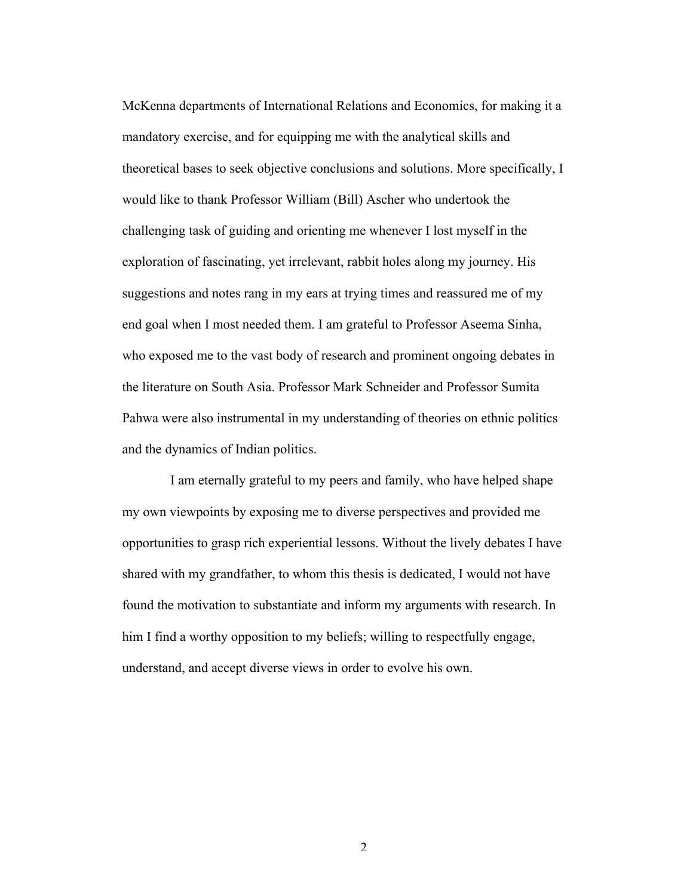McKenna departments of International Relations and Economics, for making it a mandatory exercise, and for equipping me with the analytical skills and theoretical bases to seek objective conclusions and solutions. More specifically, I would like to thank Professor William (Bill) Ascher who undertook the challenging task of guiding and orienting me whenever I lost myself in the exploration of fascinating, yet irrelevant, rabbit holes along my journey. His suggestions and notes rang in my ears at trying times and reassured me of my end goal when I most needed them. I am grateful to Professor Aseema Sinha, who exposed me to the vast body of research and prominent ongoing debates in the literature on South Asia. Professor Mark Schneider and Professor Sumita Pahwa were also instrumental in my understanding of theories on ethnic politics and the dynamics of Indian politics.

I am eternally grateful to my peers and family, who have helped shape my own viewpoints by exposing me to diverse perspectives and provided me opportunities to grasp rich experiential lessons. Without the lively debates I have shared with my grandfather, to whom this thesis is dedicated, I would not have found the motivation to substantiate and inform my arguments with research. In him I find a worthy opposition to my beliefs; willing to respectfully engage, understand, and accept diverse views in order to evolve his own.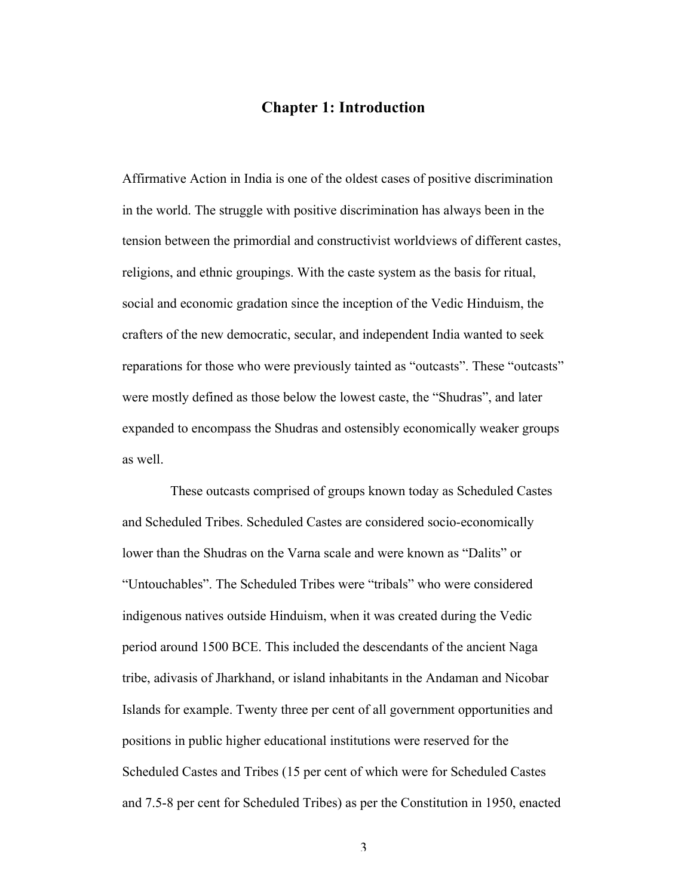### **Chapter 1: Introduction**

Affirmative Action in India is one of the oldest cases of positive discrimination in the world. The struggle with positive discrimination has always been in the tension between the primordial and constructivist worldviews of different castes, religions, and ethnic groupings. With the caste system as the basis for ritual, social and economic gradation since the inception of the Vedic Hinduism, the crafters of the new democratic, secular, and independent India wanted to seek reparations for those who were previously tainted as "outcasts". These "outcasts" were mostly defined as those below the lowest caste, the "Shudras", and later expanded to encompass the Shudras and ostensibly economically weaker groups as well.

These outcasts comprised of groups known today as Scheduled Castes and Scheduled Tribes. Scheduled Castes are considered socio-economically lower than the Shudras on the Varna scale and were known as "Dalits" or "Untouchables". The Scheduled Tribes were "tribals" who were considered indigenous natives outside Hinduism, when it was created during the Vedic period around 1500 BCE. This included the descendants of the ancient Naga tribe, adivasis of Jharkhand, or island inhabitants in the Andaman and Nicobar Islands for example. Twenty three per cent of all government opportunities and positions in public higher educational institutions were reserved for the Scheduled Castes and Tribes (15 per cent of which were for Scheduled Castes and 7.5-8 per cent for Scheduled Tribes) as per the Constitution in 1950, enacted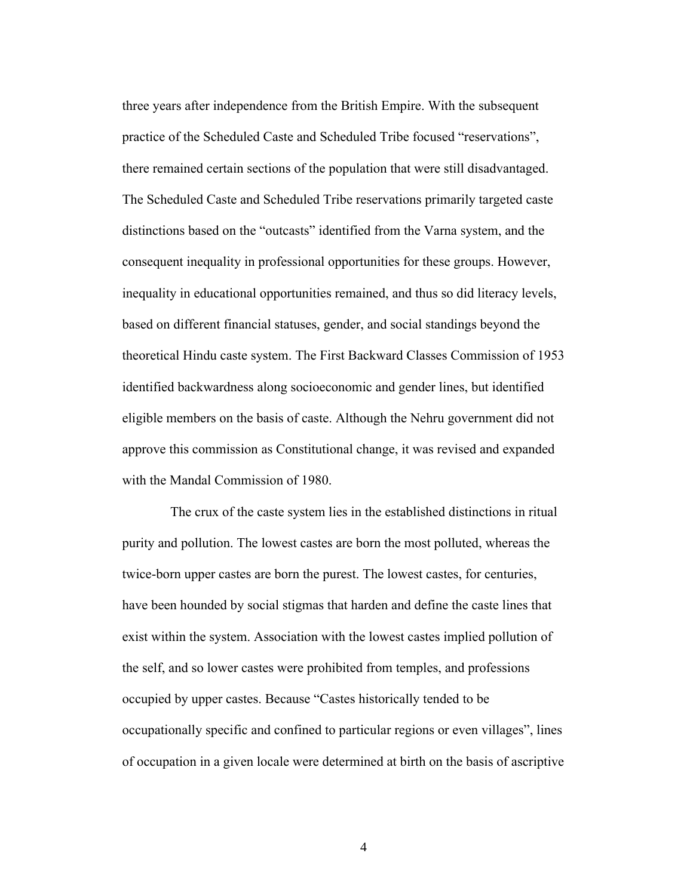three years after independence from the British Empire. With the subsequent practice of the Scheduled Caste and Scheduled Tribe focused "reservations", there remained certain sections of the population that were still disadvantaged. The Scheduled Caste and Scheduled Tribe reservations primarily targeted caste distinctions based on the "outcasts" identified from the Varna system, and the consequent inequality in professional opportunities for these groups. However, inequality in educational opportunities remained, and thus so did literacy levels, based on different financial statuses, gender, and social standings beyond the theoretical Hindu caste system. The First Backward Classes Commission of 1953 identified backwardness along socioeconomic and gender lines, but identified eligible members on the basis of caste. Although the Nehru government did not approve this commission as Constitutional change, it was revised and expanded with the Mandal Commission of 1980.

The crux of the caste system lies in the established distinctions in ritual purity and pollution. The lowest castes are born the most polluted, whereas the twice-born upper castes are born the purest. The lowest castes, for centuries, have been hounded by social stigmas that harden and define the caste lines that exist within the system. Association with the lowest castes implied pollution of the self, and so lower castes were prohibited from temples, and professions occupied by upper castes. Because "Castes historically tended to be occupationally specific and confined to particular regions or even villages", lines of occupation in a given locale were determined at birth on the basis of ascriptive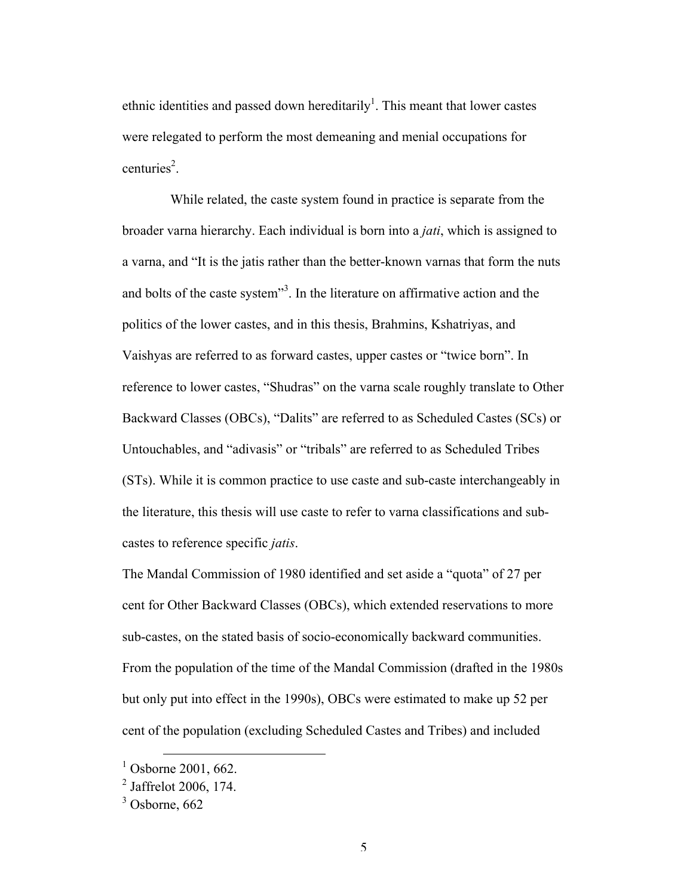ethnic identities and passed down hereditarily<sup>1</sup>. This meant that lower castes were relegated to perform the most demeaning and menial occupations for centuries<sup>2</sup>.

While related, the caste system found in practice is separate from the broader varna hierarchy. Each individual is born into a *jati*, which is assigned to a varna, and "It is the jatis rather than the better-known varnas that form the nuts and bolts of the caste system<sup>33</sup>. In the literature on affirmative action and the politics of the lower castes, and in this thesis, Brahmins, Kshatriyas, and Vaishyas are referred to as forward castes, upper castes or "twice born". In reference to lower castes, "Shudras" on the varna scale roughly translate to Other Backward Classes (OBCs), "Dalits" are referred to as Scheduled Castes (SCs) or Untouchables, and "adivasis" or "tribals" are referred to as Scheduled Tribes (STs). While it is common practice to use caste and sub-caste interchangeably in the literature, this thesis will use caste to refer to varna classifications and subcastes to reference specific *jatis*.

The Mandal Commission of 1980 identified and set aside a "quota" of 27 per cent for Other Backward Classes (OBCs), which extended reservations to more sub-castes, on the stated basis of socio-economically backward communities. From the population of the time of the Mandal Commission (drafted in the 1980s but only put into effect in the 1990s), OBCs were estimated to make up 52 per cent of the population (excluding Scheduled Castes and Tribes) and included

 $^{1}$  Osborne 2001, 662.

 $^{2}$  Jaffrelot 2006, 174.

 $3$  Osborne, 662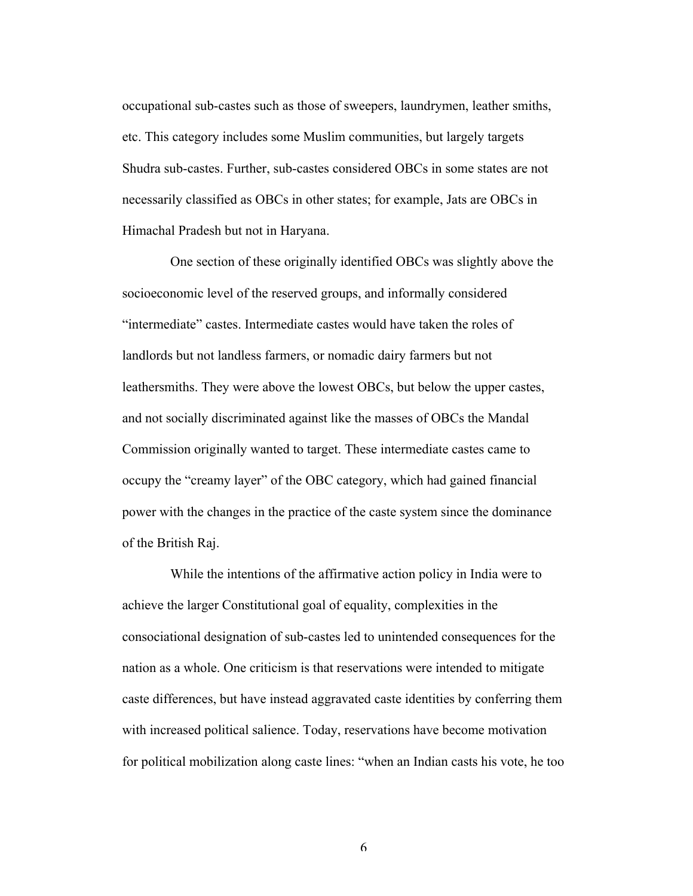occupational sub-castes such as those of sweepers, laundrymen, leather smiths, etc. This category includes some Muslim communities, but largely targets Shudra sub-castes. Further, sub-castes considered OBCs in some states are not necessarily classified as OBCs in other states; for example, Jats are OBCs in Himachal Pradesh but not in Haryana.

One section of these originally identified OBCs was slightly above the socioeconomic level of the reserved groups, and informally considered "intermediate" castes. Intermediate castes would have taken the roles of landlords but not landless farmers, or nomadic dairy farmers but not leathersmiths. They were above the lowest OBCs, but below the upper castes, and not socially discriminated against like the masses of OBCs the Mandal Commission originally wanted to target. These intermediate castes came to occupy the "creamy layer" of the OBC category, which had gained financial power with the changes in the practice of the caste system since the dominance of the British Raj.

While the intentions of the affirmative action policy in India were to achieve the larger Constitutional goal of equality, complexities in the consociational designation of sub-castes led to unintended consequences for the nation as a whole. One criticism is that reservations were intended to mitigate caste differences, but have instead aggravated caste identities by conferring them with increased political salience. Today, reservations have become motivation for political mobilization along caste lines: "when an Indian casts his vote, he too

6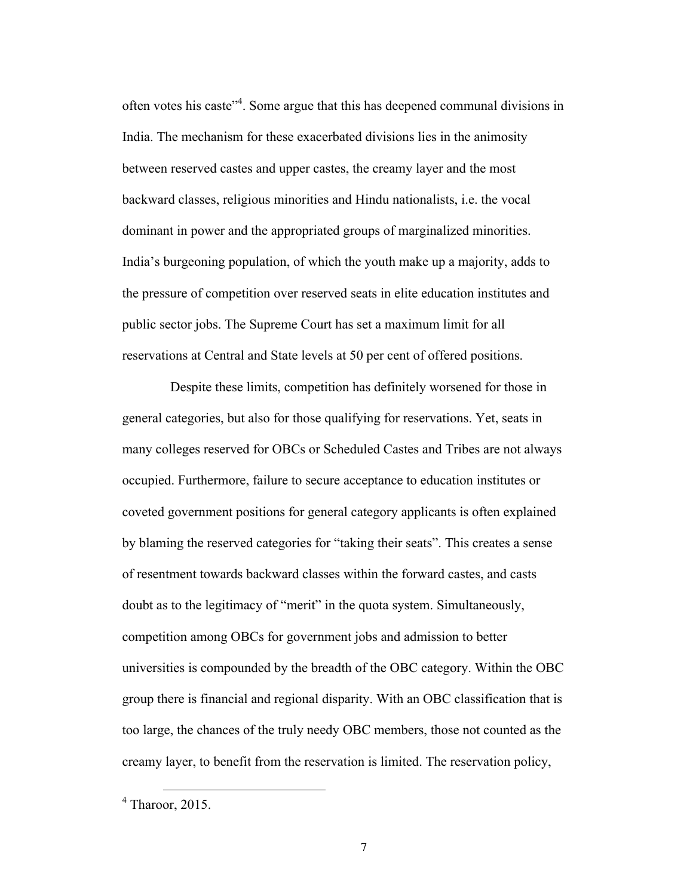often votes his caste<sup>"4</sup>. Some argue that this has deepened communal divisions in India. The mechanism for these exacerbated divisions lies in the animosity between reserved castes and upper castes, the creamy layer and the most backward classes, religious minorities and Hindu nationalists, i.e. the vocal dominant in power and the appropriated groups of marginalized minorities. India's burgeoning population, of which the youth make up a majority, adds to the pressure of competition over reserved seats in elite education institutes and public sector jobs. The Supreme Court has set a maximum limit for all reservations at Central and State levels at 50 per cent of offered positions.

Despite these limits, competition has definitely worsened for those in general categories, but also for those qualifying for reservations. Yet, seats in many colleges reserved for OBCs or Scheduled Castes and Tribes are not always occupied. Furthermore, failure to secure acceptance to education institutes or coveted government positions for general category applicants is often explained by blaming the reserved categories for "taking their seats". This creates a sense of resentment towards backward classes within the forward castes, and casts doubt as to the legitimacy of "merit" in the quota system. Simultaneously, competition among OBCs for government jobs and admission to better universities is compounded by the breadth of the OBC category. Within the OBC group there is financial and regional disparity. With an OBC classification that is too large, the chances of the truly needy OBC members, those not counted as the creamy layer, to benefit from the reservation is limited. The reservation policy,

 $4$  Tharoor, 2015.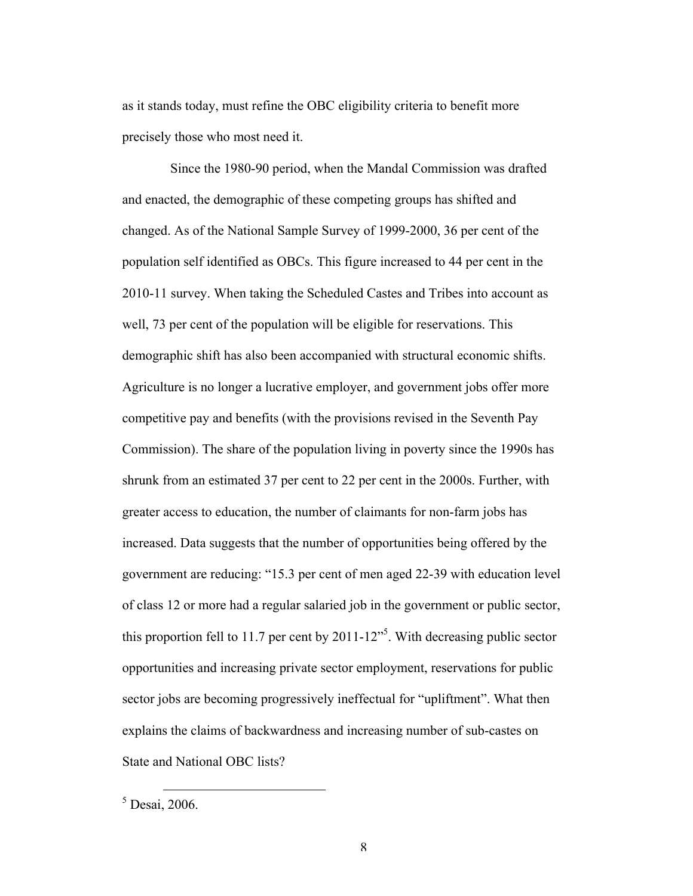as it stands today, must refine the OBC eligibility criteria to benefit more precisely those who most need it.

Since the 1980-90 period, when the Mandal Commission was drafted and enacted, the demographic of these competing groups has shifted and changed. As of the National Sample Survey of 1999-2000, 36 per cent of the population self identified as OBCs. This figure increased to 44 per cent in the 2010-11 survey. When taking the Scheduled Castes and Tribes into account as well, 73 per cent of the population will be eligible for reservations. This demographic shift has also been accompanied with structural economic shifts. Agriculture is no longer a lucrative employer, and government jobs offer more competitive pay and benefits (with the provisions revised in the Seventh Pay Commission). The share of the population living in poverty since the 1990s has shrunk from an estimated 37 per cent to 22 per cent in the 2000s. Further, with greater access to education, the number of claimants for non-farm jobs has increased. Data suggests that the number of opportunities being offered by the government are reducing: "15.3 per cent of men aged 22-39 with education level of class 12 or more had a regular salaried job in the government or public sector, this proportion fell to 11.7 per cent by  $2011 - 12$ <sup>35</sup>. With decreasing public sector opportunities and increasing private sector employment, reservations for public sector jobs are becoming progressively ineffectual for "upliftment". What then explains the claims of backwardness and increasing number of sub-castes on State and National OBC lists?

 $<sup>5</sup>$  Desai, 2006.</sup>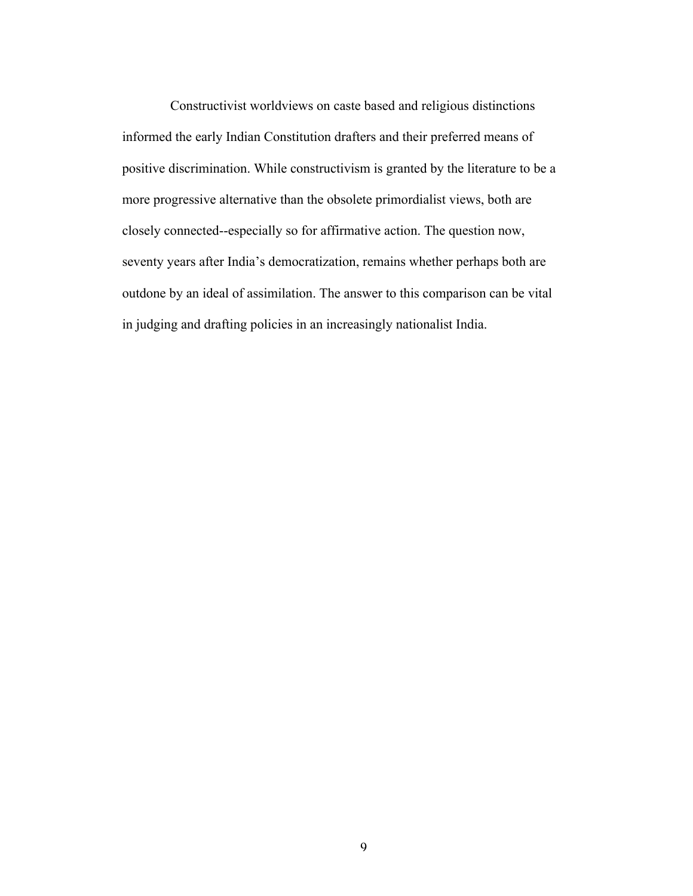Constructivist worldviews on caste based and religious distinctions informed the early Indian Constitution drafters and their preferred means of positive discrimination. While constructivism is granted by the literature to be a more progressive alternative than the obsolete primordialist views, both are closely connected--especially so for affirmative action. The question now, seventy years after India's democratization, remains whether perhaps both are outdone by an ideal of assimilation. The answer to this comparison can be vital in judging and drafting policies in an increasingly nationalist India.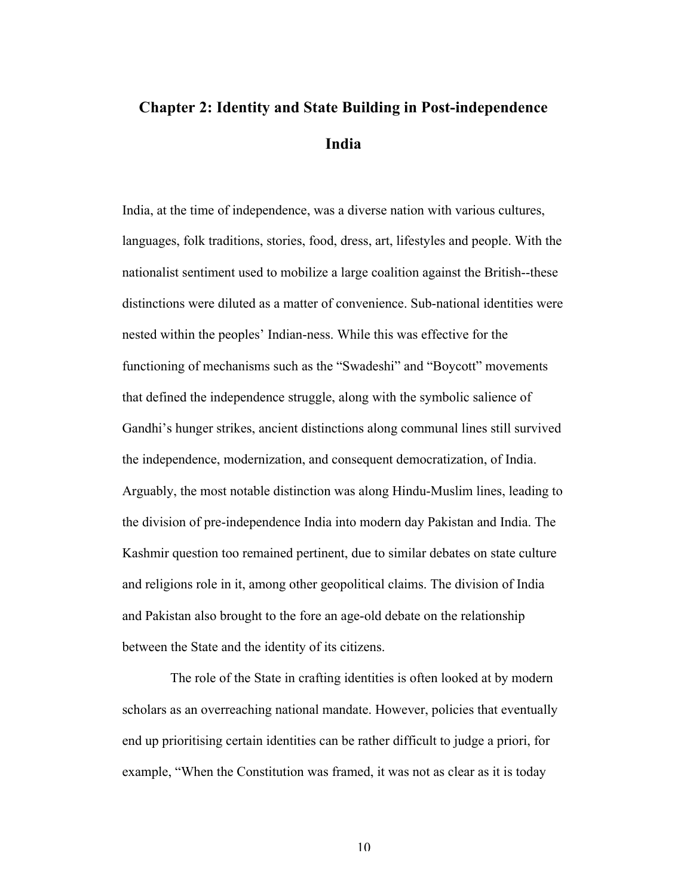## **Chapter 2: Identity and State Building in Post-independence India**

India, at the time of independence, was a diverse nation with various cultures, languages, folk traditions, stories, food, dress, art, lifestyles and people. With the nationalist sentiment used to mobilize a large coalition against the British--these distinctions were diluted as a matter of convenience. Sub-national identities were nested within the peoples' Indian-ness. While this was effective for the functioning of mechanisms such as the "Swadeshi" and "Boycott" movements that defined the independence struggle, along with the symbolic salience of Gandhi's hunger strikes, ancient distinctions along communal lines still survived the independence, modernization, and consequent democratization, of India. Arguably, the most notable distinction was along Hindu-Muslim lines, leading to the division of pre-independence India into modern day Pakistan and India. The Kashmir question too remained pertinent, due to similar debates on state culture and religions role in it, among other geopolitical claims. The division of India and Pakistan also brought to the fore an age-old debate on the relationship between the State and the identity of its citizens.

The role of the State in crafting identities is often looked at by modern scholars as an overreaching national mandate. However, policies that eventually end up prioritising certain identities can be rather difficult to judge a priori, for example, "When the Constitution was framed, it was not as clear as it is today

10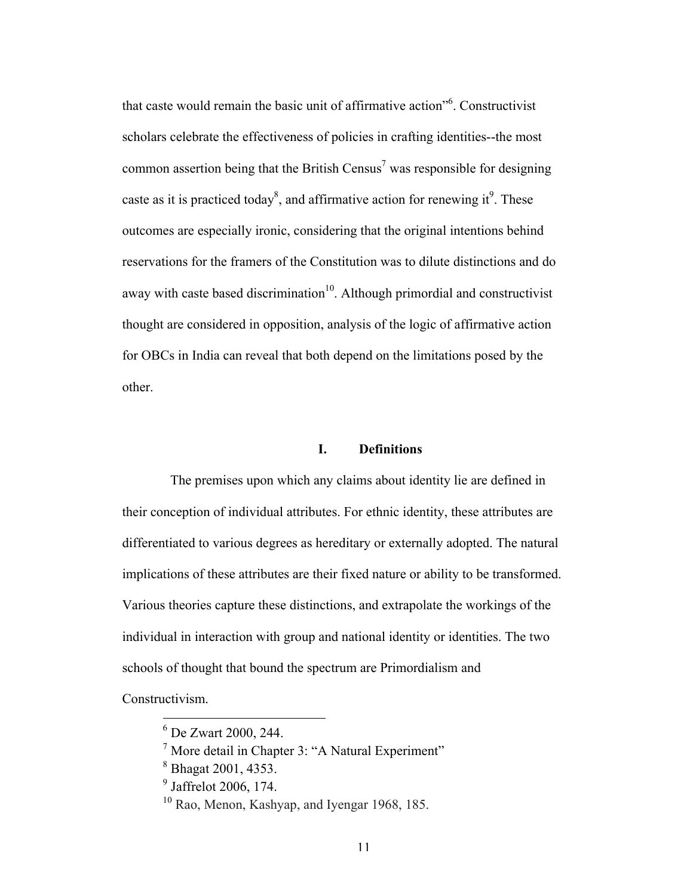that caste would remain the basic unit of affirmative action"6 . Constructivist scholars celebrate the effectiveness of policies in crafting identities--the most common assertion being that the British Census<sup>7</sup> was responsible for designing caste as it is practiced today<sup>8</sup>, and affirmative action for renewing it<sup>9</sup>. These outcomes are especially ironic, considering that the original intentions behind reservations for the framers of the Constitution was to dilute distinctions and do away with caste based discrimination<sup>10</sup>. Although primordial and constructivist thought are considered in opposition, analysis of the logic of affirmative action for OBCs in India can reveal that both depend on the limitations posed by the other.

### **I. Definitions**

The premises upon which any claims about identity lie are defined in their conception of individual attributes. For ethnic identity, these attributes are differentiated to various degrees as hereditary or externally adopted. The natural implications of these attributes are their fixed nature or ability to be transformed. Various theories capture these distinctions, and extrapolate the workings of the individual in interaction with group and national identity or identities. The two schools of thought that bound the spectrum are Primordialism and

Constructivism.

 <sup>6</sup> De Zwart 2000, 244.

<sup>7</sup> More detail in Chapter 3: "A Natural Experiment"

<sup>8</sup> Bhagat 2001, 4353.

<sup>9</sup> Jaffrelot 2006, 174.

<sup>&</sup>lt;sup>10</sup> Rao, Menon, Kashyap, and Iyengar 1968, 185.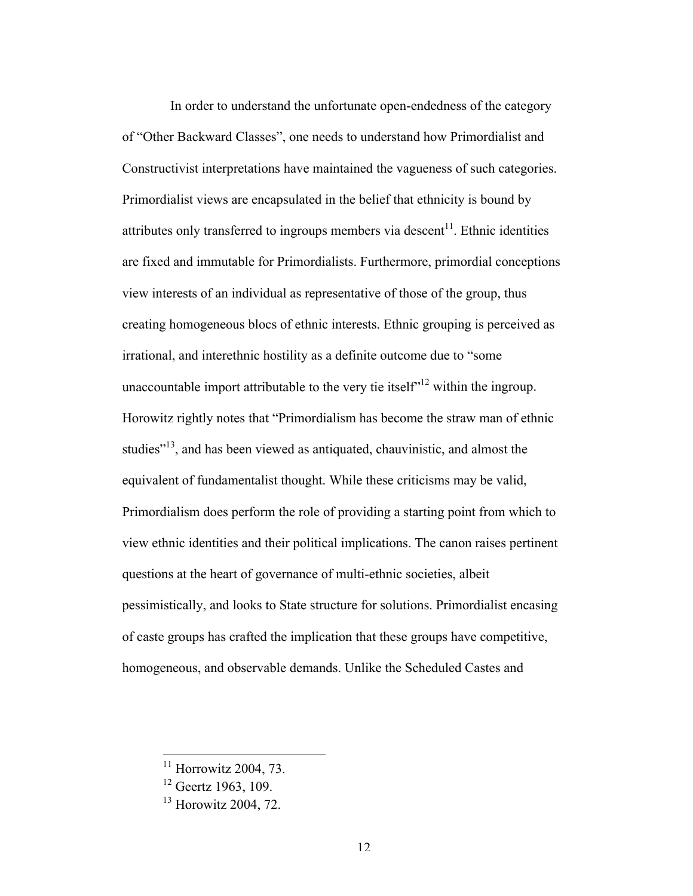In order to understand the unfortunate open-endedness of the category of "Other Backward Classes", one needs to understand how Primordialist and Constructivist interpretations have maintained the vagueness of such categories. Primordialist views are encapsulated in the belief that ethnicity is bound by attributes only transferred to ingroups members via descent<sup>11</sup>. Ethnic identities are fixed and immutable for Primordialists. Furthermore, primordial conceptions view interests of an individual as representative of those of the group, thus creating homogeneous blocs of ethnic interests. Ethnic grouping is perceived as irrational, and interethnic hostility as a definite outcome due to "some unaccountable import attributable to the very tie itself<sup> $12$ </sup> within the ingroup. Horowitz rightly notes that "Primordialism has become the straw man of ethnic studies<sup>"13</sup>, and has been viewed as antiquated, chauvinistic, and almost the equivalent of fundamentalist thought. While these criticisms may be valid, Primordialism does perform the role of providing a starting point from which to view ethnic identities and their political implications. The canon raises pertinent questions at the heart of governance of multi-ethnic societies, albeit pessimistically, and looks to State structure for solutions. Primordialist encasing of caste groups has crafted the implication that these groups have competitive, homogeneous, and observable demands. Unlike the Scheduled Castes and

 $11$  Horrowitz 2004, 73.

 $12$  Geertz 1963, 109.

<sup>&</sup>lt;sup>13</sup> Horowitz 2004, 72.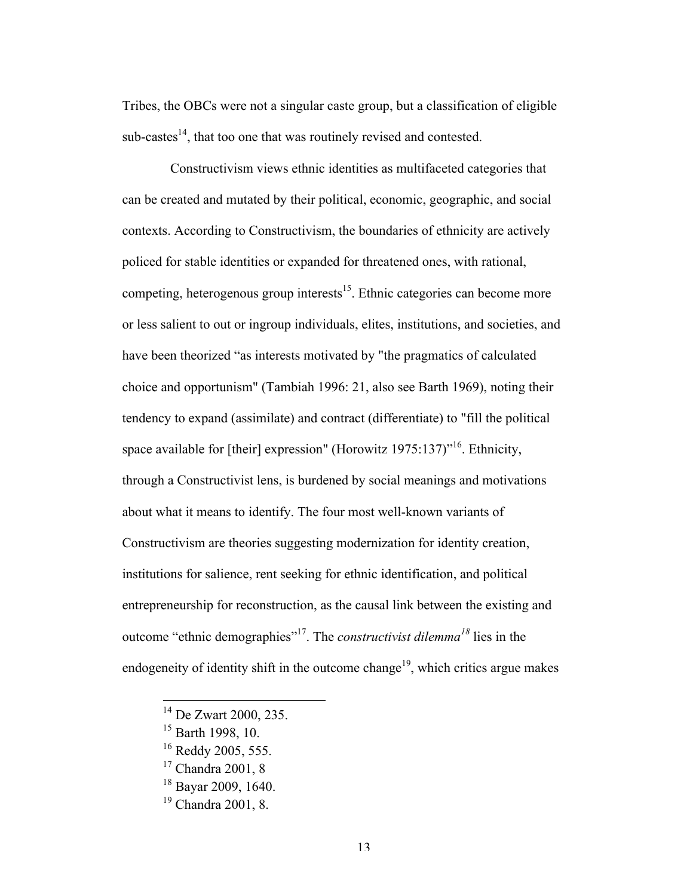Tribes, the OBCs were not a singular caste group, but a classification of eligible  $sub-castes<sup>14</sup>$ , that too one that was routinely revised and contested.

Constructivism views ethnic identities as multifaceted categories that can be created and mutated by their political, economic, geographic, and social contexts. According to Constructivism, the boundaries of ethnicity are actively policed for stable identities or expanded for threatened ones, with rational, competing, heterogenous group interests<sup>15</sup>. Ethnic categories can become more or less salient to out or ingroup individuals, elites, institutions, and societies, and have been theorized "as interests motivated by "the pragmatics of calculated choice and opportunism" (Tambiah 1996: 21, also see Barth 1969), noting their tendency to expand (assimilate) and contract (differentiate) to "fill the political space available for [their] expression" (Horowitz 1975:137)<sup>"16</sup>. Ethnicity, through a Constructivist lens, is burdened by social meanings and motivations about what it means to identify. The four most well-known variants of Constructivism are theories suggesting modernization for identity creation, institutions for salience, rent seeking for ethnic identification, and political entrepreneurship for reconstruction, as the causal link between the existing and outcome "ethnic demographies"17. The *constructivist dilemma<sup>18</sup>* lies in the endogeneity of identity shift in the outcome change<sup>19</sup>, which critics argue makes

 <sup>14</sup> De Zwart 2000, 235.

<sup>&</sup>lt;sup>15</sup> Barth 1998, 10.

<sup>&</sup>lt;sup>16</sup> Reddy 2005, 555.

<sup>&</sup>lt;sup>17</sup> Chandra 2001, 8

<sup>18</sup> Bayar 2009, 1640.

<sup>19</sup> Chandra 2001, 8.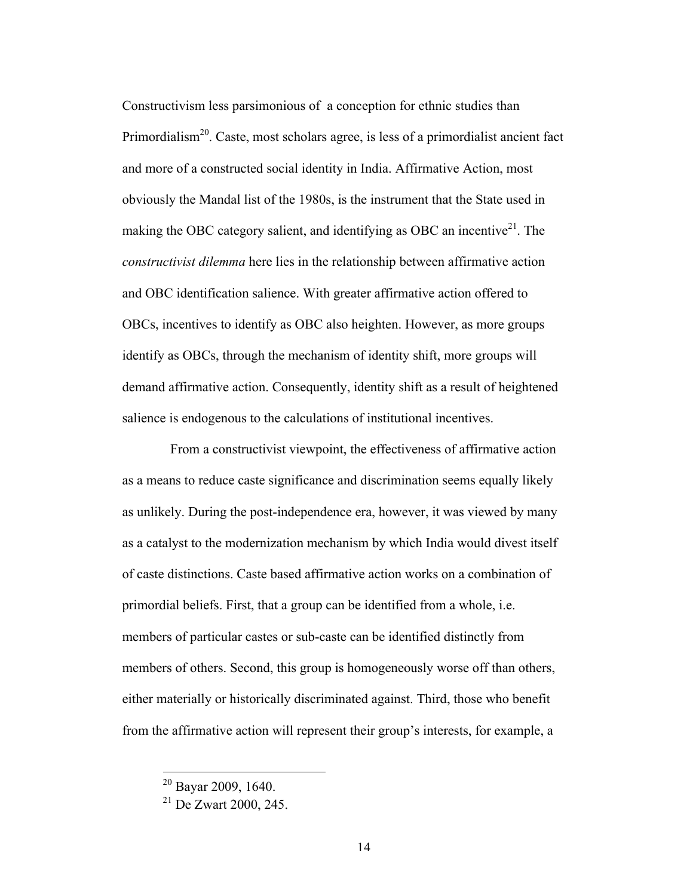Constructivism less parsimonious of a conception for ethnic studies than Primordialism<sup>20</sup>. Caste, most scholars agree, is less of a primordialist ancient fact and more of a constructed social identity in India. Affirmative Action, most obviously the Mandal list of the 1980s, is the instrument that the State used in making the OBC category salient, and identifying as OBC an incentive<sup>21</sup>. The *constructivist dilemma* here lies in the relationship between affirmative action and OBC identification salience. With greater affirmative action offered to OBCs, incentives to identify as OBC also heighten. However, as more groups identify as OBCs, through the mechanism of identity shift, more groups will demand affirmative action. Consequently, identity shift as a result of heightened salience is endogenous to the calculations of institutional incentives.

From a constructivist viewpoint, the effectiveness of affirmative action as a means to reduce caste significance and discrimination seems equally likely as unlikely. During the post-independence era, however, it was viewed by many as a catalyst to the modernization mechanism by which India would divest itself of caste distinctions. Caste based affirmative action works on a combination of primordial beliefs. First, that a group can be identified from a whole, i.e. members of particular castes or sub-caste can be identified distinctly from members of others. Second, this group is homogeneously worse off than others, either materially or historically discriminated against. Third, those who benefit from the affirmative action will represent their group's interests, for example, a

 <sup>20</sup> Bayar 2009, 1640.

<sup>21</sup> De Zwart 2000, 245.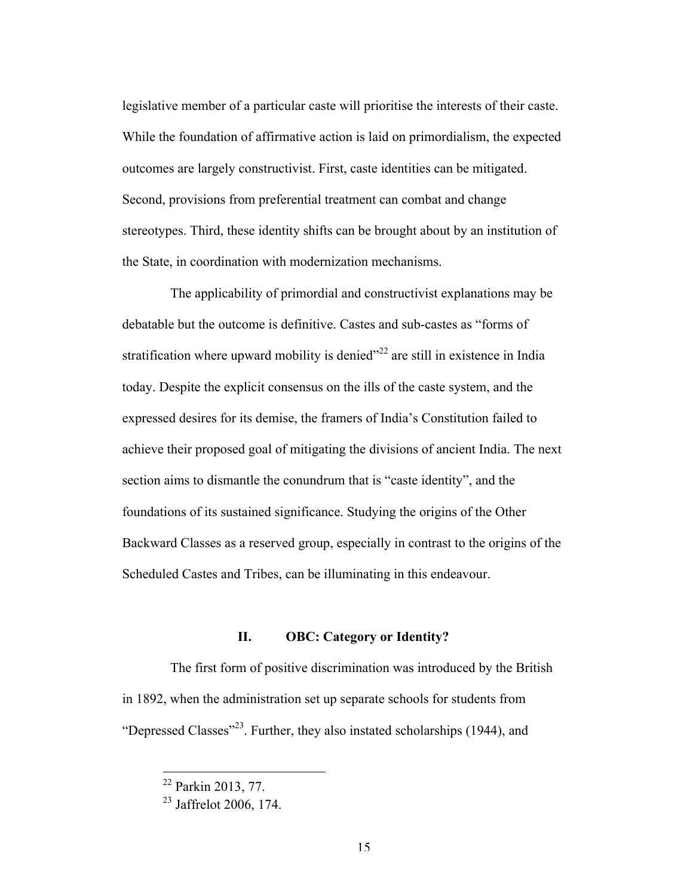legislative member of a particular caste will prioritise the interests of their caste. While the foundation of affirmative action is laid on primordialism, the expected outcomes are largely constructivist. First, caste identities can be mitigated. Second, provisions from preferential treatment can combat and change stereotypes. Third, these identity shifts can be brought about by an institution of the State, in coordination with modernization mechanisms.

The applicability of primordial and constructivist explanations may be debatable but the outcome is definitive. Castes and sub-castes as "forms of stratification where upward mobility is denied $^{22}$  are still in existence in India today. Despite the explicit consensus on the ills of the caste system, and the expressed desires for its demise, the framers of India's Constitution failed to achieve their proposed goal of mitigating the divisions of ancient India. The next section aims to dismantle the conundrum that is "caste identity", and the foundations of its sustained significance. Studying the origins of the Other Backward Classes as a reserved group, especially in contrast to the origins of the Scheduled Castes and Tribes, can be illuminating in this endeavour.

### **II. OBC: Category or Identity?**

The first form of positive discrimination was introduced by the British in 1892, when the administration set up separate schools for students from "Depressed Classes"<sup>23</sup>. Further, they also instated scholarships (1944), and

 <sup>22</sup> Parkin 2013, 77.

 $23$  Jaffrelot 2006, 174.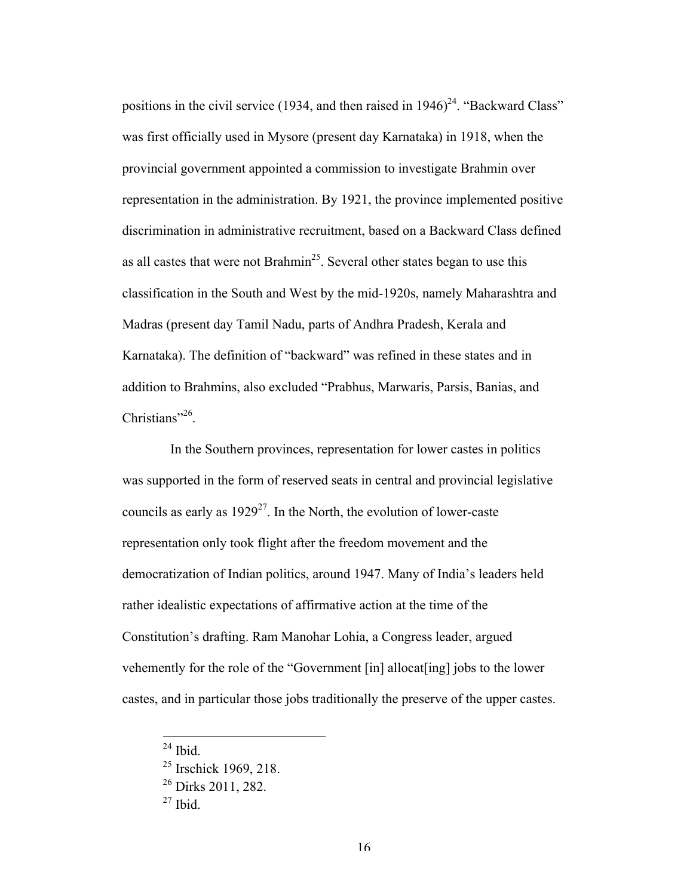positions in the civil service (1934, and then raised in  $1946)^{24}$ . "Backward Class" was first officially used in Mysore (present day Karnataka) in 1918, when the provincial government appointed a commission to investigate Brahmin over representation in the administration. By 1921, the province implemented positive discrimination in administrative recruitment, based on a Backward Class defined as all castes that were not Brahmin<sup>25</sup>. Several other states began to use this classification in the South and West by the mid-1920s, namely Maharashtra and Madras (present day Tamil Nadu, parts of Andhra Pradesh, Kerala and Karnataka). The definition of "backward" was refined in these states and in addition to Brahmins, also excluded "Prabhus, Marwaris, Parsis, Banias, and Christians"<sup>26</sup>.

In the Southern provinces, representation for lower castes in politics was supported in the form of reserved seats in central and provincial legislative councils as early as  $1929^{27}$ . In the North, the evolution of lower-caste representation only took flight after the freedom movement and the democratization of Indian politics, around 1947. Many of India's leaders held rather idealistic expectations of affirmative action at the time of the Constitution's drafting. Ram Manohar Lohia, a Congress leader, argued vehemently for the role of the "Government [in] allocat[ing] jobs to the lower castes, and in particular those jobs traditionally the preserve of the upper castes.

 $24$  Ibid.

<sup>&</sup>lt;sup>25</sup> Irschick 1969, 218.

 $26$  Dirks 2011, 282.

 $27$  Ibid.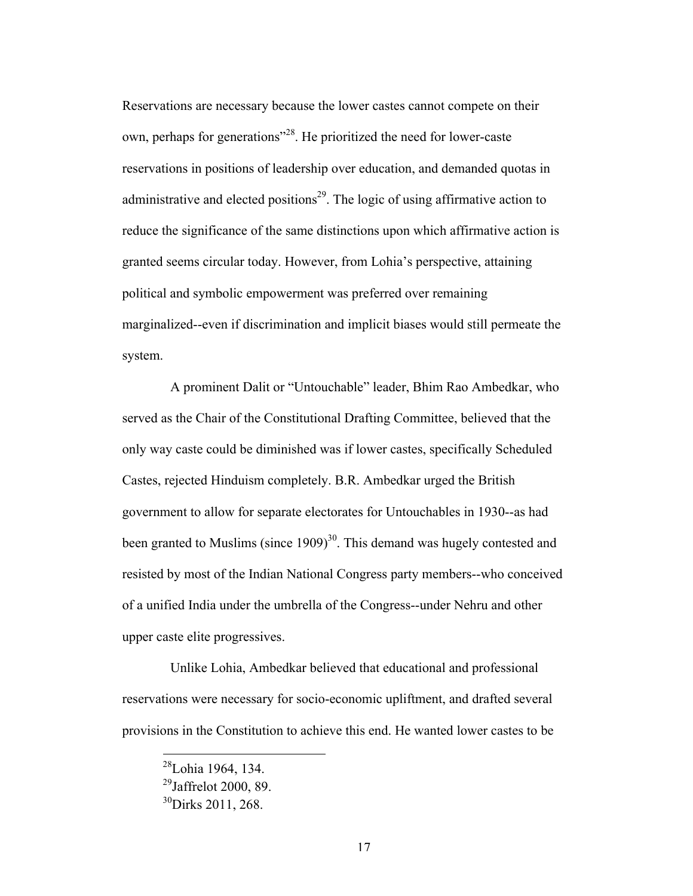Reservations are necessary because the lower castes cannot compete on their own, perhaps for generations"28. He prioritized the need for lower-caste reservations in positions of leadership over education, and demanded quotas in administrative and elected positions<sup>29</sup>. The logic of using affirmative action to reduce the significance of the same distinctions upon which affirmative action is granted seems circular today. However, from Lohia's perspective, attaining political and symbolic empowerment was preferred over remaining marginalized--even if discrimination and implicit biases would still permeate the system.

A prominent Dalit or "Untouchable" leader, Bhim Rao Ambedkar, who served as the Chair of the Constitutional Drafting Committee, believed that the only way caste could be diminished was if lower castes, specifically Scheduled Castes, rejected Hinduism completely. B.R. Ambedkar urged the British government to allow for separate electorates for Untouchables in 1930--as had been granted to Muslims (since  $1909$ )<sup>30</sup>. This demand was hugely contested and resisted by most of the Indian National Congress party members--who conceived of a unified India under the umbrella of the Congress--under Nehru and other upper caste elite progressives.

Unlike Lohia, Ambedkar believed that educational and professional reservations were necessary for socio-economic upliftment, and drafted several provisions in the Constitution to achieve this end. He wanted lower castes to be

 $^{28}$ Lohia 1964, 134.

 $^{29}$ Jaffrelot 2000, 89

 $^{30}$ Dirks 2011, 268.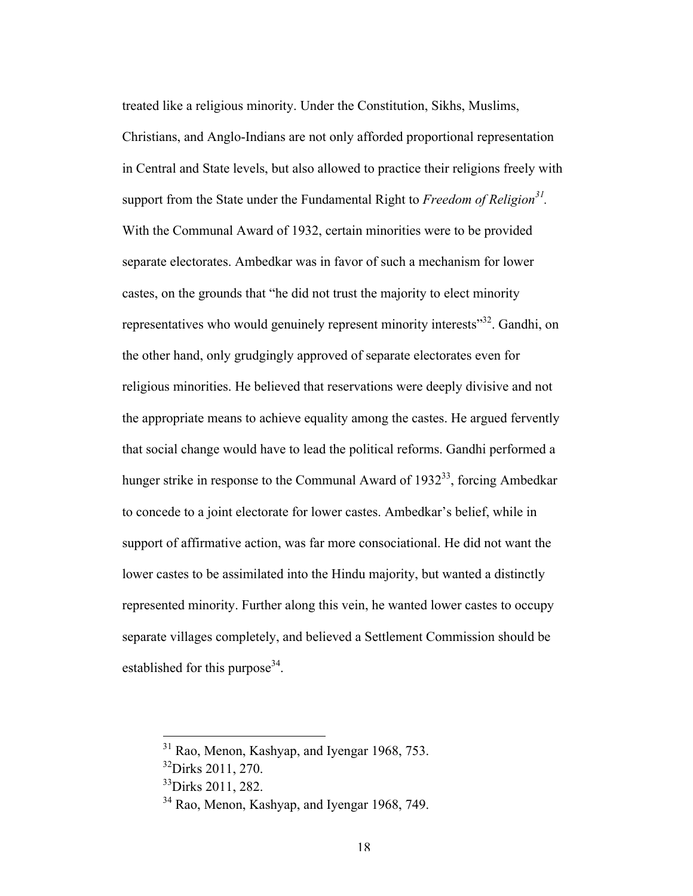treated like a religious minority. Under the Constitution, Sikhs, Muslims, Christians, and Anglo-Indians are not only afforded proportional representation in Central and State levels, but also allowed to practice their religions freely with support from the State under the Fundamental Right to *Freedom of Religion31.*  With the Communal Award of 1932, certain minorities were to be provided separate electorates. Ambedkar was in favor of such a mechanism for lower castes, on the grounds that "he did not trust the majority to elect minority representatives who would genuinely represent minority interests<sup>33</sup>. Gandhi, on the other hand, only grudgingly approved of separate electorates even for religious minorities. He believed that reservations were deeply divisive and not the appropriate means to achieve equality among the castes. He argued fervently that social change would have to lead the political reforms. Gandhi performed a hunger strike in response to the Communal Award of  $1932^{33}$ , forcing Ambedkar to concede to a joint electorate for lower castes. Ambedkar's belief, while in support of affirmative action, was far more consociational. He did not want the lower castes to be assimilated into the Hindu majority, but wanted a distinctly represented minority. Further along this vein, he wanted lower castes to occupy separate villages completely, and believed a Settlement Commission should be established for this purpose<sup>34</sup>.

<sup>&</sup>lt;sup>31</sup> Rao, Menon, Kashyap, and Iyengar 1968, 753.

<sup>&</sup>lt;sup>32</sup>Dirks 2011, 270.

 $33$ Dirks 2011, 282.

<sup>&</sup>lt;sup>34</sup> Rao, Menon, Kashyap, and Iyengar 1968, 749.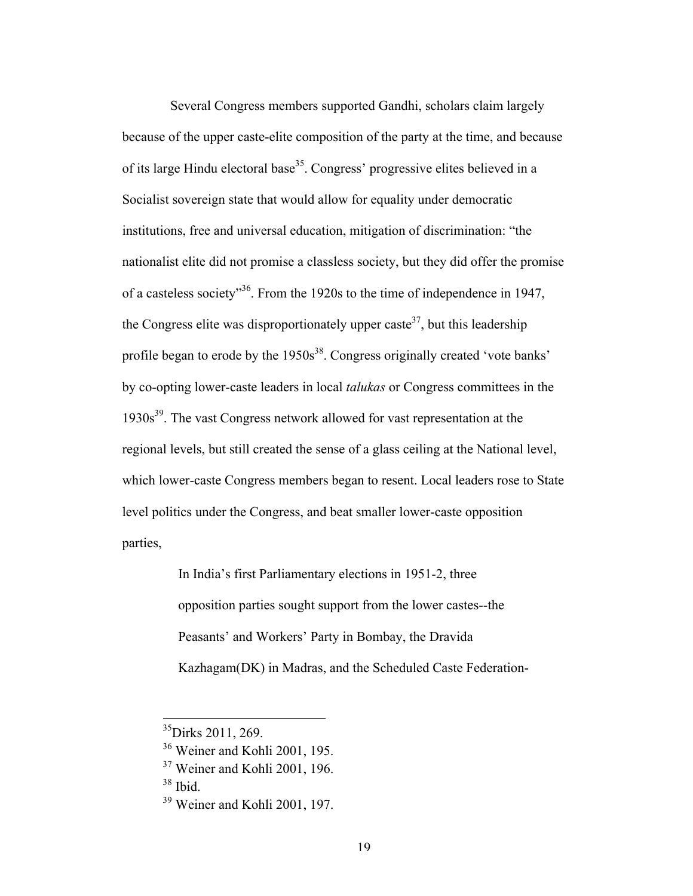Several Congress members supported Gandhi, scholars claim largely because of the upper caste-elite composition of the party at the time, and because of its large Hindu electoral base<sup>35</sup>. Congress' progressive elites believed in a Socialist sovereign state that would allow for equality under democratic institutions, free and universal education, mitigation of discrimination: "the nationalist elite did not promise a classless society, but they did offer the promise of a casteless society"36. From the 1920s to the time of independence in 1947, the Congress elite was disproportionately upper caste<sup>37</sup>, but this leadership profile began to erode by the  $1950s^{38}$ . Congress originally created 'vote banks' by co-opting lower-caste leaders in local *talukas* or Congress committees in the  $1930s<sup>39</sup>$ . The vast Congress network allowed for vast representation at the regional levels, but still created the sense of a glass ceiling at the National level, which lower-caste Congress members began to resent. Local leaders rose to State level politics under the Congress, and beat smaller lower-caste opposition parties,

> In India's first Parliamentary elections in 1951-2, three opposition parties sought support from the lower castes--the Peasants' and Workers' Party in Bombay, the Dravida Kazhagam(DK) in Madras, and the Scheduled Caste Federation-

 $38$  Ibid.

<sup>&</sup>lt;sup>35</sup>Dirks 2011, 269.

<sup>36</sup> Weiner and Kohli 2001, 195.

<sup>37</sup> Weiner and Kohli 2001, 196.

<sup>39</sup> Weiner and Kohli 2001, 197.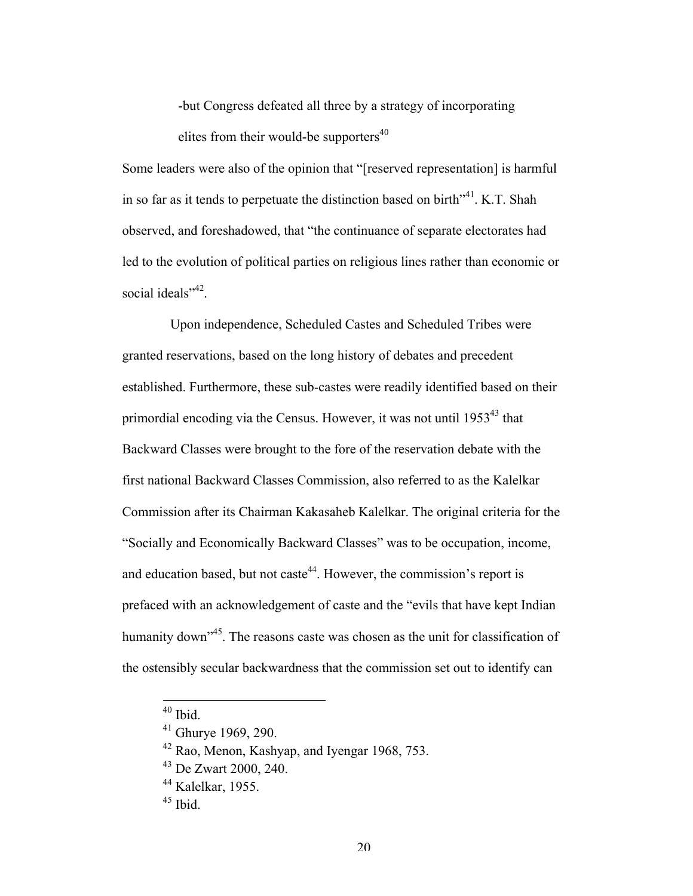-but Congress defeated all three by a strategy of incorporating elites from their would-be supporters $40$ 

Some leaders were also of the opinion that "[reserved representation] is harmful in so far as it tends to perpetuate the distinction based on birth<sup> $14$ </sup>. K.T. Shah observed, and foreshadowed, that "the continuance of separate electorates had led to the evolution of political parties on religious lines rather than economic or social ideals"<sup>42</sup>.

Upon independence, Scheduled Castes and Scheduled Tribes were granted reservations, based on the long history of debates and precedent established. Furthermore, these sub-castes were readily identified based on their primordial encoding via the Census. However, it was not until 1953<sup>43</sup> that Backward Classes were brought to the fore of the reservation debate with the first national Backward Classes Commission, also referred to as the Kalelkar Commission after its Chairman Kakasaheb Kalelkar. The original criteria for the "Socially and Economically Backward Classes" was to be occupation, income, and education based, but not caste<sup>44</sup>. However, the commission's report is prefaced with an acknowledgement of caste and the "evils that have kept Indian humanity down<sup>345</sup>. The reasons caste was chosen as the unit for classification of the ostensibly secular backwardness that the commission set out to identify can

 $40$  Ibid.

<sup>41</sup> Ghurye 1969, 290.

<sup>42</sup> Rao, Menon, Kashyap, and Iyengar 1968, 753.

<sup>43</sup> De Zwart 2000, 240.

 $44$  Kalelkar, 1955.

 $45$  Ibid.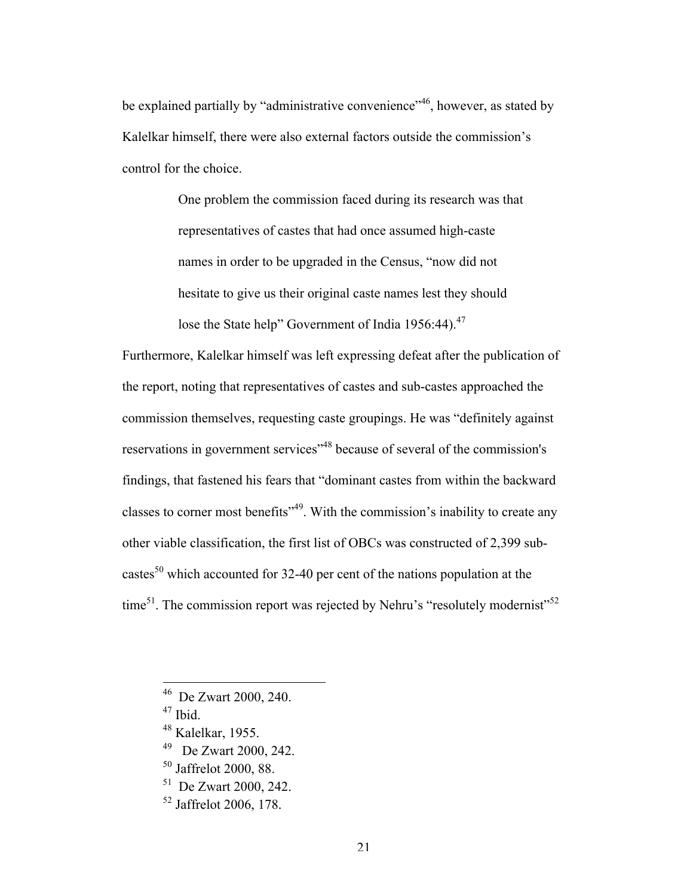be explained partially by "administrative convenience"<sup>46</sup>, however, as stated by Kalelkar himself, there were also external factors outside the commission's control for the choice.

> One problem the commission faced during its research was that representatives of castes that had once assumed high-caste names in order to be upgraded in the Census, "now did not hesitate to give us their original caste names lest they should lose the State help" Government of India 1956:44).<sup>47</sup>

Furthermore, Kalelkar himself was left expressing defeat after the publication of the report, noting that representatives of castes and sub-castes approached the commission themselves, requesting caste groupings. He was "definitely against reservations in government services"48 because of several of the commission's findings, that fastened his fears that "dominant castes from within the backward classes to corner most benefits"49. With the commission's inability to create any other viable classification, the first list of OBCs was constructed of 2,399 subcastes<sup>50</sup> which accounted for 32-40 per cent of the nations population at the time<sup>51</sup>. The commission report was rejected by Nehru's "resolutely modernist"<sup>52</sup>

46 De Zwart 2000, 240.

<sup>47</sup> Ibid.

- 49 De Zwart 2000, 242.
- <sup>50</sup> Jaffrelot 2000, 88.

51 De Zwart 2000, 242.

<sup>52</sup> Jaffrelot 2006, 178.

<sup>48</sup> Kalelkar, 1955.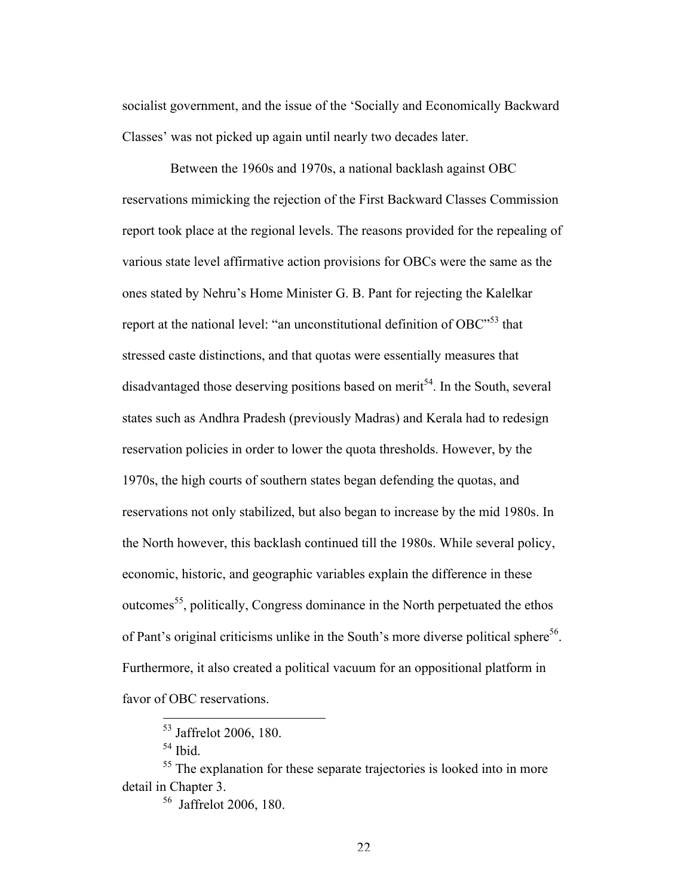socialist government, and the issue of the 'Socially and Economically Backward Classes' was not picked up again until nearly two decades later.

Between the 1960s and 1970s, a national backlash against OBC reservations mimicking the rejection of the First Backward Classes Commission report took place at the regional levels. The reasons provided for the repealing of various state level affirmative action provisions for OBCs were the same as the ones stated by Nehru's Home Minister G. B. Pant for rejecting the Kalelkar report at the national level: "an unconstitutional definition of OBC"<sup>53</sup> that stressed caste distinctions, and that quotas were essentially measures that disadvantaged those deserving positions based on merit<sup>54</sup>. In the South, several states such as Andhra Pradesh (previously Madras) and Kerala had to redesign reservation policies in order to lower the quota thresholds. However, by the 1970s, the high courts of southern states began defending the quotas, and reservations not only stabilized, but also began to increase by the mid 1980s. In the North however, this backlash continued till the 1980s. While several policy, economic, historic, and geographic variables explain the difference in these outcomes<sup>55</sup>, politically, Congress dominance in the North perpetuated the ethos of Pant's original criticisms unlike in the South's more diverse political sphere<sup>56</sup>. Furthermore, it also created a political vacuum for an oppositional platform in favor of OBC reservations.

56 Jaffrelot 2006, 180.

 <sup>53</sup> Jaffrelot 2006, 180.

<sup>54</sup> Ibid.

<sup>&</sup>lt;sup>55</sup> The explanation for these separate trajectories is looked into in more detail in Chapter 3.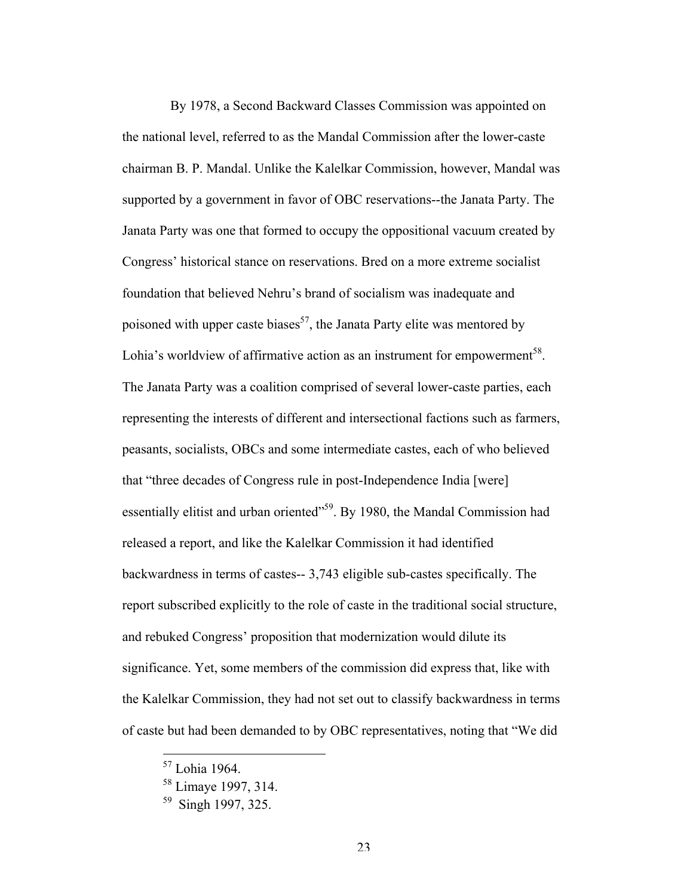By 1978, a Second Backward Classes Commission was appointed on the national level, referred to as the Mandal Commission after the lower-caste chairman B. P. Mandal. Unlike the Kalelkar Commission, however, Mandal was supported by a government in favor of OBC reservations--the Janata Party. The Janata Party was one that formed to occupy the oppositional vacuum created by Congress' historical stance on reservations. Bred on a more extreme socialist foundation that believed Nehru's brand of socialism was inadequate and poisoned with upper caste biases<sup>57</sup>, the Janata Party elite was mentored by Lohia's worldview of affirmative action as an instrument for empowerment<sup>58</sup>. The Janata Party was a coalition comprised of several lower-caste parties, each representing the interests of different and intersectional factions such as farmers, peasants, socialists, OBCs and some intermediate castes, each of who believed that "three decades of Congress rule in post-Independence India [were] essentially elitist and urban oriented"<sup>59</sup>. By 1980, the Mandal Commission had released a report, and like the Kalelkar Commission it had identified backwardness in terms of castes-- 3,743 eligible sub-castes specifically. The report subscribed explicitly to the role of caste in the traditional social structure, and rebuked Congress' proposition that modernization would dilute its significance. Yet, some members of the commission did express that, like with the Kalelkar Commission, they had not set out to classify backwardness in terms of caste but had been demanded to by OBC representatives, noting that "We did

 <sup>57</sup> Lohia 1964.

<sup>58</sup> Limaye 1997, 314.

<sup>&</sup>lt;sup>59</sup> Singh 1997, 325.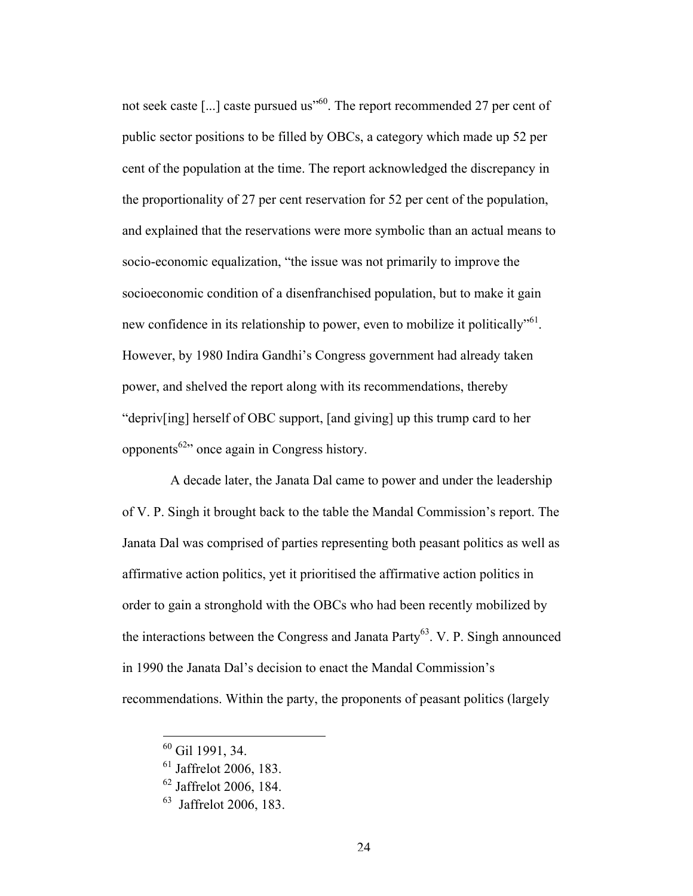not seek caste [ $\dots$ ] caste pursued us<sup> $100$ </sup>. The report recommended 27 per cent of public sector positions to be filled by OBCs, a category which made up 52 per cent of the population at the time. The report acknowledged the discrepancy in the proportionality of 27 per cent reservation for 52 per cent of the population, and explained that the reservations were more symbolic than an actual means to socio-economic equalization, "the issue was not primarily to improve the socioeconomic condition of a disenfranchised population, but to make it gain new confidence in its relationship to power, even to mobilize it politically<sup>561</sup>. However, by 1980 Indira Gandhi's Congress government had already taken power, and shelved the report along with its recommendations, thereby "depriv[ing] herself of OBC support, [and giving] up this trump card to her opponents<sup>62</sup> once again in Congress history.

A decade later, the Janata Dal came to power and under the leadership of V. P. Singh it brought back to the table the Mandal Commission's report. The Janata Dal was comprised of parties representing both peasant politics as well as affirmative action politics, yet it prioritised the affirmative action politics in order to gain a stronghold with the OBCs who had been recently mobilized by the interactions between the Congress and Janata Party<sup>63</sup>. V. P. Singh announced in 1990 the Janata Dal's decision to enact the Mandal Commission's recommendations. Within the party, the proponents of peasant politics (largely

 <sup>60</sup> Gil 1991, 34.

<sup>61</sup> Jaffrelot 2006, 183.

 $62$  Jaffrelot 2006, 184.

<sup>63</sup> Jaffrelot 2006, 183.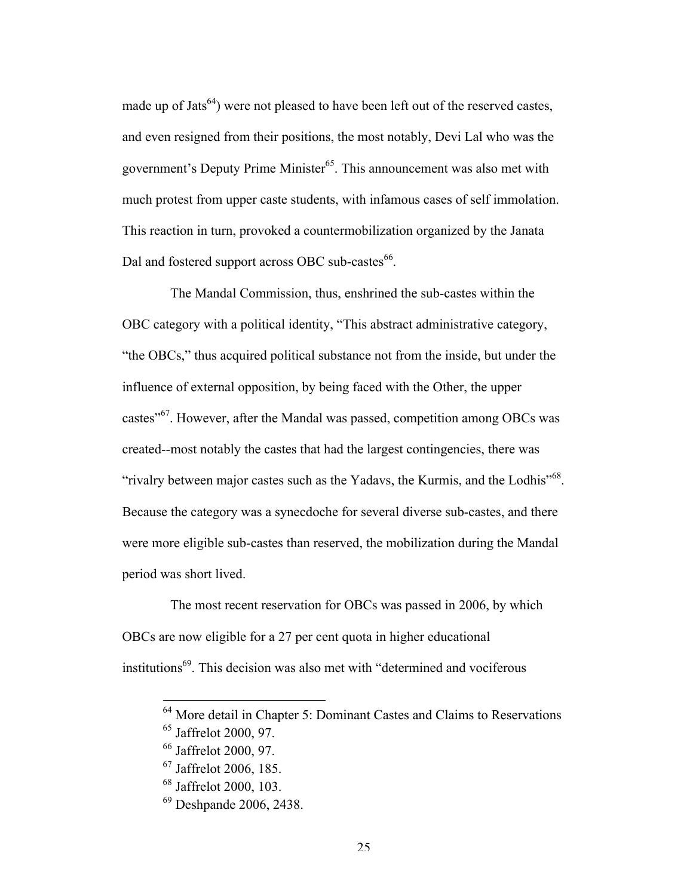made up of Jats<sup>64</sup>) were not pleased to have been left out of the reserved castes, and even resigned from their positions, the most notably, Devi Lal who was the government's Deputy Prime Minister<sup>65</sup>. This announcement was also met with much protest from upper caste students, with infamous cases of self immolation. This reaction in turn, provoked a countermobilization organized by the Janata Dal and fostered support across OBC sub-castes<sup>66</sup>.

The Mandal Commission, thus, enshrined the sub-castes within the OBC category with a political identity, "This abstract administrative category, "the OBCs," thus acquired political substance not from the inside, but under the influence of external opposition, by being faced with the Other, the upper castes"67. However, after the Mandal was passed, competition among OBCs was created--most notably the castes that had the largest contingencies, there was "rivalry between major castes such as the Yadavs, the Kurmis, and the Lodhis"<sup>68</sup>. Because the category was a synecdoche for several diverse sub-castes, and there were more eligible sub-castes than reserved, the mobilization during the Mandal period was short lived.

The most recent reservation for OBCs was passed in 2006, by which OBCs are now eligible for a 27 per cent quota in higher educational institutions<sup>69</sup>. This decision was also met with "determined and vociferous"

 <sup>64</sup> More detail in Chapter 5: Dominant Castes and Claims to Reservations <sup>65</sup> Jaffrelot 2000, 97.

<sup>66</sup> Jaffrelot 2000, 97.

<sup>67</sup> Jaffrelot 2006, 185.

<sup>68</sup> Jaffrelot 2000, 103.

<sup>69</sup> Deshpande 2006, 2438.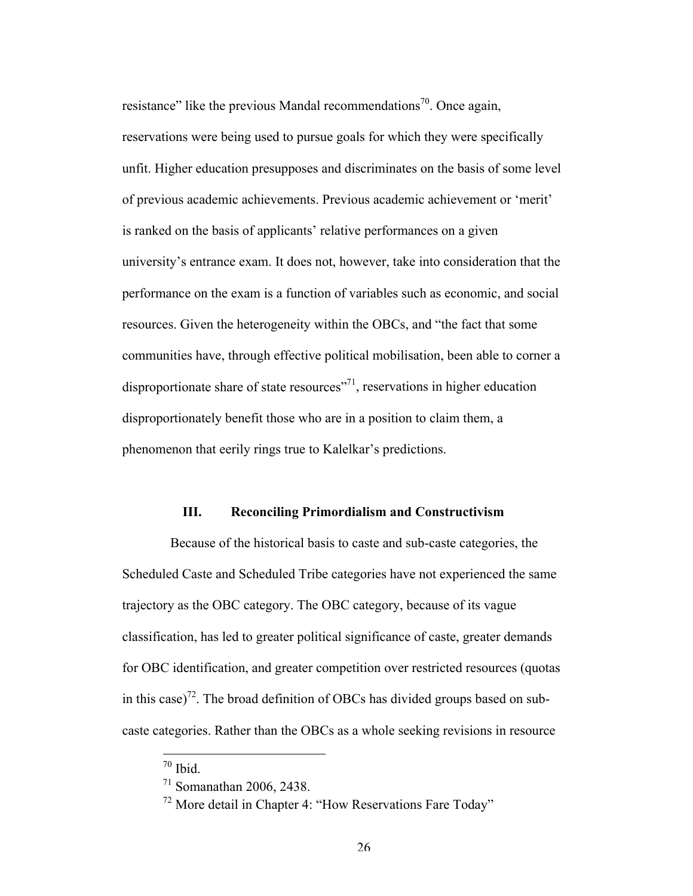resistance" like the previous Mandal recommendations<sup>70</sup>. Once again, reservations were being used to pursue goals for which they were specifically unfit. Higher education presupposes and discriminates on the basis of some level of previous academic achievements. Previous academic achievement or 'merit' is ranked on the basis of applicants' relative performances on a given university's entrance exam. It does not, however, take into consideration that the performance on the exam is a function of variables such as economic, and social resources. Given the heterogeneity within the OBCs, and "the fact that some communities have, through effective political mobilisation, been able to corner a disproportionate share of state resources<sup>"71</sup>, reservations in higher education disproportionately benefit those who are in a position to claim them, a phenomenon that eerily rings true to Kalelkar's predictions.

### **III. Reconciling Primordialism and Constructivism**

Because of the historical basis to caste and sub-caste categories, the Scheduled Caste and Scheduled Tribe categories have not experienced the same trajectory as the OBC category. The OBC category, because of its vague classification, has led to greater political significance of caste, greater demands for OBC identification, and greater competition over restricted resources (quotas in this case)<sup>72</sup>. The broad definition of OBCs has divided groups based on subcaste categories. Rather than the OBCs as a whole seeking revisions in resource

 $70$  Ibid.

<sup>71</sup> Somanathan 2006, 2438.

<sup>72</sup> More detail in Chapter 4: "How Reservations Fare Today"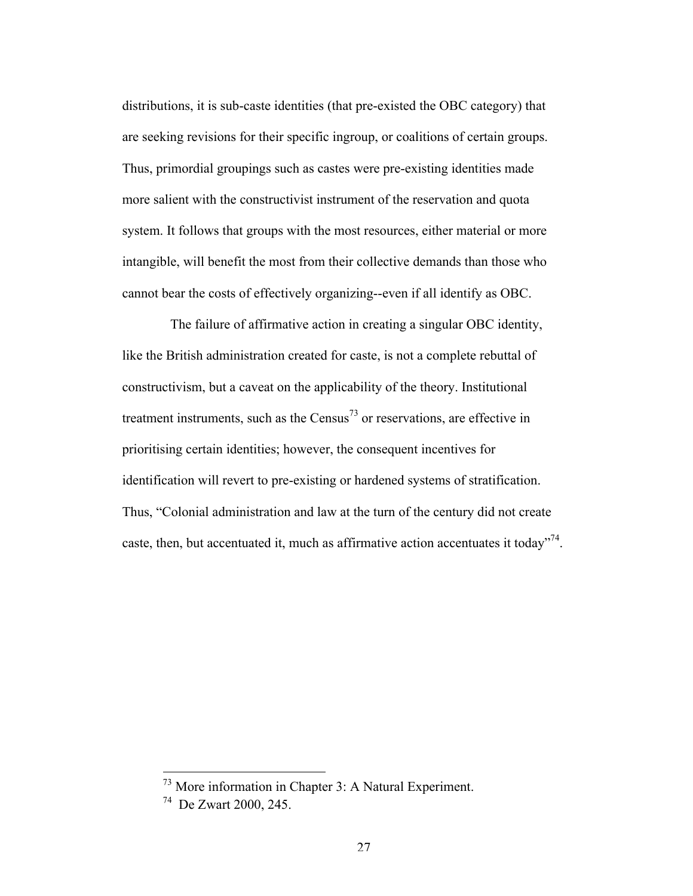distributions, it is sub-caste identities (that pre-existed the OBC category) that are seeking revisions for their specific ingroup, or coalitions of certain groups. Thus, primordial groupings such as castes were pre-existing identities made more salient with the constructivist instrument of the reservation and quota system. It follows that groups with the most resources, either material or more intangible, will benefit the most from their collective demands than those who cannot bear the costs of effectively organizing--even if all identify as OBC.

The failure of affirmative action in creating a singular OBC identity, like the British administration created for caste, is not a complete rebuttal of constructivism, but a caveat on the applicability of the theory. Institutional treatment instruments, such as the  $Census<sup>73</sup>$  or reservations, are effective in prioritising certain identities; however, the consequent incentives for identification will revert to pre-existing or hardened systems of stratification. Thus, "Colonial administration and law at the turn of the century did not create caste, then, but accentuated it, much as affirmative action accentuates it today<sup> $n^2$ </sup>.

 <sup>73</sup> More information in Chapter 3: A Natural Experiment.

<sup>74</sup> De Zwart 2000, 245.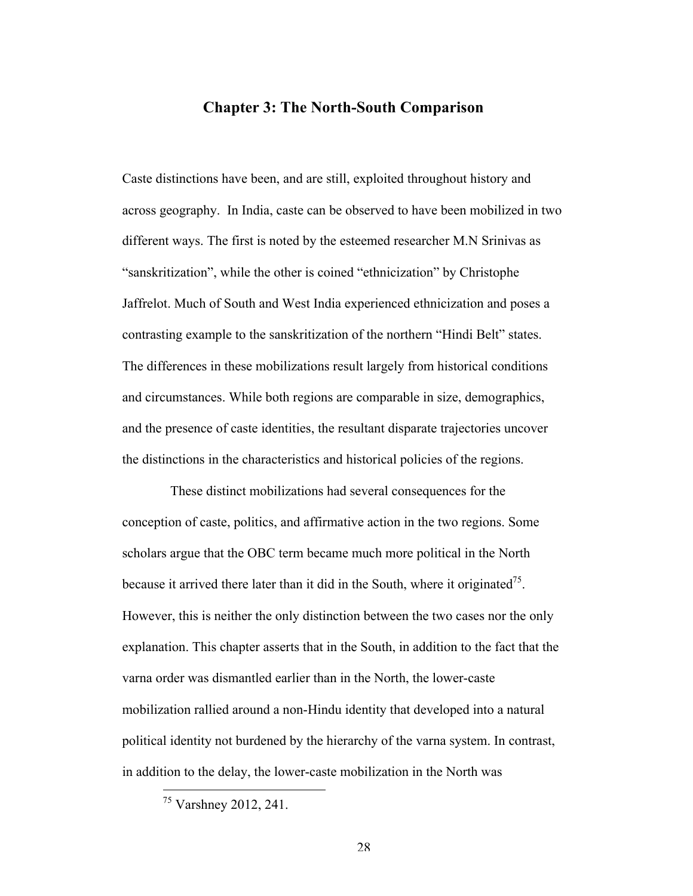### **Chapter 3: The North-South Comparison**

Caste distinctions have been, and are still, exploited throughout history and across geography. In India, caste can be observed to have been mobilized in two different ways. The first is noted by the esteemed researcher M.N Srinivas as "sanskritization", while the other is coined "ethnicization" by Christophe Jaffrelot. Much of South and West India experienced ethnicization and poses a contrasting example to the sanskritization of the northern "Hindi Belt" states. The differences in these mobilizations result largely from historical conditions and circumstances. While both regions are comparable in size, demographics, and the presence of caste identities, the resultant disparate trajectories uncover the distinctions in the characteristics and historical policies of the regions.

These distinct mobilizations had several consequences for the conception of caste, politics, and affirmative action in the two regions. Some scholars argue that the OBC term became much more political in the North because it arrived there later than it did in the South, where it originated<sup>75</sup>. However, this is neither the only distinction between the two cases nor the only explanation. This chapter asserts that in the South, in addition to the fact that the varna order was dismantled earlier than in the North, the lower-caste mobilization rallied around a non-Hindu identity that developed into a natural political identity not burdened by the hierarchy of the varna system. In contrast, in addition to the delay, the lower-caste mobilization in the North was

 <sup>75</sup> Varshney 2012, 241.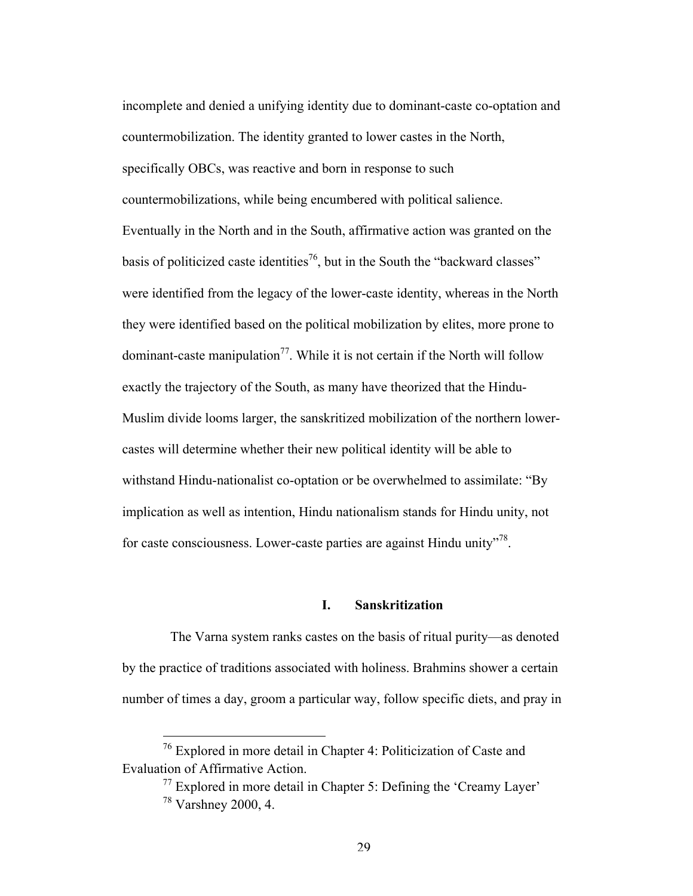incomplete and denied a unifying identity due to dominant-caste co-optation and countermobilization. The identity granted to lower castes in the North, specifically OBCs, was reactive and born in response to such countermobilizations, while being encumbered with political salience. Eventually in the North and in the South, affirmative action was granted on the basis of politicized caste identities<sup>76</sup>, but in the South the "backward classes" were identified from the legacy of the lower-caste identity, whereas in the North they were identified based on the political mobilization by elites, more prone to dominant-caste manipulation<sup>77</sup>. While it is not certain if the North will follow exactly the trajectory of the South, as many have theorized that the Hindu-Muslim divide looms larger, the sanskritized mobilization of the northern lowercastes will determine whether their new political identity will be able to withstand Hindu-nationalist co-optation or be overwhelmed to assimilate: "By implication as well as intention, Hindu nationalism stands for Hindu unity, not for caste consciousness. Lower-caste parties are against Hindu unity $^{378}$ .

### **I. Sanskritization**

The Varna system ranks castes on the basis of ritual purity—as denoted by the practice of traditions associated with holiness. Brahmins shower a certain number of times a day, groom a particular way, follow specific diets, and pray in

 <sup>76</sup> Explored in more detail in Chapter 4: Politicization of Caste and Evaluation of Affirmative Action.

 $77$  Explored in more detail in Chapter 5: Defining the 'Creamy Layer' <sup>78</sup> Varshney 2000, 4.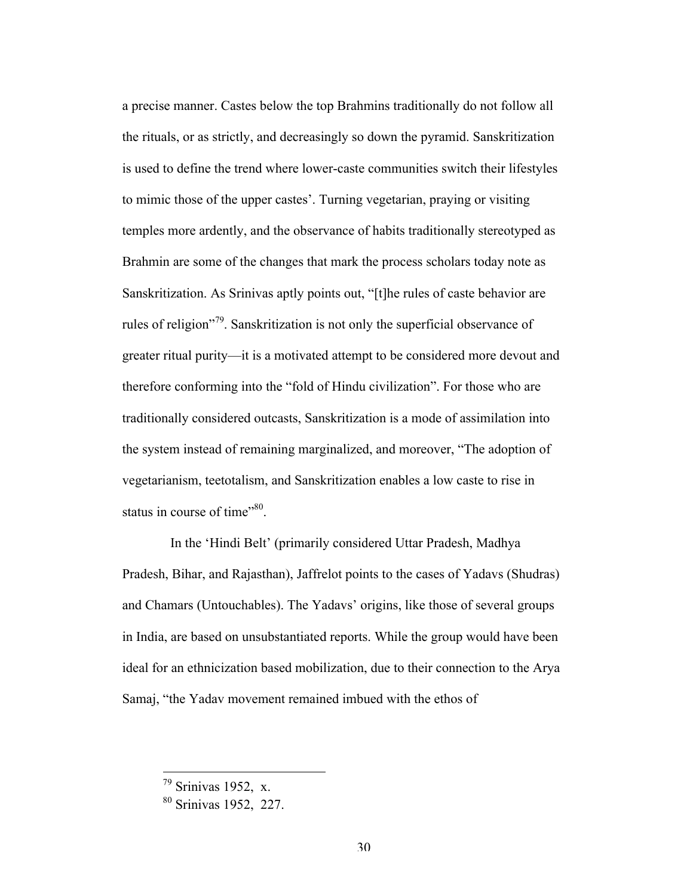a precise manner. Castes below the top Brahmins traditionally do not follow all the rituals, or as strictly, and decreasingly so down the pyramid. Sanskritization is used to define the trend where lower-caste communities switch their lifestyles to mimic those of the upper castes'. Turning vegetarian, praying or visiting temples more ardently, and the observance of habits traditionally stereotyped as Brahmin are some of the changes that mark the process scholars today note as Sanskritization. As Srinivas aptly points out, "[t]he rules of caste behavior are rules of religion"79. Sanskritization is not only the superficial observance of greater ritual purity—it is a motivated attempt to be considered more devout and therefore conforming into the "fold of Hindu civilization". For those who are traditionally considered outcasts, Sanskritization is a mode of assimilation into the system instead of remaining marginalized, and moreover, "The adoption of vegetarianism, teetotalism, and Sanskritization enables a low caste to rise in status in course of time $^{980}$ .

In the 'Hindi Belt' (primarily considered Uttar Pradesh, Madhya Pradesh, Bihar, and Rajasthan), Jaffrelot points to the cases of Yadavs (Shudras) and Chamars (Untouchables). The Yadavs' origins, like those of several groups in India, are based on unsubstantiated reports. While the group would have been ideal for an ethnicization based mobilization, due to their connection to the Arya Samaj, "the Yadav movement remained imbued with the ethos of

 $79$  Srinivas 1952, x.

<sup>80</sup> Srinivas 1952, 227.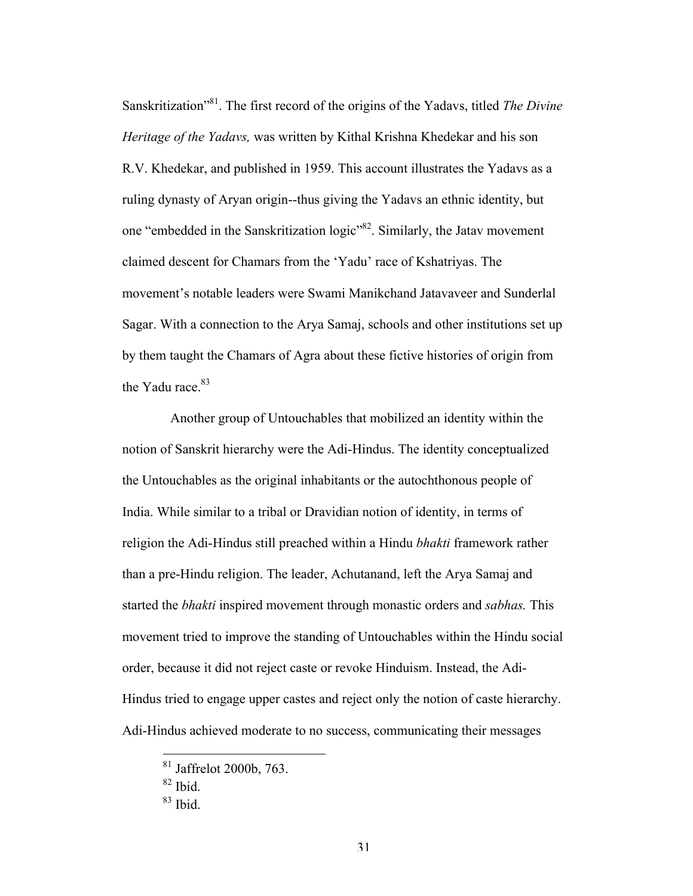Sanskritization"81. The first record of the origins of the Yadavs, titled *The Divine Heritage of the Yadavs,* was written by Kithal Krishna Khedekar and his son R.V. Khedekar, and published in 1959. This account illustrates the Yadavs as a ruling dynasty of Aryan origin--thus giving the Yadavs an ethnic identity, but one "embedded in the Sanskritization logic"82. Similarly, the Jatav movement claimed descent for Chamars from the 'Yadu' race of Kshatriyas. The movement's notable leaders were Swami Manikchand Jatavaveer and Sunderlal Sagar. With a connection to the Arya Samaj, schools and other institutions set up by them taught the Chamars of Agra about these fictive histories of origin from the Yadu race. $83$ 

Another group of Untouchables that mobilized an identity within the notion of Sanskrit hierarchy were the Adi-Hindus. The identity conceptualized the Untouchables as the original inhabitants or the autochthonous people of India. While similar to a tribal or Dravidian notion of identity, in terms of religion the Adi-Hindus still preached within a Hindu *bhakti* framework rather than a pre-Hindu religion. The leader, Achutanand, left the Arya Samaj and started the *bhakti* inspired movement through monastic orders and *sabhas.* This movement tried to improve the standing of Untouchables within the Hindu social order, because it did not reject caste or revoke Hinduism. Instead, the Adi-Hindus tried to engage upper castes and reject only the notion of caste hierarchy. Adi-Hindus achieved moderate to no success, communicating their messages

 <sup>81</sup> Jaffrelot 2000b, 763.

 $82$  Ibid.

 $83$  Ibid.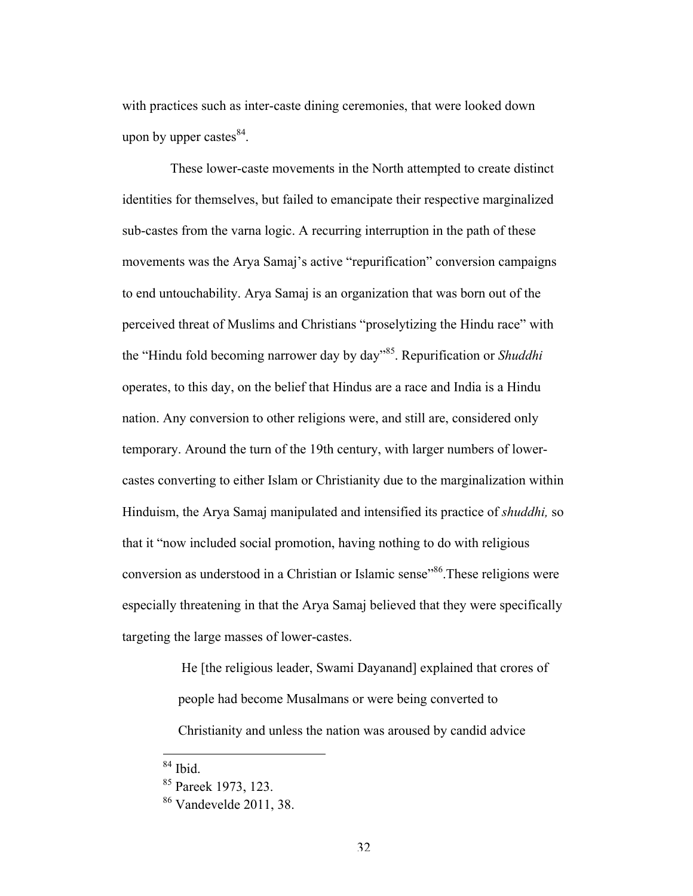with practices such as inter-caste dining ceremonies, that were looked down upon by upper castes $^{84}$ .

These lower-caste movements in the North attempted to create distinct identities for themselves, but failed to emancipate their respective marginalized sub-castes from the varna logic. A recurring interruption in the path of these movements was the Arya Samaj's active "repurification" conversion campaigns to end untouchability. Arya Samaj is an organization that was born out of the perceived threat of Muslims and Christians "proselytizing the Hindu race" with the "Hindu fold becoming narrower day by day"85. Repurification or *Shuddhi*  operates, to this day, on the belief that Hindus are a race and India is a Hindu nation. Any conversion to other religions were, and still are, considered only temporary. Around the turn of the 19th century, with larger numbers of lowercastes converting to either Islam or Christianity due to the marginalization within Hinduism, the Arya Samaj manipulated and intensified its practice of *shuddhi,* so that it "now included social promotion, having nothing to do with religious conversion as understood in a Christian or Islamic sense<sup>386</sup>. These religions were especially threatening in that the Arya Samaj believed that they were specifically targeting the large masses of lower-castes.

> He [the religious leader, Swami Dayanand] explained that crores of people had become Musalmans or were being converted to

Christianity and unless the nation was aroused by candid advice

 $84$  Ibid.

<sup>85</sup> Pareek 1973, 123.

<sup>86</sup> Vandevelde 2011, 38.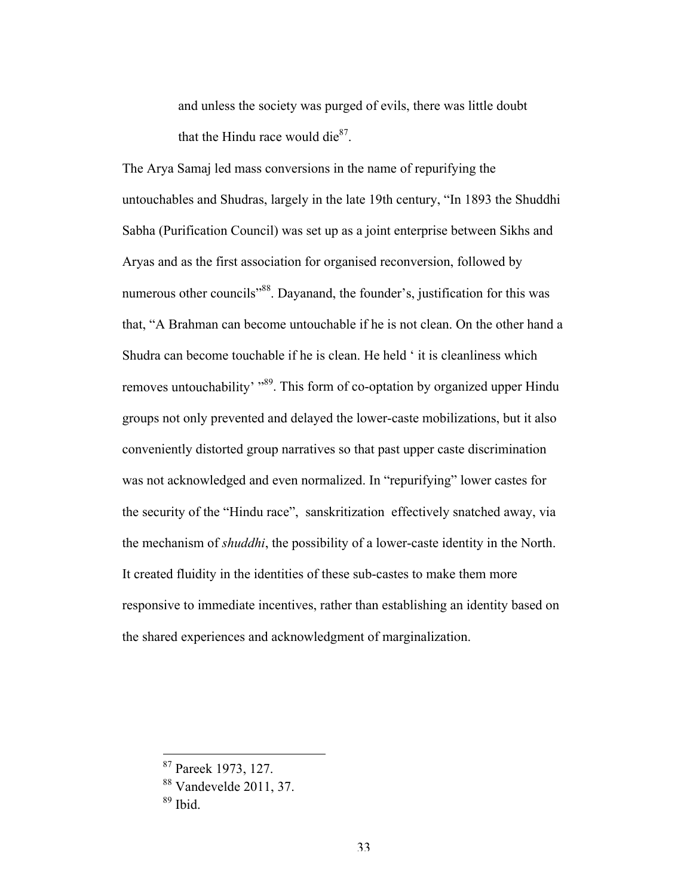and unless the society was purged of evils, there was little doubt that the Hindu race would die $^{87}$ .

The Arya Samaj led mass conversions in the name of repurifying the untouchables and Shudras, largely in the late 19th century, "In 1893 the Shuddhi Sabha (Purification Council) was set up as a joint enterprise between Sikhs and Aryas and as the first association for organised reconversion, followed by numerous other councils<sup>"88</sup>. Dayanand, the founder's, justification for this was that, "A Brahman can become untouchable if he is not clean. On the other hand a Shudra can become touchable if he is clean. He held ' it is cleanliness which removes untouchability' "<sup>89</sup>. This form of co-optation by organized upper Hindu groups not only prevented and delayed the lower-caste mobilizations, but it also conveniently distorted group narratives so that past upper caste discrimination was not acknowledged and even normalized. In "repurifying" lower castes for the security of the "Hindu race", sanskritization effectively snatched away, via the mechanism of *shuddhi*, the possibility of a lower-caste identity in the North. It created fluidity in the identities of these sub-castes to make them more responsive to immediate incentives, rather than establishing an identity based on the shared experiences and acknowledgment of marginalization.

 <sup>87</sup> Pareek 1973, 127.

<sup>88</sup> Vandevelde 2011, 37.

<sup>89</sup> Ibid.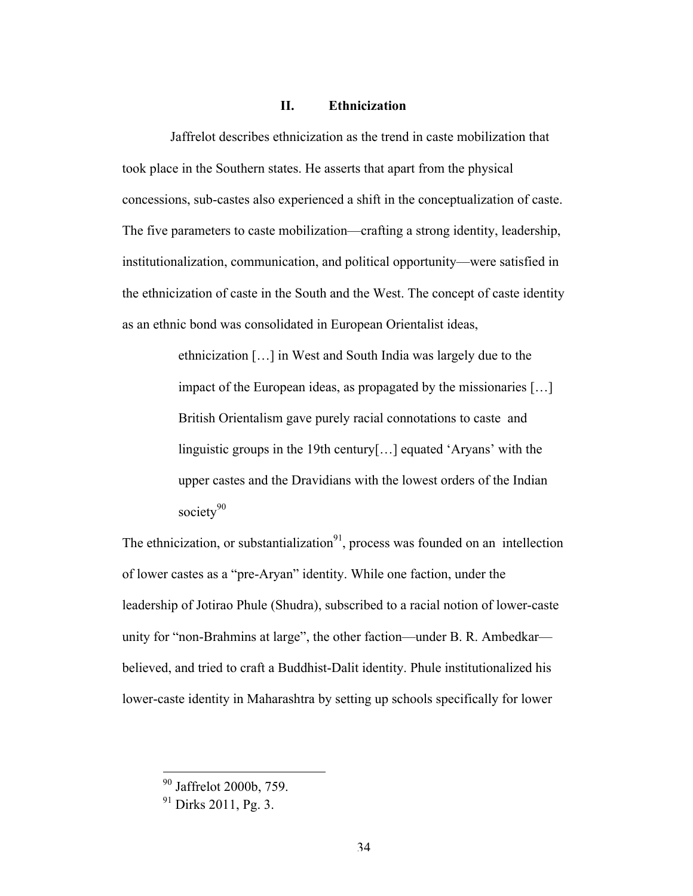### **II. Ethnicization**

Jaffrelot describes ethnicization as the trend in caste mobilization that took place in the Southern states. He asserts that apart from the physical concessions, sub-castes also experienced a shift in the conceptualization of caste. The five parameters to caste mobilization—crafting a strong identity, leadership, institutionalization, communication, and political opportunity—were satisfied in the ethnicization of caste in the South and the West. The concept of caste identity as an ethnic bond was consolidated in European Orientalist ideas,

> ethnicization […] in West and South India was largely due to the impact of the European ideas, as propagated by the missionaries […] British Orientalism gave purely racial connotations to caste and linguistic groups in the 19th century[…] equated 'Aryans' with the upper castes and the Dravidians with the lowest orders of the Indian society<sup>90</sup>

The ethnicization, or substantialization<sup>91</sup>, process was founded on an intellection of lower castes as a "pre-Aryan" identity. While one faction, under the leadership of Jotirao Phule (Shudra), subscribed to a racial notion of lower-caste unity for "non-Brahmins at large", the other faction—under B. R. Ambedkar believed, and tried to craft a Buddhist-Dalit identity. Phule institutionalized his lower-caste identity in Maharashtra by setting up schools specifically for lower

 <sup>90</sup> Jaffrelot 2000b, 759.

<sup>91</sup> Dirks 2011, Pg. 3.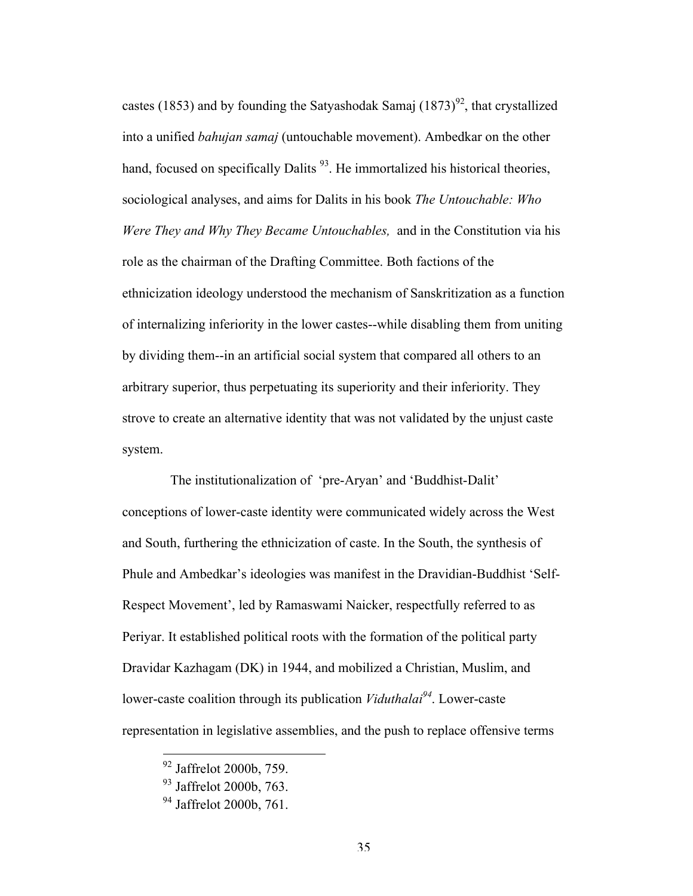castes (1853) and by founding the Satyashodak Samaj  $(1873)^{92}$ , that crystallized into a unified *bahujan samaj* (untouchable movement). Ambedkar on the other hand, focused on specifically Dalits  $93$ . He immortalized his historical theories, sociological analyses, and aims for Dalits in his book *The Untouchable: Who Were They and Why They Became Untouchables,* and in the Constitution via his role as the chairman of the Drafting Committee. Both factions of the ethnicization ideology understood the mechanism of Sanskritization as a function of internalizing inferiority in the lower castes--while disabling them from uniting by dividing them--in an artificial social system that compared all others to an arbitrary superior, thus perpetuating its superiority and their inferiority. They strove to create an alternative identity that was not validated by the unjust caste system.

The institutionalization of 'pre-Aryan' and 'Buddhist-Dalit' conceptions of lower-caste identity were communicated widely across the West and South, furthering the ethnicization of caste. In the South, the synthesis of Phule and Ambedkar's ideologies was manifest in the Dravidian-Buddhist 'Self-Respect Movement', led by Ramaswami Naicker, respectfully referred to as Periyar. It established political roots with the formation of the political party Dravidar Kazhagam (DK) in 1944, and mobilized a Christian, Muslim, and lower-caste coalition through its publication *Viduthalai<sup>94</sup>*. Lower-caste representation in legislative assemblies, and the push to replace offensive terms

<sup>&</sup>lt;sup>92</sup> Jaffrelot 2000b, 759.

<sup>93</sup> Jaffrelot 2000b, 763.

<sup>&</sup>lt;sup>94</sup> Jaffrelot 2000b, 761.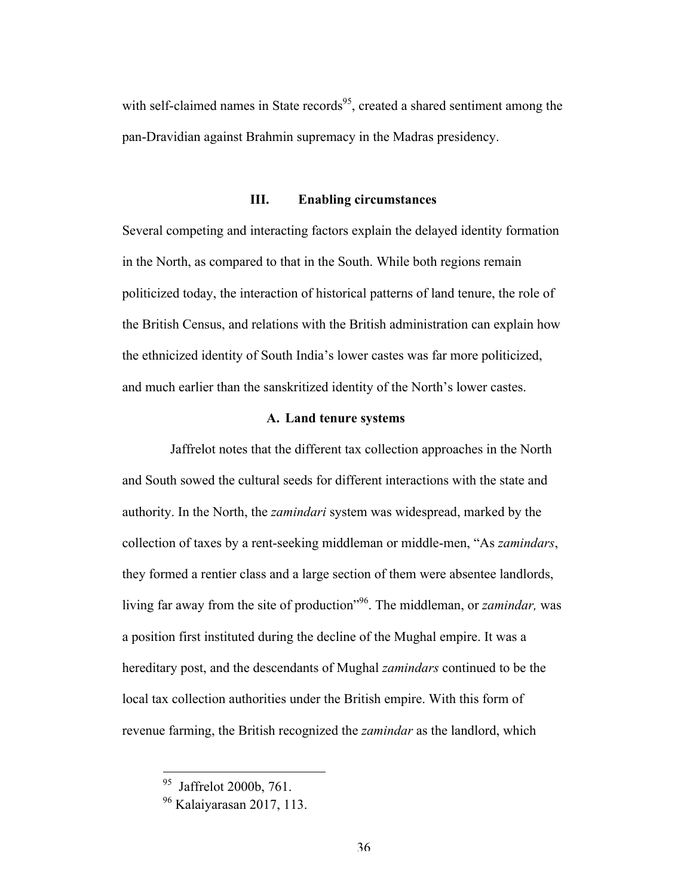with self-claimed names in State records<sup>95</sup>, created a shared sentiment among the pan-Dravidian against Brahmin supremacy in the Madras presidency.

### **III. Enabling circumstances**

Several competing and interacting factors explain the delayed identity formation in the North, as compared to that in the South. While both regions remain politicized today, the interaction of historical patterns of land tenure, the role of the British Census, and relations with the British administration can explain how the ethnicized identity of South India's lower castes was far more politicized, and much earlier than the sanskritized identity of the North's lower castes.

### **A. Land tenure systems**

Jaffrelot notes that the different tax collection approaches in the North and South sowed the cultural seeds for different interactions with the state and authority. In the North, the *zamindari* system was widespread, marked by the collection of taxes by a rent-seeking middleman or middle-men, "As *zamindars*, they formed a rentier class and a large section of them were absentee landlords, living far away from the site of production"96. The middleman, or *zamindar,* was a position first instituted during the decline of the Mughal empire. It was a hereditary post, and the descendants of Mughal *zamindars* continued to be the local tax collection authorities under the British empire. With this form of revenue farming, the British recognized the *zamindar* as the landlord, which

<sup>&</sup>lt;sup>95</sup> Jaffrelot 2000b, 761.

<sup>96</sup> Kalaiyarasan 2017, 113.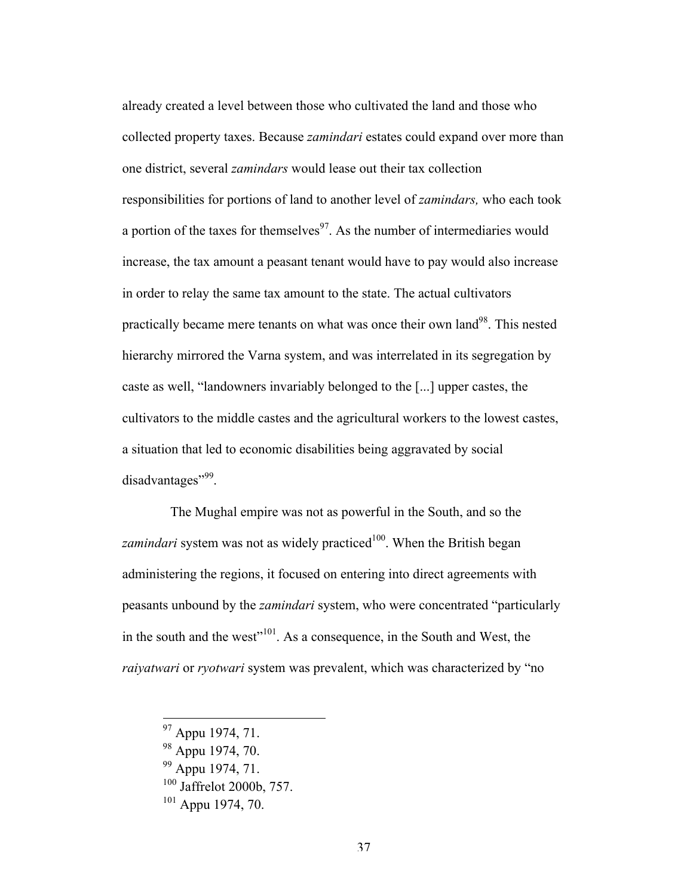already created a level between those who cultivated the land and those who collected property taxes. Because *zamindari* estates could expand over more than one district, several *zamindars* would lease out their tax collection responsibilities for portions of land to another level of *zamindars,* who each took a portion of the taxes for themselves<sup>97</sup>. As the number of intermediaries would increase, the tax amount a peasant tenant would have to pay would also increase in order to relay the same tax amount to the state. The actual cultivators practically became mere tenants on what was once their own land<sup>98</sup>. This nested hierarchy mirrored the Varna system, and was interrelated in its segregation by caste as well, "landowners invariably belonged to the [...] upper castes, the cultivators to the middle castes and the agricultural workers to the lowest castes, a situation that led to economic disabilities being aggravated by social disadvantages", 99.

The Mughal empire was not as powerful in the South, and so the *zamindari* system was not as widely practiced<sup>100</sup>. When the British began administering the regions, it focused on entering into direct agreements with peasants unbound by the *zamindari* system, who were concentrated "particularly in the south and the west"<sup>101</sup>. As a consequence, in the South and West, the *raiyatwari* or *ryotwari* system was prevalent, which was characterized by "no

 <sup>97</sup> Appu 1974, 71.

<sup>98</sup> Appu 1974, 70.

<sup>&</sup>lt;sup>99</sup> Appu 1974, 71.

 $100$  Jaffrelot 2000b, 757.

 $101$  Appu 1974, 70.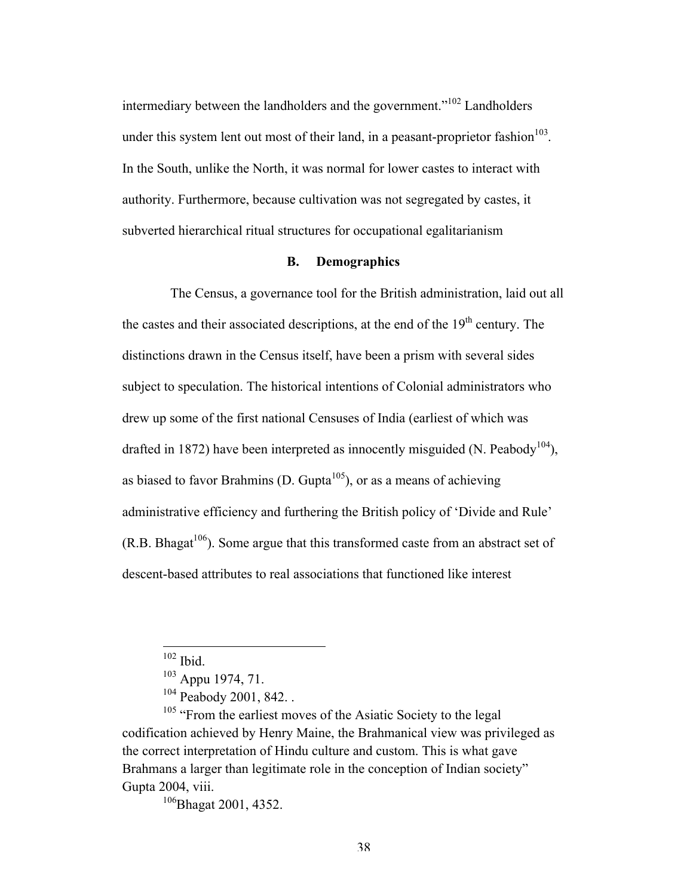intermediary between the landholders and the government."<sup>102</sup> Landholders under this system lent out most of their land, in a peasant-proprietor fashion $103$ . In the South, unlike the North, it was normal for lower castes to interact with authority. Furthermore, because cultivation was not segregated by castes, it subverted hierarchical ritual structures for occupational egalitarianism

## **B. Demographics**

The Census, a governance tool for the British administration, laid out all the castes and their associated descriptions, at the end of the  $19<sup>th</sup>$  century. The distinctions drawn in the Census itself, have been a prism with several sides subject to speculation. The historical intentions of Colonial administrators who drew up some of the first national Censuses of India (earliest of which was drafted in 1872) have been interpreted as innocently misguided (N. Peabody<sup>104</sup>), as biased to favor Brahmins (D. Gupta<sup>105</sup>), or as a means of achieving administrative efficiency and furthering the British policy of 'Divide and Rule'  $(R.B. Bhagat<sup>106</sup>)$ . Some argue that this transformed caste from an abstract set of descent-based attributes to real associations that functioned like interest

 $102$  Ibid.

 $103$  Appu 1974, 71.

<sup>&</sup>lt;sup>104</sup> Peabody 2001, 842. .

<sup>&</sup>lt;sup>105</sup> "From the earliest moves of the Asiatic Society to the legal codification achieved by Henry Maine, the Brahmanical view was privileged as the correct interpretation of Hindu culture and custom. This is what gave Brahmans a larger than legitimate role in the conception of Indian society" Gupta 2004, viii.

<sup>&</sup>lt;sup>106</sup>Bhagat 2001, 4352.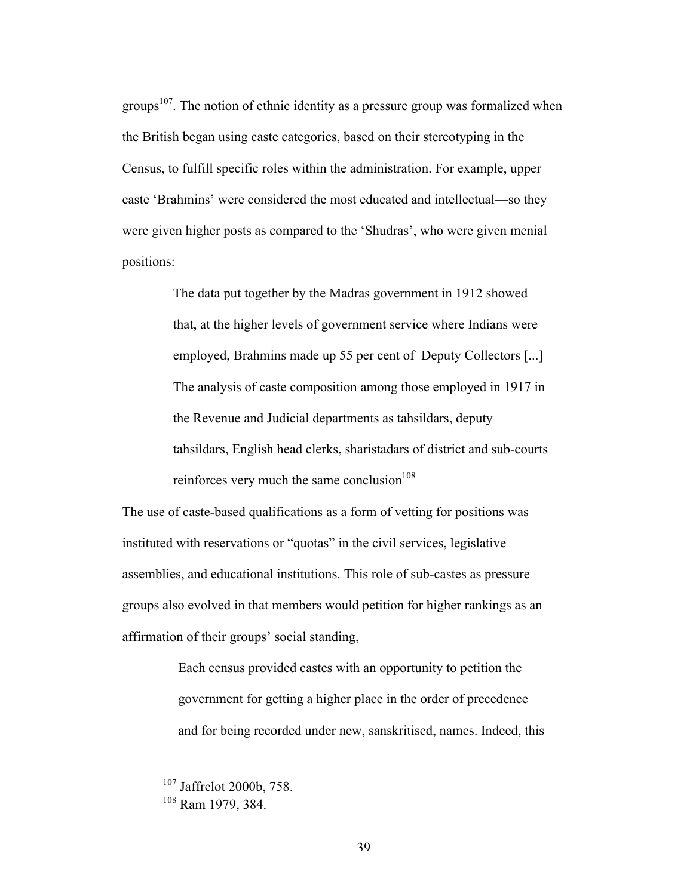groups<sup>107</sup>. The notion of ethnic identity as a pressure group was formalized when the British began using caste categories, based on their stereotyping in the Census, to fulfill specific roles within the administration. For example, upper caste 'Brahmins' were considered the most educated and intellectual—so they were given higher posts as compared to the 'Shudras', who were given menial positions:

> The data put together by the Madras government in 1912 showed that, at the higher levels of government service where Indians were employed, Brahmins made up 55 per cent of Deputy Collectors [...] The analysis of caste composition among those employed in 1917 in the Revenue and Judicial departments as tahsildars, deputy tahsildars, English head clerks, sharistadars of district and sub-courts reinforces very much the same conclusion $108$

The use of caste-based qualifications as a form of vetting for positions was instituted with reservations or "quotas" in the civil services, legislative assemblies, and educational institutions. This role of sub-castes as pressure groups also evolved in that members would petition for higher rankings as an affirmation of their groups' social standing,

> Each census provided castes with an opportunity to petition the government for getting a higher place in the order of precedence and for being recorded under new, sanskritised, names. Indeed, this

 <sup>107</sup> Jaffrelot 2000b, 758.

<sup>108</sup> Ram 1979, 384.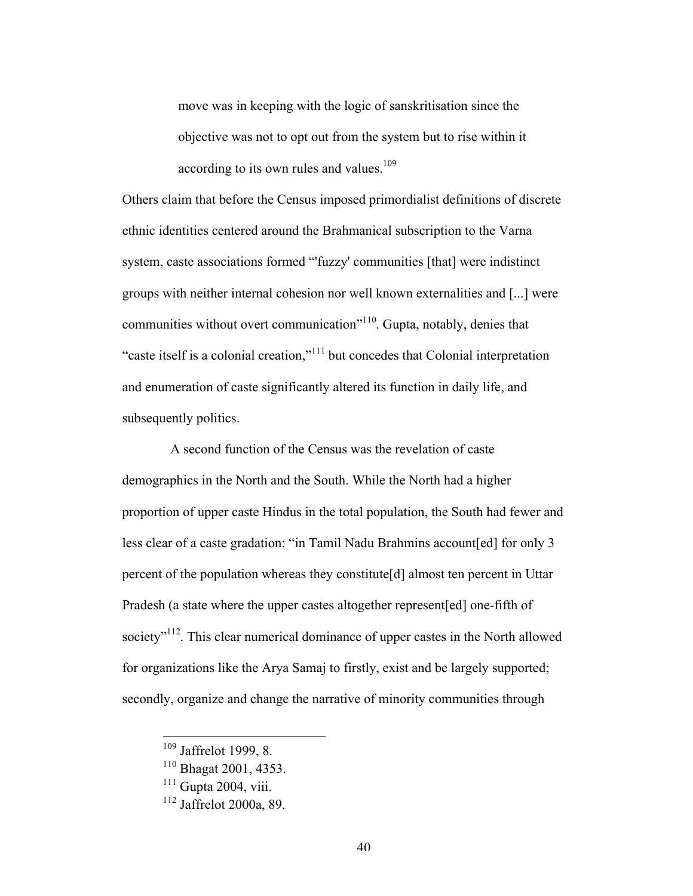move was in keeping with the logic of sanskritisation since the objective was not to opt out from the system but to rise within it according to its own rules and values.<sup>109</sup>

Others claim that before the Census imposed primordialist definitions of discrete ethnic identities centered around the Brahmanical subscription to the Varna system, caste associations formed "'fuzzy' communities [that] were indistinct groups with neither internal cohesion nor well known externalities and [...] were communities without overt communication"110. Gupta, notably, denies that "caste itself is a colonial creation,"111 but concedes that Colonial interpretation and enumeration of caste significantly altered its function in daily life, and subsequently politics.

A second function of the Census was the revelation of caste demographics in the North and the South. While the North had a higher proportion of upper caste Hindus in the total population, the South had fewer and less clear of a caste gradation: "in Tamil Nadu Brahmins account[ed] for only 3 percent of the population whereas they constitute[d] almost ten percent in Uttar Pradesh (a state where the upper castes altogether represent[ed] one-fifth of society"<sup>112</sup>. This clear numerical dominance of upper castes in the North allowed for organizations like the Arya Samaj to firstly, exist and be largely supported; secondly, organize and change the narrative of minority communities through

 <sup>109</sup> Jaffrelot 1999, 8.

<sup>110</sup> Bhagat 2001, 4353.

 $111$  Gupta 2004, viii.

<sup>112</sup> Jaffrelot 2000a, 89.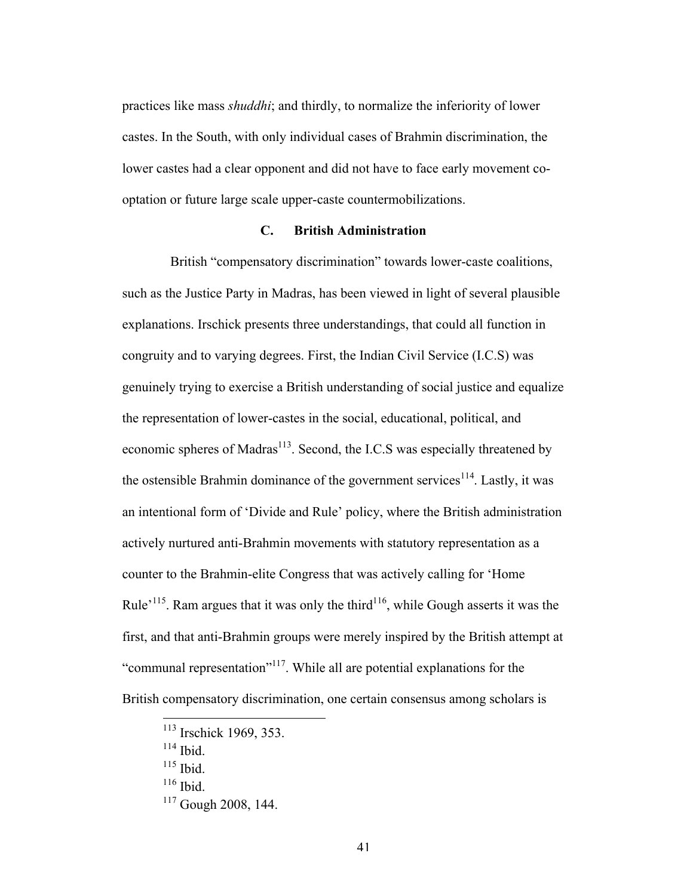practices like mass *shuddhi*; and thirdly, to normalize the inferiority of lower castes. In the South, with only individual cases of Brahmin discrimination, the lower castes had a clear opponent and did not have to face early movement cooptation or future large scale upper-caste countermobilizations.

## **C. British Administration**

British "compensatory discrimination" towards lower-caste coalitions, such as the Justice Party in Madras, has been viewed in light of several plausible explanations. Irschick presents three understandings, that could all function in congruity and to varying degrees. First, the Indian Civil Service (I.C.S) was genuinely trying to exercise a British understanding of social justice and equalize the representation of lower-castes in the social, educational, political, and economic spheres of Madras<sup>113</sup>. Second, the I.C.S was especially threatened by the ostensible Brahmin dominance of the government services<sup>114</sup>. Lastly, it was an intentional form of 'Divide and Rule' policy, where the British administration actively nurtured anti-Brahmin movements with statutory representation as a counter to the Brahmin-elite Congress that was actively calling for 'Home Rule<sup> $115$ </sup>. Ram argues that it was only the third<sup>116</sup>, while Gough asserts it was the first, and that anti-Brahmin groups were merely inspired by the British attempt at "communal representation"<sup>117</sup>. While all are potential explanations for the British compensatory discrimination, one certain consensus among scholars is

 <sup>113</sup> Irschick 1969, 353.

 $114$  Ibid.

 $115$  Ibid.

 $116$  Ibid.

<sup>117</sup> Gough 2008, 144.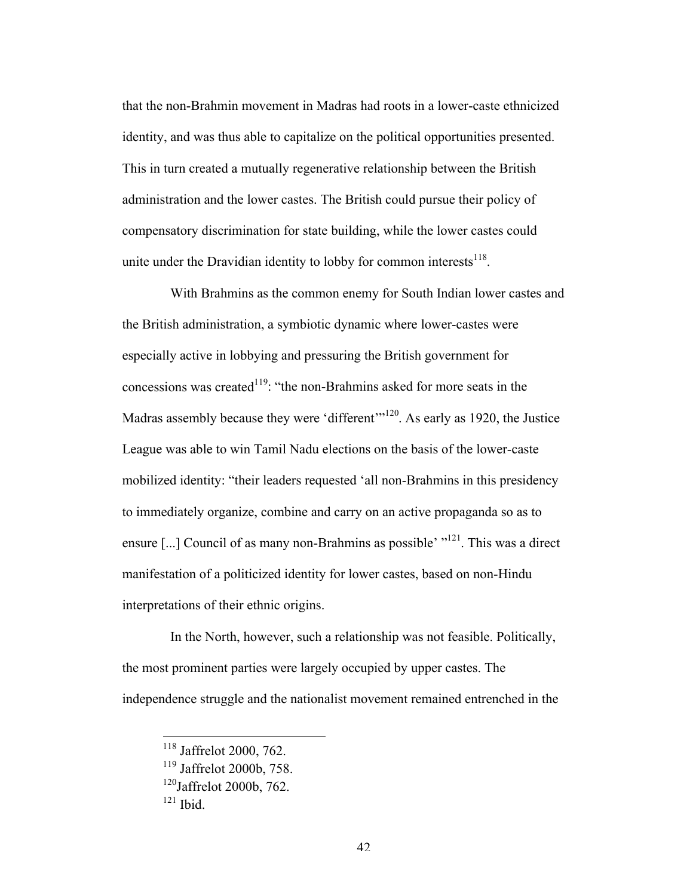that the non-Brahmin movement in Madras had roots in a lower-caste ethnicized identity, and was thus able to capitalize on the political opportunities presented. This in turn created a mutually regenerative relationship between the British administration and the lower castes. The British could pursue their policy of compensatory discrimination for state building, while the lower castes could unite under the Dravidian identity to lobby for common interests $^{118}$ .

With Brahmins as the common enemy for South Indian lower castes and the British administration, a symbiotic dynamic where lower-castes were especially active in lobbying and pressuring the British government for concessions was created<sup>119</sup>: "the non-Brahmins asked for more seats in the Madras assembly because they were 'different'<sup>120</sup>. As early as 1920, the Justice League was able to win Tamil Nadu elections on the basis of the lower-caste mobilized identity: "their leaders requested 'all non-Brahmins in this presidency to immediately organize, combine and carry on an active propaganda so as to ensure [...] Council of as many non-Brahmins as possible' "121. This was a direct manifestation of a politicized identity for lower castes, based on non-Hindu interpretations of their ethnic origins.

In the North, however, such a relationship was not feasible. Politically, the most prominent parties were largely occupied by upper castes. The independence struggle and the nationalist movement remained entrenched in the

 <sup>118</sup> Jaffrelot 2000, 762.

<sup>119</sup> Jaffrelot 2000b, 758.

<sup>120</sup>Jaffrelot 2000b, 762.

 $121$  Ibid.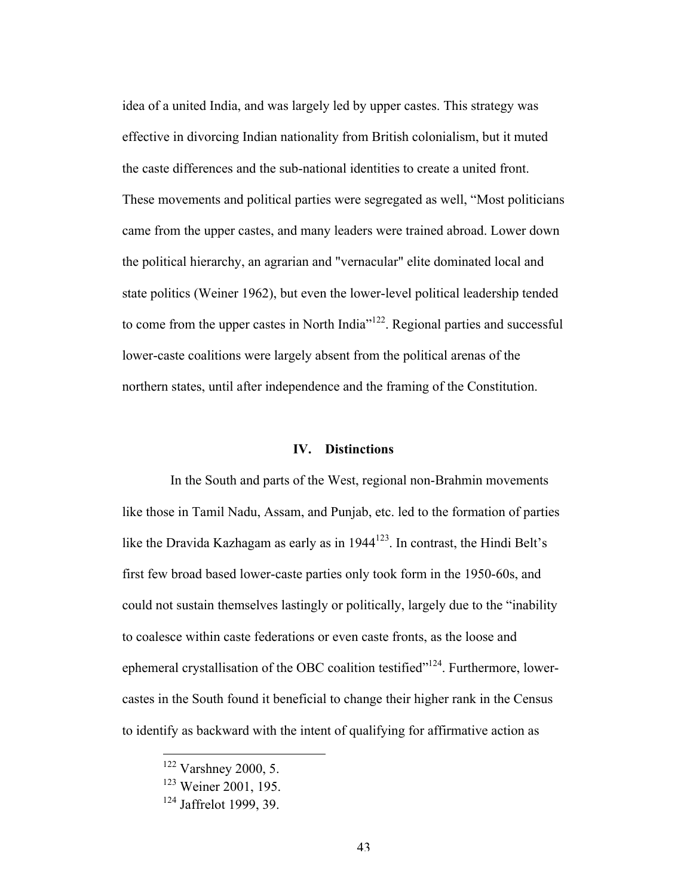idea of a united India, and was largely led by upper castes. This strategy was effective in divorcing Indian nationality from British colonialism, but it muted the caste differences and the sub-national identities to create a united front. These movements and political parties were segregated as well, "Most politicians came from the upper castes, and many leaders were trained abroad. Lower down the political hierarchy, an agrarian and "vernacular" elite dominated local and state politics (Weiner 1962), but even the lower-level political leadership tended to come from the upper castes in North India<sup>"122</sup>. Regional parties and successful lower-caste coalitions were largely absent from the political arenas of the northern states, until after independence and the framing of the Constitution.

### **IV. Distinctions**

In the South and parts of the West, regional non-Brahmin movements like those in Tamil Nadu, Assam, and Punjab, etc. led to the formation of parties like the Dravida Kazhagam as early as in  $1944^{123}$ . In contrast, the Hindi Belt's first few broad based lower-caste parties only took form in the 1950-60s, and could not sustain themselves lastingly or politically, largely due to the "inability to coalesce within caste federations or even caste fronts, as the loose and ephemeral crystallisation of the OBC coalition testified $124$ . Furthermore, lowercastes in the South found it beneficial to change their higher rank in the Census to identify as backward with the intent of qualifying for affirmative action as

 $122$  Varshney 2000, 5.

<sup>123</sup> Weiner 2001, 195.

<sup>124</sup> Jaffrelot 1999, 39.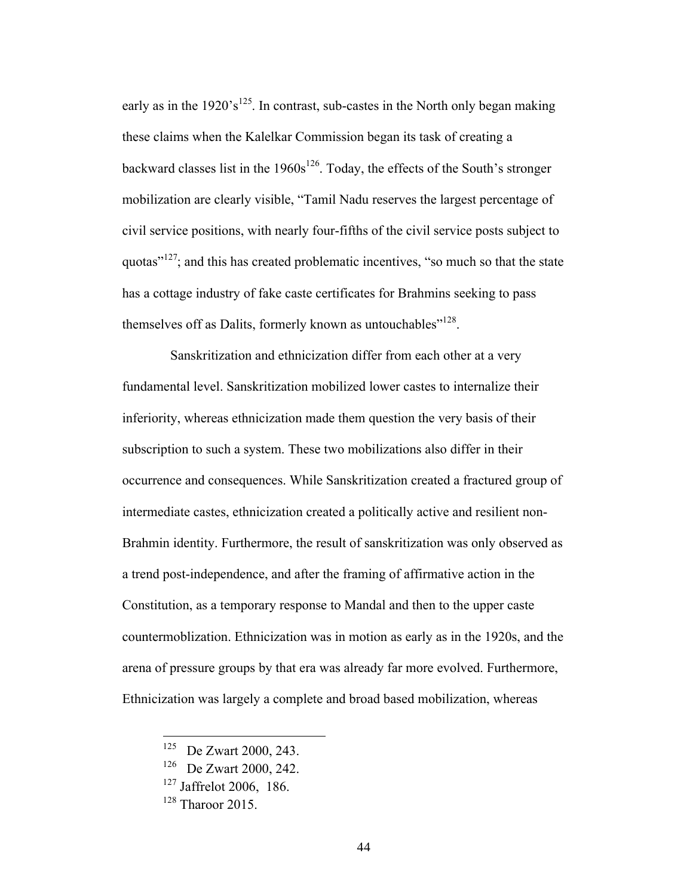early as in the 1920's<sup>125</sup>. In contrast, sub-castes in the North only began making these claims when the Kalelkar Commission began its task of creating a backward classes list in the  $1960s^{126}$ . Today, the effects of the South's stronger mobilization are clearly visible, "Tamil Nadu reserves the largest percentage of civil service positions, with nearly four-fifths of the civil service posts subject to quotas $v<sup>127</sup>$ ; and this has created problematic incentives, "so much so that the state has a cottage industry of fake caste certificates for Brahmins seeking to pass themselves off as Dalits, formerly known as untouchables"<sup>128</sup>.

Sanskritization and ethnicization differ from each other at a very fundamental level. Sanskritization mobilized lower castes to internalize their inferiority, whereas ethnicization made them question the very basis of their subscription to such a system. These two mobilizations also differ in their occurrence and consequences. While Sanskritization created a fractured group of intermediate castes, ethnicization created a politically active and resilient non-Brahmin identity. Furthermore, the result of sanskritization was only observed as a trend post-independence, and after the framing of affirmative action in the Constitution, as a temporary response to Mandal and then to the upper caste countermoblization. Ethnicization was in motion as early as in the 1920s, and the arena of pressure groups by that era was already far more evolved. Furthermore, Ethnicization was largely a complete and broad based mobilization, whereas

 <sup>125</sup> De Zwart 2000, 243.

<sup>126</sup> De Zwart 2000, 242.

 $127$  Jaffrelot 2006, 186.

<sup>&</sup>lt;sup>128</sup> Tharoor 2015.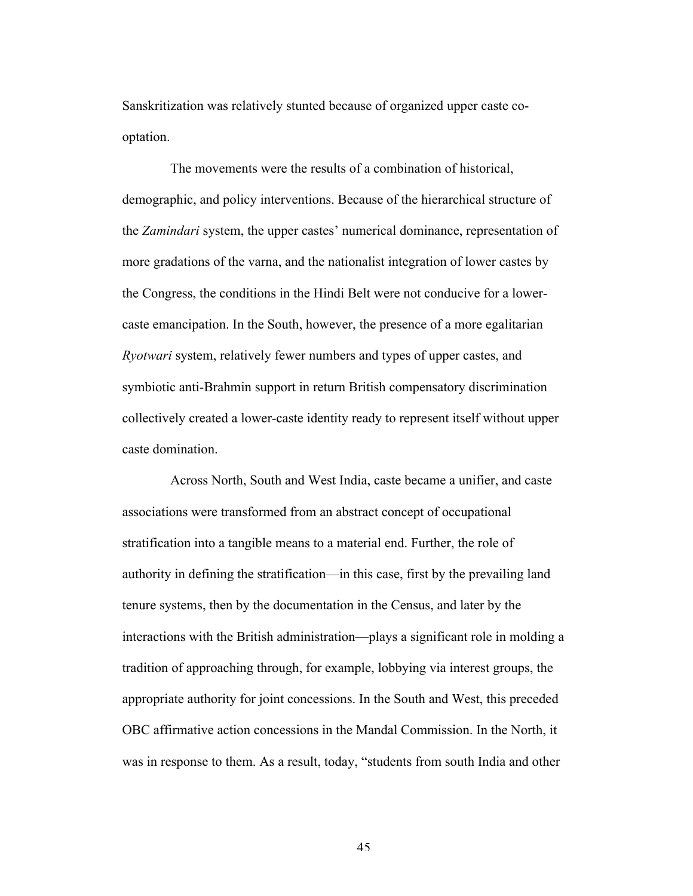Sanskritization was relatively stunted because of organized upper caste cooptation.

The movements were the results of a combination of historical, demographic, and policy interventions. Because of the hierarchical structure of the *Zamindari* system, the upper castes' numerical dominance, representation of more gradations of the varna, and the nationalist integration of lower castes by the Congress, the conditions in the Hindi Belt were not conducive for a lowercaste emancipation. In the South, however, the presence of a more egalitarian *Ryotwari* system, relatively fewer numbers and types of upper castes, and symbiotic anti-Brahmin support in return British compensatory discrimination collectively created a lower-caste identity ready to represent itself without upper caste domination.

Across North, South and West India, caste became a unifier, and caste associations were transformed from an abstract concept of occupational stratification into a tangible means to a material end. Further, the role of authority in defining the stratification—in this case, first by the prevailing land tenure systems, then by the documentation in the Census, and later by the interactions with the British administration—plays a significant role in molding a tradition of approaching through, for example, lobbying via interest groups, the appropriate authority for joint concessions. In the South and West, this preceded OBC affirmative action concessions in the Mandal Commission. In the North, it was in response to them. As a result, today, "students from south India and other

45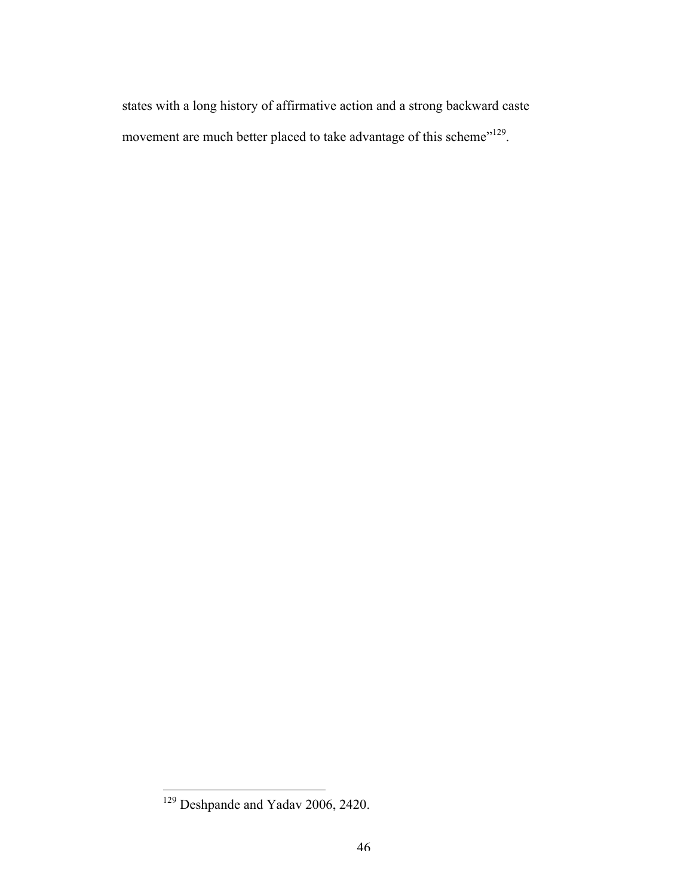states with a long history of affirmative action and a strong backward caste movement are much better placed to take advantage of this scheme"<sup>129</sup>.

 $\overline{129}$  Deshpande and Yadav 2006, 2420.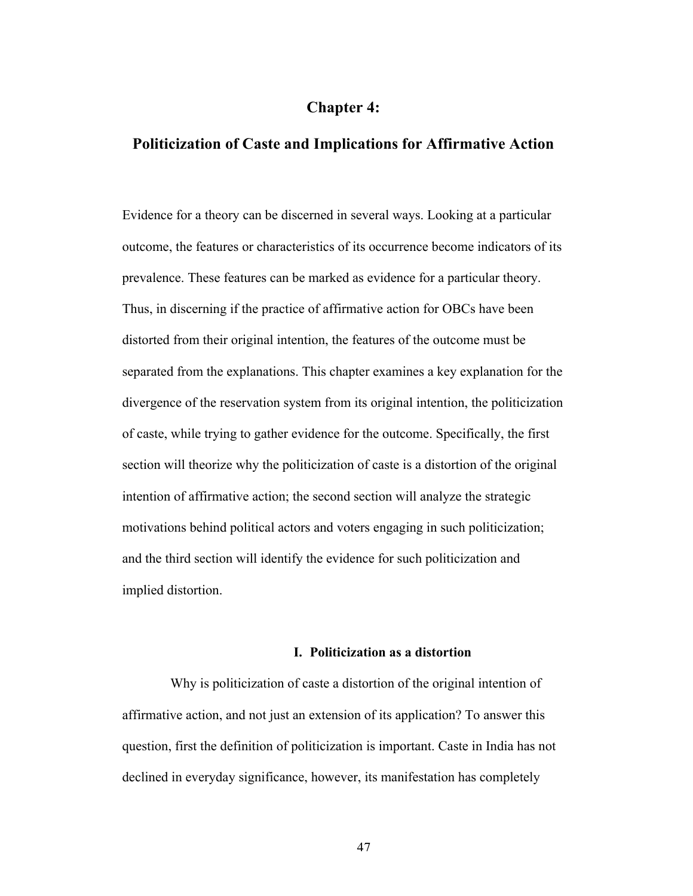# **Chapter 4:**

## **Politicization of Caste and Implications for Affirmative Action**

Evidence for a theory can be discerned in several ways. Looking at a particular outcome, the features or characteristics of its occurrence become indicators of its prevalence. These features can be marked as evidence for a particular theory. Thus, in discerning if the practice of affirmative action for OBCs have been distorted from their original intention, the features of the outcome must be separated from the explanations. This chapter examines a key explanation for the divergence of the reservation system from its original intention, the politicization of caste, while trying to gather evidence for the outcome. Specifically, the first section will theorize why the politicization of caste is a distortion of the original intention of affirmative action; the second section will analyze the strategic motivations behind political actors and voters engaging in such politicization; and the third section will identify the evidence for such politicization and implied distortion.

### **I. Politicization as a distortion**

Why is politicization of caste a distortion of the original intention of affirmative action, and not just an extension of its application? To answer this question, first the definition of politicization is important. Caste in India has not declined in everyday significance, however, its manifestation has completely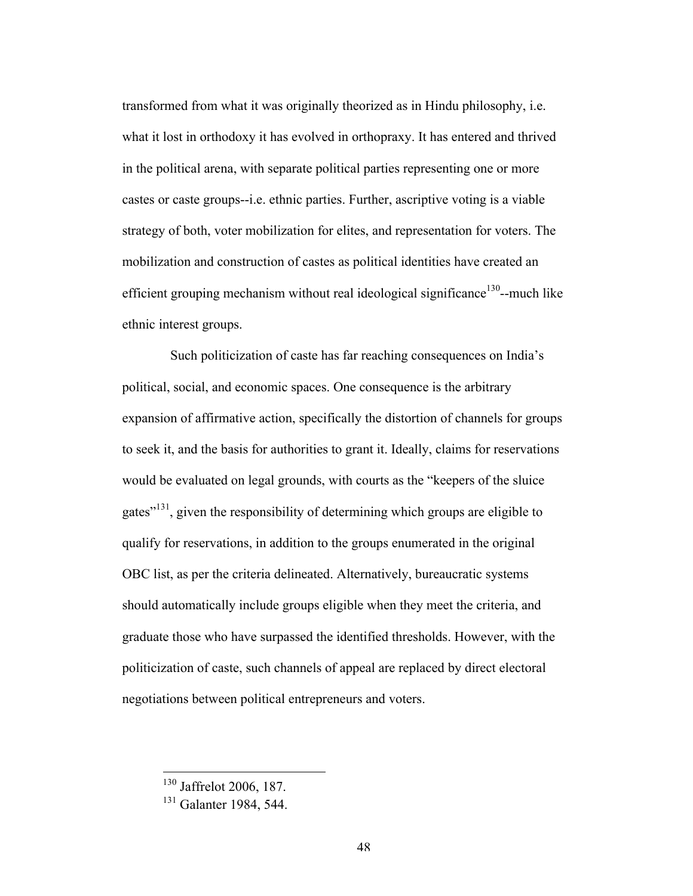transformed from what it was originally theorized as in Hindu philosophy, i.e. what it lost in orthodoxy it has evolved in orthopraxy. It has entered and thrived in the political arena, with separate political parties representing one or more castes or caste groups--i.e. ethnic parties. Further, ascriptive voting is a viable strategy of both, voter mobilization for elites, and representation for voters. The mobilization and construction of castes as political identities have created an efficient grouping mechanism without real ideological significance<sup>130</sup>--much like ethnic interest groups.

Such politicization of caste has far reaching consequences on India's political, social, and economic spaces. One consequence is the arbitrary expansion of affirmative action, specifically the distortion of channels for groups to seek it, and the basis for authorities to grant it. Ideally, claims for reservations would be evaluated on legal grounds, with courts as the "keepers of the sluice gates"131, given the responsibility of determining which groups are eligible to qualify for reservations, in addition to the groups enumerated in the original OBC list, as per the criteria delineated. Alternatively, bureaucratic systems should automatically include groups eligible when they meet the criteria, and graduate those who have surpassed the identified thresholds. However, with the politicization of caste, such channels of appeal are replaced by direct electoral negotiations between political entrepreneurs and voters.

 <sup>130</sup> Jaffrelot 2006, 187.

<sup>&</sup>lt;sup>131</sup> Galanter 1984, 544.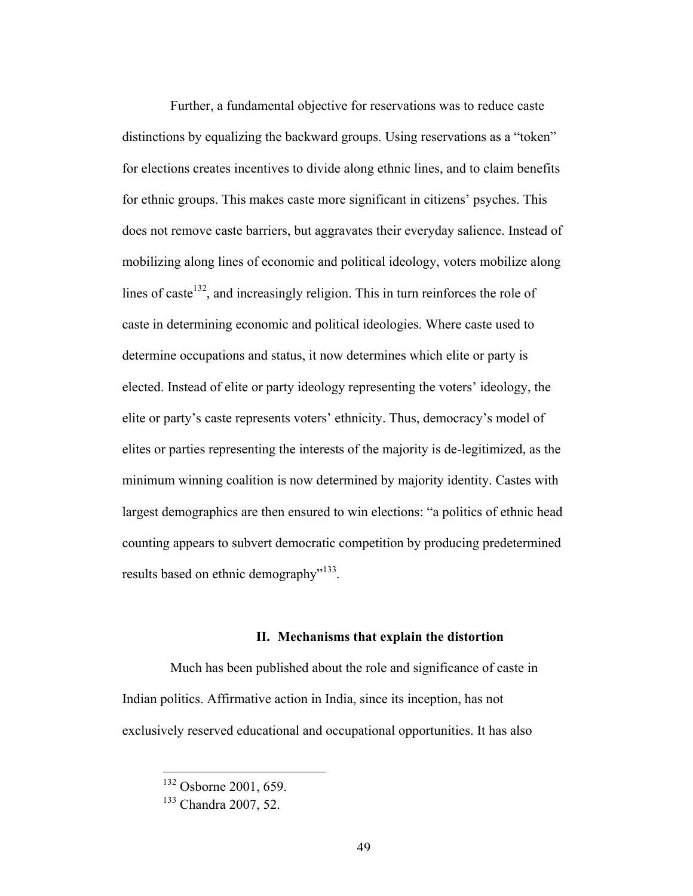Further, a fundamental objective for reservations was to reduce caste distinctions by equalizing the backward groups. Using reservations as a "token" for elections creates incentives to divide along ethnic lines, and to claim benefits for ethnic groups. This makes caste more significant in citizens' psyches. This does not remove caste barriers, but aggravates their everyday salience. Instead of mobilizing along lines of economic and political ideology, voters mobilize along lines of caste<sup>132</sup>, and increasingly religion. This in turn reinforces the role of caste in determining economic and political ideologies. Where caste used to determine occupations and status, it now determines which elite or party is elected. Instead of elite or party ideology representing the voters' ideology, the elite or party's caste represents voters' ethnicity. Thus, democracy's model of elites or parties representing the interests of the majority is de-legitimized, as the minimum winning coalition is now determined by majority identity. Castes with largest demographics are then ensured to win elections: "a politics of ethnic head counting appears to subvert democratic competition by producing predetermined results based on ethnic demography<sup>"133</sup>.

### **II. Mechanisms that explain the distortion**

Much has been published about the role and significance of caste in Indian politics. Affirmative action in India, since its inception, has not exclusively reserved educational and occupational opportunities. It has also

 <sup>132</sup> Osborne 2001, 659.

<sup>133</sup> Chandra 2007, 52.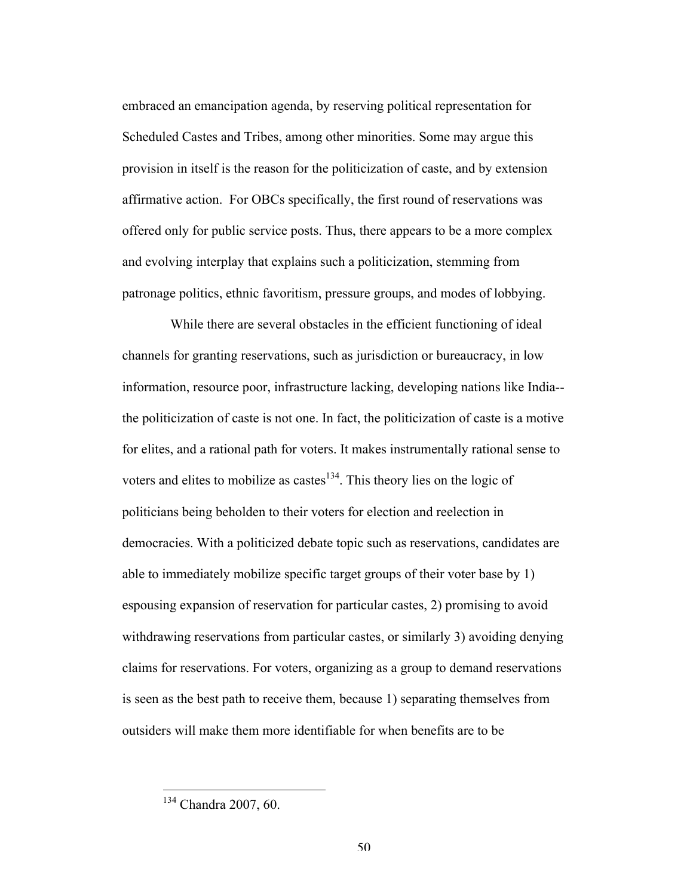embraced an emancipation agenda, by reserving political representation for Scheduled Castes and Tribes, among other minorities. Some may argue this provision in itself is the reason for the politicization of caste, and by extension affirmative action. For OBCs specifically, the first round of reservations was offered only for public service posts. Thus, there appears to be a more complex and evolving interplay that explains such a politicization, stemming from patronage politics, ethnic favoritism, pressure groups, and modes of lobbying.

While there are several obstacles in the efficient functioning of ideal channels for granting reservations, such as jurisdiction or bureaucracy, in low information, resource poor, infrastructure lacking, developing nations like India- the politicization of caste is not one. In fact, the politicization of caste is a motive for elites, and a rational path for voters. It makes instrumentally rational sense to voters and elites to mobilize as castes $^{134}$ . This theory lies on the logic of politicians being beholden to their voters for election and reelection in democracies. With a politicized debate topic such as reservations, candidates are able to immediately mobilize specific target groups of their voter base by 1) espousing expansion of reservation for particular castes, 2) promising to avoid withdrawing reservations from particular castes, or similarly 3) avoiding denying claims for reservations. For voters, organizing as a group to demand reservations is seen as the best path to receive them, because 1) separating themselves from outsiders will make them more identifiable for when benefits are to be

 <sup>134</sup> Chandra 2007, 60.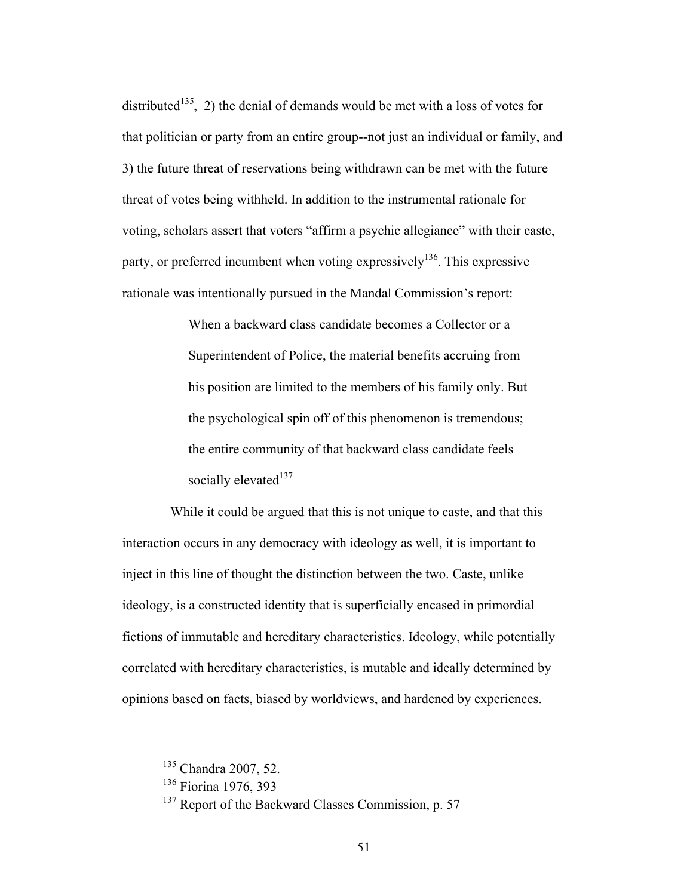distributed<sup>135</sup>, 2) the denial of demands would be met with a loss of votes for that politician or party from an entire group--not just an individual or family, and 3) the future threat of reservations being withdrawn can be met with the future threat of votes being withheld. In addition to the instrumental rationale for voting, scholars assert that voters "affirm a psychic allegiance" with their caste, party, or preferred incumbent when voting expressively<sup>136</sup>. This expressive rationale was intentionally pursued in the Mandal Commission's report:

> When a backward class candidate becomes a Collector or a Superintendent of Police, the material benefits accruing from his position are limited to the members of his family only. But the psychological spin off of this phenomenon is tremendous; the entire community of that backward class candidate feels socially elevated $137$

While it could be argued that this is not unique to caste, and that this interaction occurs in any democracy with ideology as well, it is important to inject in this line of thought the distinction between the two. Caste, unlike ideology, is a constructed identity that is superficially encased in primordial fictions of immutable and hereditary characteristics. Ideology, while potentially correlated with hereditary characteristics, is mutable and ideally determined by opinions based on facts, biased by worldviews, and hardened by experiences.

<sup>&</sup>lt;sup>135</sup> Chandra 2007, 52.

<sup>136</sup> Fiorina 1976, 393

<sup>&</sup>lt;sup>137</sup> Report of the Backward Classes Commission, p. 57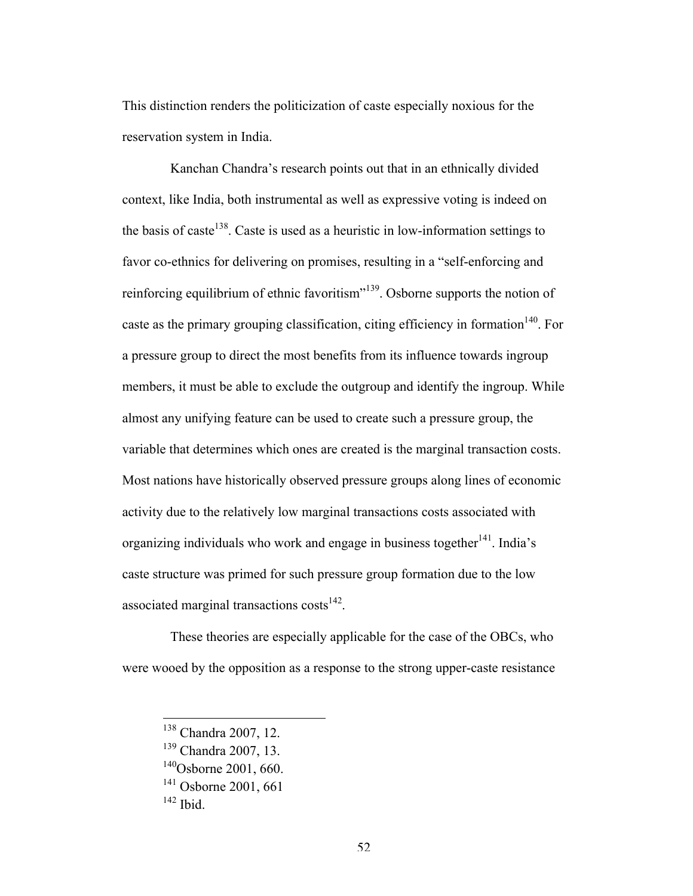This distinction renders the politicization of caste especially noxious for the reservation system in India.

Kanchan Chandra's research points out that in an ethnically divided context, like India, both instrumental as well as expressive voting is indeed on the basis of caste<sup>138</sup>. Caste is used as a heuristic in low-information settings to favor co-ethnics for delivering on promises, resulting in a "self-enforcing and reinforcing equilibrium of ethnic favoritism"139. Osborne supports the notion of caste as the primary grouping classification, citing efficiency in formation<sup>140</sup>. For a pressure group to direct the most benefits from its influence towards ingroup members, it must be able to exclude the outgroup and identify the ingroup. While almost any unifying feature can be used to create such a pressure group, the variable that determines which ones are created is the marginal transaction costs. Most nations have historically observed pressure groups along lines of economic activity due to the relatively low marginal transactions costs associated with organizing individuals who work and engage in business together  $141$ . India's caste structure was primed for such pressure group formation due to the low associated marginal transactions  $costs<sup>142</sup>$ .

These theories are especially applicable for the case of the OBCs, who were wooed by the opposition as a response to the strong upper-caste resistance

 <sup>138</sup> Chandra 2007, 12.

<sup>139</sup> Chandra 2007, 13.

 $140$ Osborne 2001, 660.

 $141$  Osborne 2001, 661

 $142$  Ibid.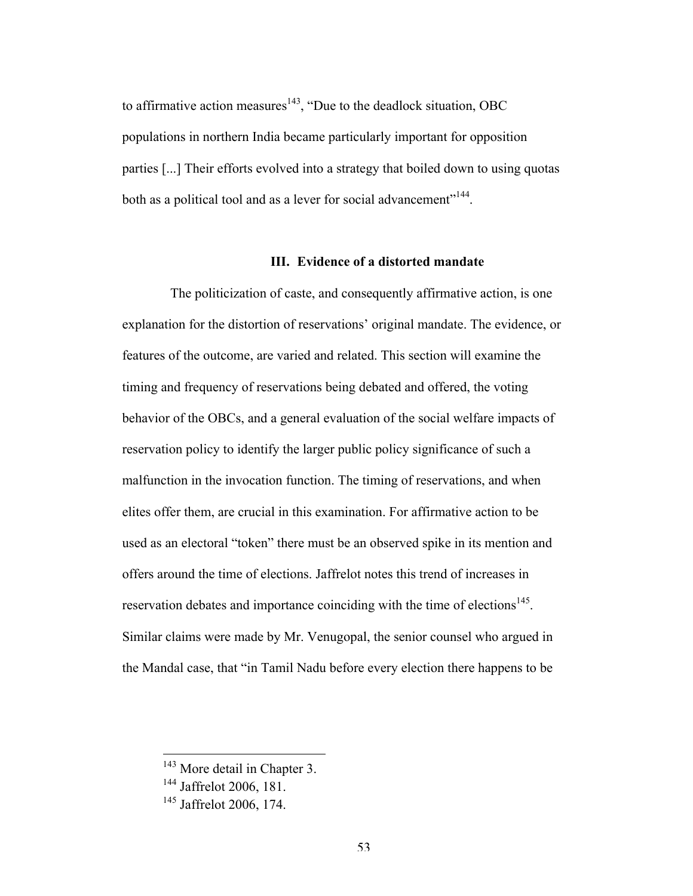to affirmative action measures<sup>143</sup>, "Due to the deadlock situation, OBC populations in northern India became particularly important for opposition parties [...] Their efforts evolved into a strategy that boiled down to using quotas both as a political tool and as a lever for social advancement"<sup>144</sup>.

## **III. Evidence of a distorted mandate**

The politicization of caste, and consequently affirmative action, is one explanation for the distortion of reservations' original mandate. The evidence, or features of the outcome, are varied and related. This section will examine the timing and frequency of reservations being debated and offered, the voting behavior of the OBCs, and a general evaluation of the social welfare impacts of reservation policy to identify the larger public policy significance of such a malfunction in the invocation function. The timing of reservations, and when elites offer them, are crucial in this examination. For affirmative action to be used as an electoral "token" there must be an observed spike in its mention and offers around the time of elections. Jaffrelot notes this trend of increases in reservation debates and importance coinciding with the time of elections<sup>145</sup>. Similar claims were made by Mr. Venugopal, the senior counsel who argued in the Mandal case, that "in Tamil Nadu before every election there happens to be

<sup>&</sup>lt;sup>143</sup> More detail in Chapter 3.

<sup>&</sup>lt;sup>144</sup> Jaffrelot 2006, 181.

<sup>&</sup>lt;sup>145</sup> Jaffrelot 2006, 174.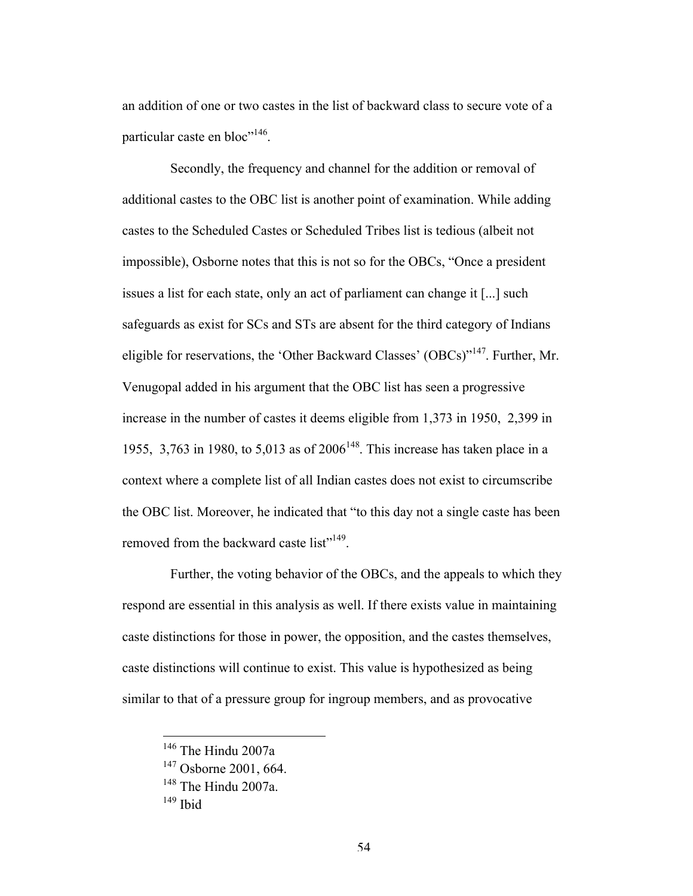an addition of one or two castes in the list of backward class to secure vote of a particular caste en bloc<sup>"146</sup>.

Secondly, the frequency and channel for the addition or removal of additional castes to the OBC list is another point of examination. While adding castes to the Scheduled Castes or Scheduled Tribes list is tedious (albeit not impossible), Osborne notes that this is not so for the OBCs, "Once a president issues a list for each state, only an act of parliament can change it [...] such safeguards as exist for SCs and STs are absent for the third category of Indians eligible for reservations, the 'Other Backward Classes' (OBCs)"147. Further, Mr. Venugopal added in his argument that the OBC list has seen a progressive increase in the number of castes it deems eligible from 1,373 in 1950, 2,399 in 1955, 3,763 in 1980, to 5,013 as of  $2006^{148}$ . This increase has taken place in a context where a complete list of all Indian castes does not exist to circumscribe the OBC list. Moreover, he indicated that "to this day not a single caste has been removed from the backward caste list<sup>"149</sup>.

Further, the voting behavior of the OBCs, and the appeals to which they respond are essential in this analysis as well. If there exists value in maintaining caste distinctions for those in power, the opposition, and the castes themselves, caste distinctions will continue to exist. This value is hypothesized as being similar to that of a pressure group for ingroup members, and as provocative

 <sup>146</sup> The Hindu 2007a

<sup>&</sup>lt;sup>147</sup> Osborne 2001, 664.

 $148$  The Hindu 2007a.

 $149$  Ibid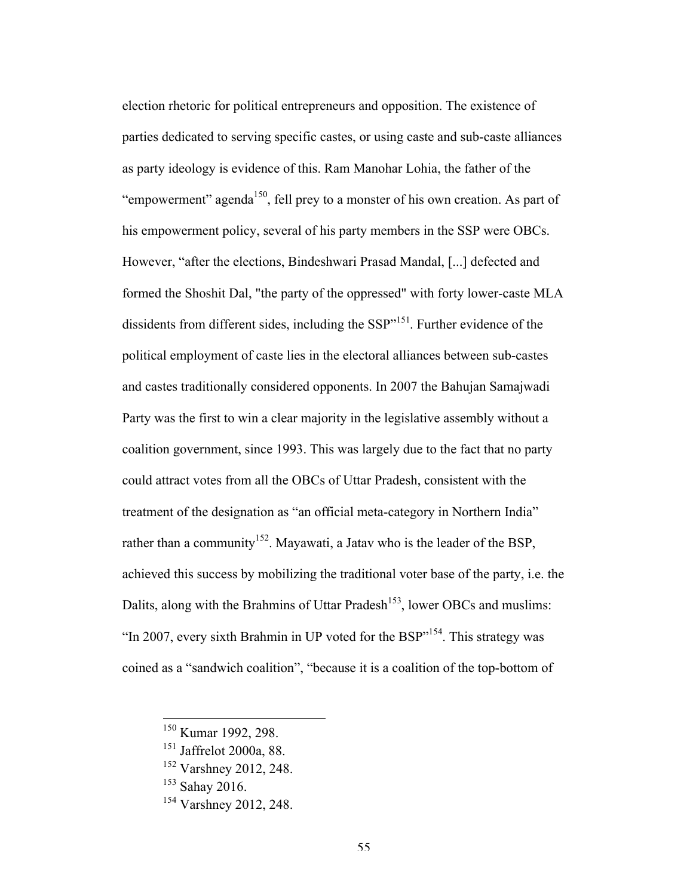election rhetoric for political entrepreneurs and opposition. The existence of parties dedicated to serving specific castes, or using caste and sub-caste alliances as party ideology is evidence of this. Ram Manohar Lohia, the father of the "empowerment" agenda<sup>150</sup>, fell prey to a monster of his own creation. As part of his empowerment policy, several of his party members in the SSP were OBCs. However, "after the elections, Bindeshwari Prasad Mandal, [...] defected and formed the Shoshit Dal, "the party of the oppressed" with forty lower-caste MLA dissidents from different sides, including the SSP"<sup>151</sup>. Further evidence of the political employment of caste lies in the electoral alliances between sub-castes and castes traditionally considered opponents. In 2007 the Bahujan Samajwadi Party was the first to win a clear majority in the legislative assembly without a coalition government, since 1993. This was largely due to the fact that no party could attract votes from all the OBCs of Uttar Pradesh, consistent with the treatment of the designation as "an official meta-category in Northern India" rather than a community<sup>152</sup>. Mayawati, a Jatav who is the leader of the BSP, achieved this success by mobilizing the traditional voter base of the party, i.e. the Dalits, along with the Brahmins of Uttar Pradesh<sup>153</sup>, lower OBCs and muslims: "In 2007, every sixth Brahmin in UP voted for the  $BSP$ <sup> $,154$ </sup>. This strategy was coined as a "sandwich coalition", "because it is a coalition of the top-bottom of

 <sup>150</sup> Kumar 1992, 298.

<sup>151</sup> Jaffrelot 2000a, 88.

<sup>&</sup>lt;sup>152</sup> Varshney 2012, 248.

 $153$  Sahav 2016.

<sup>&</sup>lt;sup>154</sup> Varshney 2012, 248.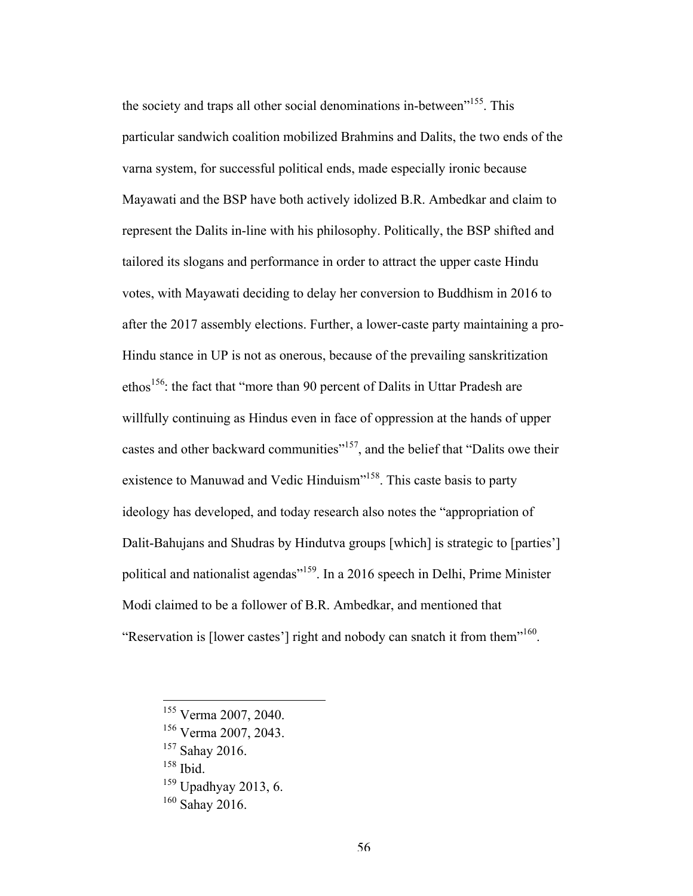the society and traps all other social denominations in-between<sup>"155</sup>. This particular sandwich coalition mobilized Brahmins and Dalits, the two ends of the varna system, for successful political ends, made especially ironic because Mayawati and the BSP have both actively idolized B.R. Ambedkar and claim to represent the Dalits in-line with his philosophy. Politically, the BSP shifted and tailored its slogans and performance in order to attract the upper caste Hindu votes, with Mayawati deciding to delay her conversion to Buddhism in 2016 to after the 2017 assembly elections. Further, a lower-caste party maintaining a pro-Hindu stance in UP is not as onerous, because of the prevailing sanskritization ethos<sup>156</sup>: the fact that "more than 90 percent of Dalits in Uttar Pradesh are willfully continuing as Hindus even in face of oppression at the hands of upper castes and other backward communities"<sup>157</sup>, and the belief that "Dalits owe their existence to Manuwad and Vedic Hinduism"<sup>158</sup>. This caste basis to party ideology has developed, and today research also notes the "appropriation of Dalit-Bahujans and Shudras by Hindutva groups [which] is strategic to [parties'] political and nationalist agendas"159. In a 2016 speech in Delhi, Prime Minister Modi claimed to be a follower of B.R. Ambedkar, and mentioned that "Reservation is [lower castes'] right and nobody can snatch it from them<sup>"160</sup>.

 <sup>155</sup> Verma 2007, 2040.

<sup>156</sup> Verma 2007, 2043.

<sup>157</sup> Sahay 2016.

<sup>158</sup> Ibid.

 $159$  Upadhyay 2013, 6.

 $160$  Sahay 2016.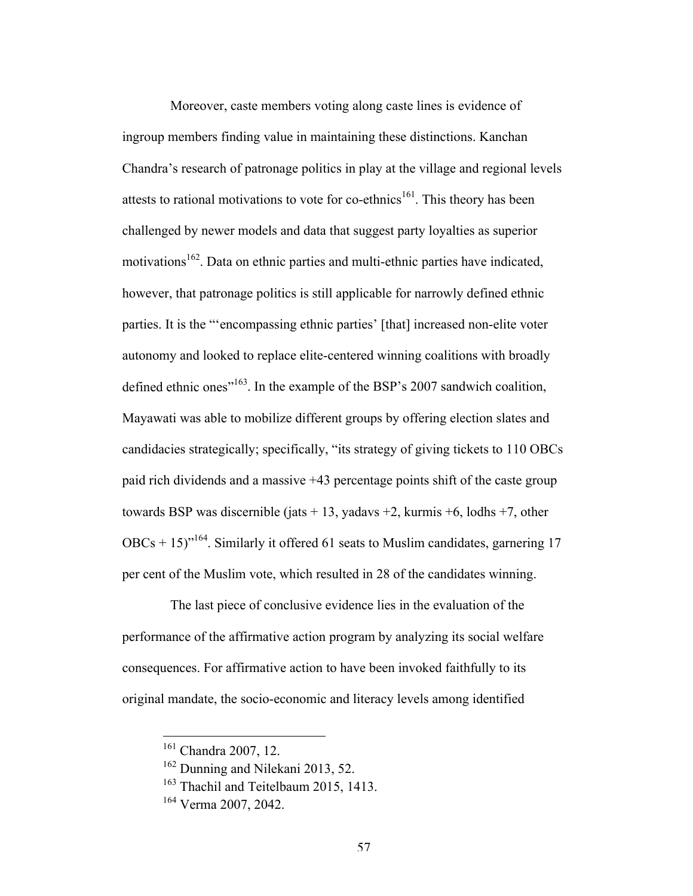Moreover, caste members voting along caste lines is evidence of ingroup members finding value in maintaining these distinctions. Kanchan Chandra's research of patronage politics in play at the village and regional levels attests to rational motivations to vote for co-ethnics<sup>161</sup>. This theory has been challenged by newer models and data that suggest party loyalties as superior motivations<sup>162</sup>. Data on ethnic parties and multi-ethnic parties have indicated, however, that patronage politics is still applicable for narrowly defined ethnic parties. It is the "'encompassing ethnic parties' [that] increased non-elite voter autonomy and looked to replace elite-centered winning coalitions with broadly defined ethnic ones<sup>"163</sup>. In the example of the BSP's 2007 sandwich coalition, Mayawati was able to mobilize different groups by offering election slates and candidacies strategically; specifically, "its strategy of giving tickets to 110 OBCs paid rich dividends and a massive +43 percentage points shift of the caste group towards BSP was discernible (jats  $+ 13$ , yadavs  $+2$ , kurmis  $+6$ , lodhs  $+7$ , other  $OBCs + 15$ <sup>164</sup>. Similarly it offered 61 seats to Muslim candidates, garnering 17 per cent of the Muslim vote, which resulted in 28 of the candidates winning.

The last piece of conclusive evidence lies in the evaluation of the performance of the affirmative action program by analyzing its social welfare consequences. For affirmative action to have been invoked faithfully to its original mandate, the socio-economic and literacy levels among identified

 <sup>161</sup> Chandra 2007, 12.

<sup>&</sup>lt;sup>162</sup> Dunning and Nilekani 2013, 52.

<sup>&</sup>lt;sup>163</sup> Thachil and Teitelbaum 2015, 1413.

<sup>164</sup> Verma 2007, 2042.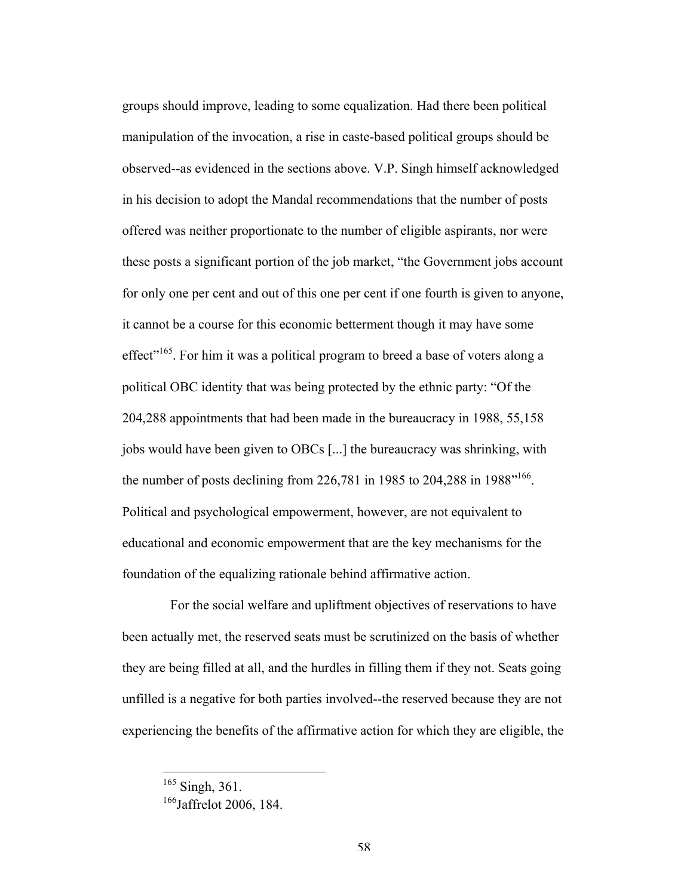groups should improve, leading to some equalization. Had there been political manipulation of the invocation, a rise in caste-based political groups should be observed--as evidenced in the sections above. V.P. Singh himself acknowledged in his decision to adopt the Mandal recommendations that the number of posts offered was neither proportionate to the number of eligible aspirants, nor were these posts a significant portion of the job market, "the Government jobs account for only one per cent and out of this one per cent if one fourth is given to anyone, it cannot be a course for this economic betterment though it may have some effect<sup> $165$ </sup>. For him it was a political program to breed a base of voters along a political OBC identity that was being protected by the ethnic party: "Of the 204,288 appointments that had been made in the bureaucracy in 1988, 55,158 jobs would have been given to OBCs [...] the bureaucracy was shrinking, with the number of posts declining from 226,781 in 1985 to 204,288 in 1988<sup> $166$ </sup>. Political and psychological empowerment, however, are not equivalent to educational and economic empowerment that are the key mechanisms for the foundation of the equalizing rationale behind affirmative action.

For the social welfare and upliftment objectives of reservations to have been actually met, the reserved seats must be scrutinized on the basis of whether they are being filled at all, and the hurdles in filling them if they not. Seats going unfilled is a negative for both parties involved--the reserved because they are not experiencing the benefits of the affirmative action for which they are eligible, the

<sup>&</sup>lt;sup>165</sup> Singh, 361.

<sup>&</sup>lt;sup>166</sup>Jaffrelot 2006, 184.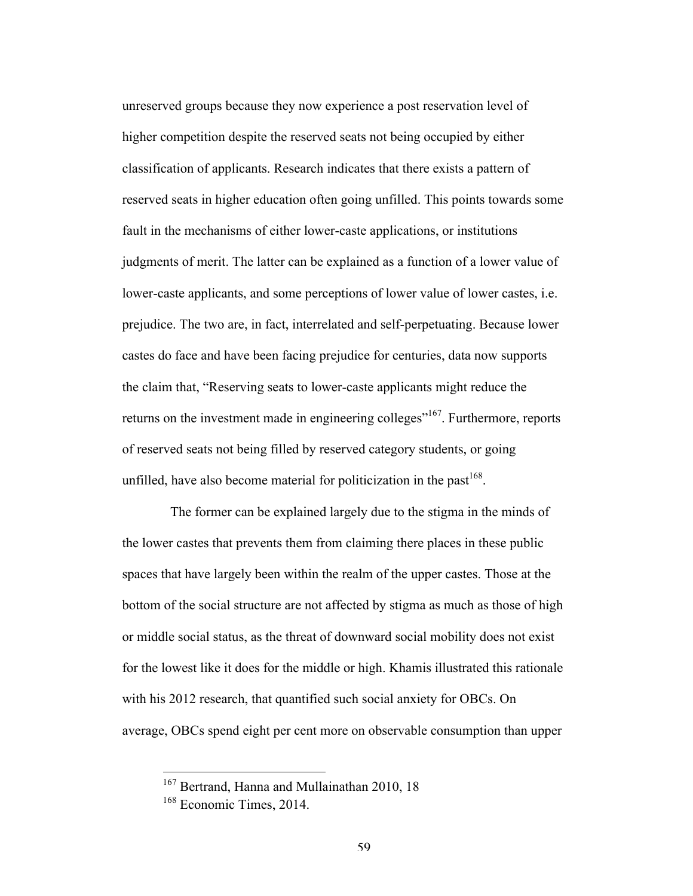unreserved groups because they now experience a post reservation level of higher competition despite the reserved seats not being occupied by either classification of applicants. Research indicates that there exists a pattern of reserved seats in higher education often going unfilled. This points towards some fault in the mechanisms of either lower-caste applications, or institutions judgments of merit. The latter can be explained as a function of a lower value of lower-caste applicants, and some perceptions of lower value of lower castes, i.e. prejudice. The two are, in fact, interrelated and self-perpetuating. Because lower castes do face and have been facing prejudice for centuries, data now supports the claim that, "Reserving seats to lower-caste applicants might reduce the returns on the investment made in engineering colleges<sup>"167</sup>. Furthermore, reports of reserved seats not being filled by reserved category students, or going unfilled, have also become material for politicization in the past<sup>168</sup>.

The former can be explained largely due to the stigma in the minds of the lower castes that prevents them from claiming there places in these public spaces that have largely been within the realm of the upper castes. Those at the bottom of the social structure are not affected by stigma as much as those of high or middle social status, as the threat of downward social mobility does not exist for the lowest like it does for the middle or high. Khamis illustrated this rationale with his 2012 research, that quantified such social anxiety for OBCs. On average, OBCs spend eight per cent more on observable consumption than upper

<sup>&</sup>lt;sup>167</sup> Bertrand, Hanna and Mullainathan 2010, 18

<sup>168</sup> Economic Times, 2014.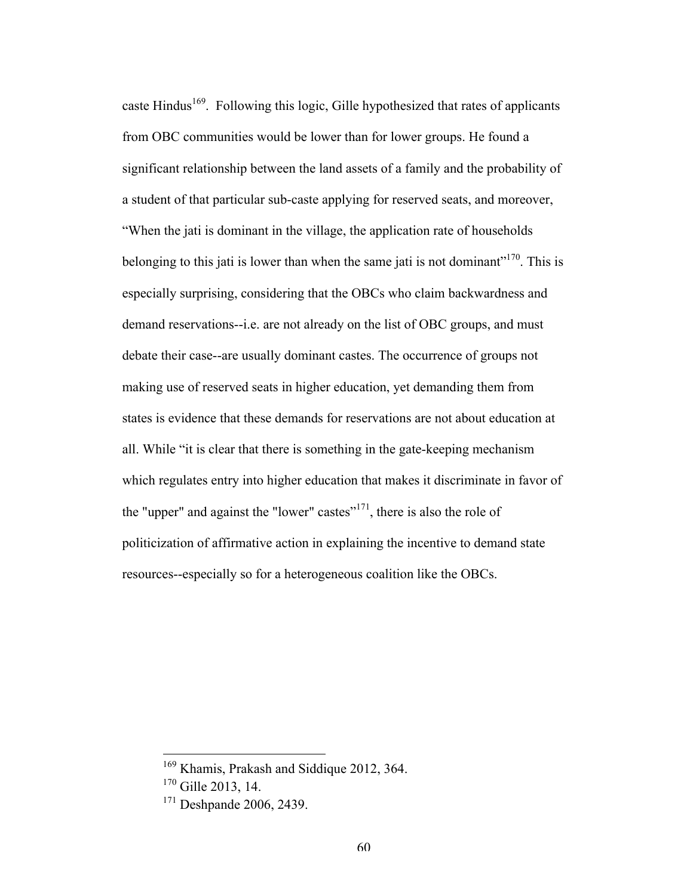caste Hindus<sup>169</sup>. Following this logic, Gille hypothesized that rates of applicants from OBC communities would be lower than for lower groups. He found a significant relationship between the land assets of a family and the probability of a student of that particular sub-caste applying for reserved seats, and moreover, "When the jati is dominant in the village, the application rate of households belonging to this jati is lower than when the same jati is not dominant<sup> $170$ </sup>. This is especially surprising, considering that the OBCs who claim backwardness and demand reservations--i.e. are not already on the list of OBC groups, and must debate their case--are usually dominant castes. The occurrence of groups not making use of reserved seats in higher education, yet demanding them from states is evidence that these demands for reservations are not about education at all. While "it is clear that there is something in the gate-keeping mechanism which regulates entry into higher education that makes it discriminate in favor of the "upper" and against the "lower" castes"<sup>171</sup>, there is also the role of politicization of affirmative action in explaining the incentive to demand state resources--especially so for a heterogeneous coalition like the OBCs.

<sup>&</sup>lt;sup>169</sup> Khamis, Prakash and Siddique 2012, 364.

<sup>&</sup>lt;sup>170</sup> Gille 2013, 14.

<sup>171</sup> Deshpande 2006, 2439.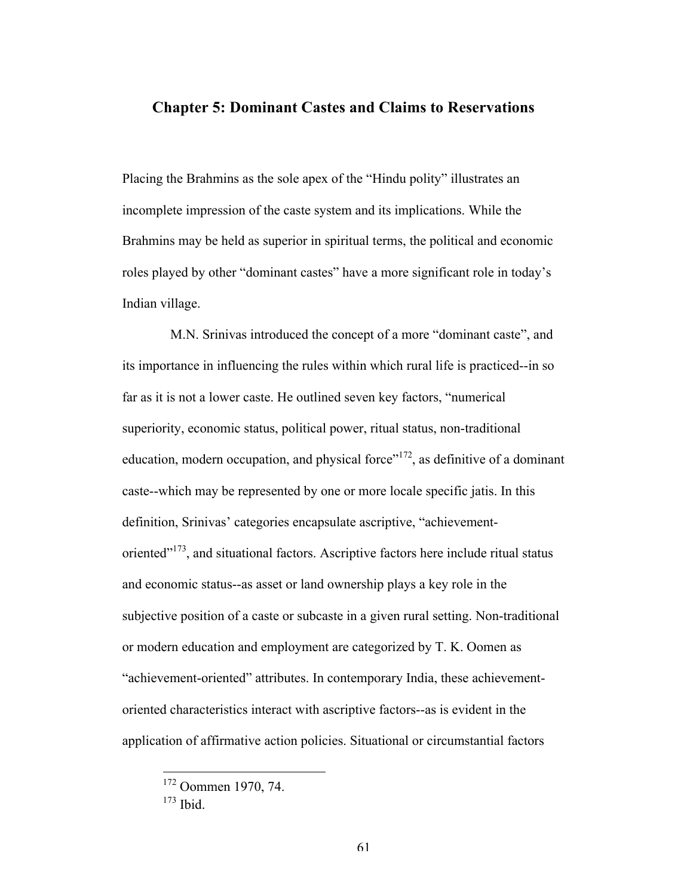## **Chapter 5: Dominant Castes and Claims to Reservations**

Placing the Brahmins as the sole apex of the "Hindu polity" illustrates an incomplete impression of the caste system and its implications. While the Brahmins may be held as superior in spiritual terms, the political and economic roles played by other "dominant castes" have a more significant role in today's Indian village.

M.N. Srinivas introduced the concept of a more "dominant caste", and its importance in influencing the rules within which rural life is practiced--in so far as it is not a lower caste. He outlined seven key factors, "numerical superiority, economic status, political power, ritual status, non-traditional education, modern occupation, and physical force"<sup>172</sup>, as definitive of a dominant caste--which may be represented by one or more locale specific jatis. In this definition, Srinivas' categories encapsulate ascriptive, "achievementoriented"<sup>173</sup>, and situational factors. Ascriptive factors here include ritual status and economic status--as asset or land ownership plays a key role in the subjective position of a caste or subcaste in a given rural setting. Non-traditional or modern education and employment are categorized by T. K. Oomen as "achievement-oriented" attributes. In contemporary India, these achievementoriented characteristics interact with ascriptive factors--as is evident in the application of affirmative action policies. Situational or circumstantial factors

 <sup>172</sup> Oommen 1970, 74.

<sup>173</sup> Ibid.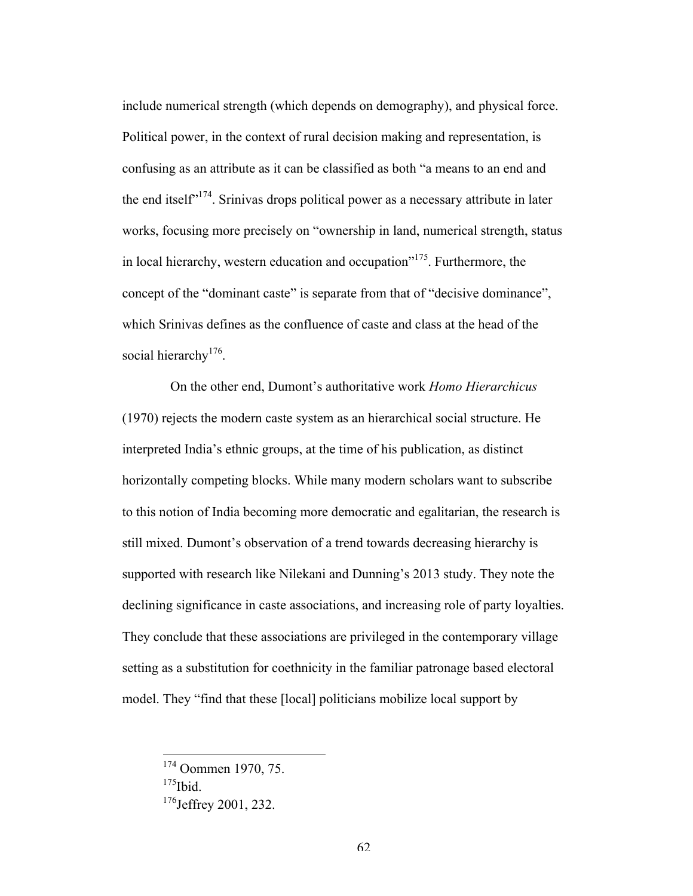include numerical strength (which depends on demography), and physical force. Political power, in the context of rural decision making and representation, is confusing as an attribute as it can be classified as both "a means to an end and the end itself $174$ . Srinivas drops political power as a necessary attribute in later works, focusing more precisely on "ownership in land, numerical strength, status in local hierarchy, western education and occupation"<sup>175</sup>. Furthermore, the concept of the "dominant caste" is separate from that of "decisive dominance", which Srinivas defines as the confluence of caste and class at the head of the social hierarchy<sup>176</sup>.

On the other end, Dumont's authoritative work *Homo Hierarchicus*  (1970) rejects the modern caste system as an hierarchical social structure. He interpreted India's ethnic groups, at the time of his publication, as distinct horizontally competing blocks. While many modern scholars want to subscribe to this notion of India becoming more democratic and egalitarian, the research is still mixed. Dumont's observation of a trend towards decreasing hierarchy is supported with research like Nilekani and Dunning's 2013 study. They note the declining significance in caste associations, and increasing role of party loyalties. They conclude that these associations are privileged in the contemporary village setting as a substitution for coethnicity in the familiar patronage based electoral model. They "find that these [local] politicians mobilize local support by

 $175$ Ibid.

 <sup>174</sup> Oommen 1970, 75.

<sup>&</sup>lt;sup>176</sup>Jeffrey 2001, 232.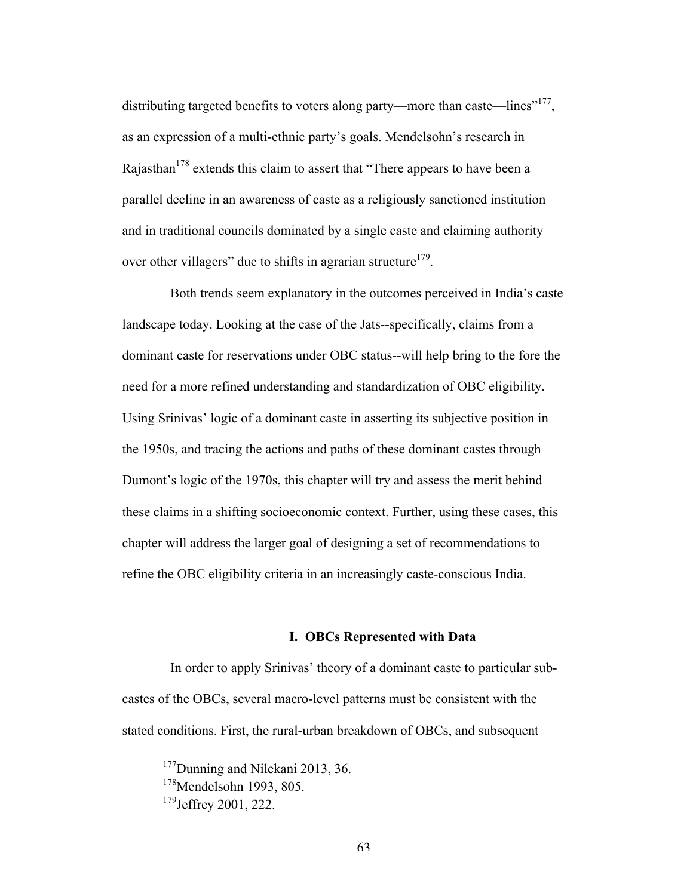distributing targeted benefits to voters along party—more than caste—lines"<sup>177</sup>, as an expression of a multi-ethnic party's goals. Mendelsohn's research in Rajasthan<sup>178</sup> extends this claim to assert that "There appears to have been a parallel decline in an awareness of caste as a religiously sanctioned institution and in traditional councils dominated by a single caste and claiming authority over other villagers" due to shifts in agrarian structure<sup>179</sup>.

Both trends seem explanatory in the outcomes perceived in India's caste landscape today. Looking at the case of the Jats--specifically, claims from a dominant caste for reservations under OBC status--will help bring to the fore the need for a more refined understanding and standardization of OBC eligibility. Using Srinivas' logic of a dominant caste in asserting its subjective position in the 1950s, and tracing the actions and paths of these dominant castes through Dumont's logic of the 1970s, this chapter will try and assess the merit behind these claims in a shifting socioeconomic context. Further, using these cases, this chapter will address the larger goal of designing a set of recommendations to refine the OBC eligibility criteria in an increasingly caste-conscious India.

#### **I. OBCs Represented with Data**

In order to apply Srinivas' theory of a dominant caste to particular subcastes of the OBCs, several macro-level patterns must be consistent with the stated conditions. First, the rural-urban breakdown of OBCs, and subsequent

<sup>&</sup>lt;sup>177</sup>Dunning and Nilekani 2013, 36.

<sup>&</sup>lt;sup>178</sup>Mendelsohn 1993, 805.

<sup>&</sup>lt;sup>179</sup>Jeffrey 2001, 222.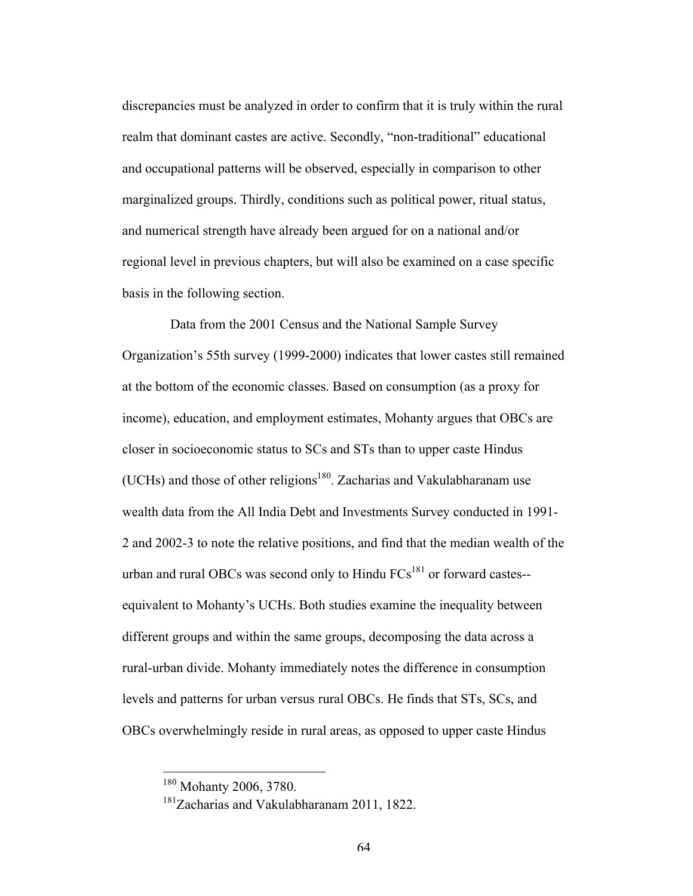discrepancies must be analyzed in order to confirm that it is truly within the rural realm that dominant castes are active. Secondly, "non-traditional" educational and occupational patterns will be observed, especially in comparison to other marginalized groups. Thirdly, conditions such as political power, ritual status, and numerical strength have already been argued for on a national and/or regional level in previous chapters, but will also be examined on a case specific basis in the following section.

Data from the 2001 Census and the National Sample Survey Organization's 55th survey (1999-2000) indicates that lower castes still remained at the bottom of the economic classes. Based on consumption (as a proxy for income), education, and employment estimates, Mohanty argues that OBCs are closer in socioeconomic status to SCs and STs than to upper caste Hindus (UCHs) and those of other religions<sup>180</sup>. Zacharias and Vakulabharanam use wealth data from the All India Debt and Investments Survey conducted in 1991- 2 and 2002-3 to note the relative positions, and find that the median wealth of the urban and rural OBCs was second only to Hindu  $FCs<sup>181</sup>$  or forward castes-equivalent to Mohanty's UCHs. Both studies examine the inequality between different groups and within the same groups, decomposing the data across a rural-urban divide. Mohanty immediately notes the difference in consumption levels and patterns for urban versus rural OBCs. He finds that STs, SCs, and OBCs overwhelmingly reside in rural areas, as opposed to upper caste Hindus

<sup>&</sup>lt;sup>180</sup> Mohanty 2006, 3780.

<sup>&</sup>lt;sup>181</sup>Zacharias and Vakulabharanam 2011, 1822.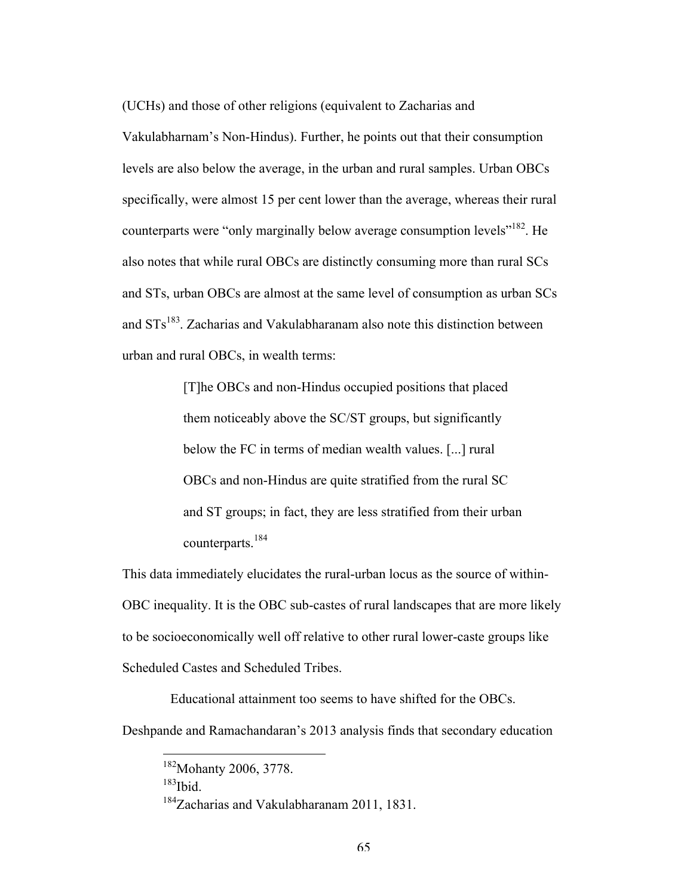(UCHs) and those of other religions (equivalent to Zacharias and Vakulabharnam's Non-Hindus). Further, he points out that their consumption levels are also below the average, in the urban and rural samples. Urban OBCs specifically, were almost 15 per cent lower than the average, whereas their rural counterparts were "only marginally below average consumption levels"<sup>182</sup>. He also notes that while rural OBCs are distinctly consuming more than rural SCs and STs, urban OBCs are almost at the same level of consumption as urban SCs and  $STs<sup>183</sup>$ . Zacharias and Vakulabharanam also note this distinction between urban and rural OBCs, in wealth terms:

> [T]he OBCs and non-Hindus occupied positions that placed them noticeably above the SC/ST groups, but significantly below the FC in terms of median wealth values. [...] rural OBCs and non-Hindus are quite stratified from the rural SC and ST groups; in fact, they are less stratified from their urban counterparts.<sup>184</sup>

This data immediately elucidates the rural-urban locus as the source of within-OBC inequality. It is the OBC sub-castes of rural landscapes that are more likely to be socioeconomically well off relative to other rural lower-caste groups like Scheduled Castes and Scheduled Tribes.

Educational attainment too seems to have shifted for the OBCs.

Deshpande and Ramachandaran's 2013 analysis finds that secondary education

 $183$ Ibid.

<sup>&</sup>lt;sup>182</sup>Mohanty 2006, 3778.

<sup>&</sup>lt;sup>184</sup>Zacharias and Vakulabharanam 2011, 1831.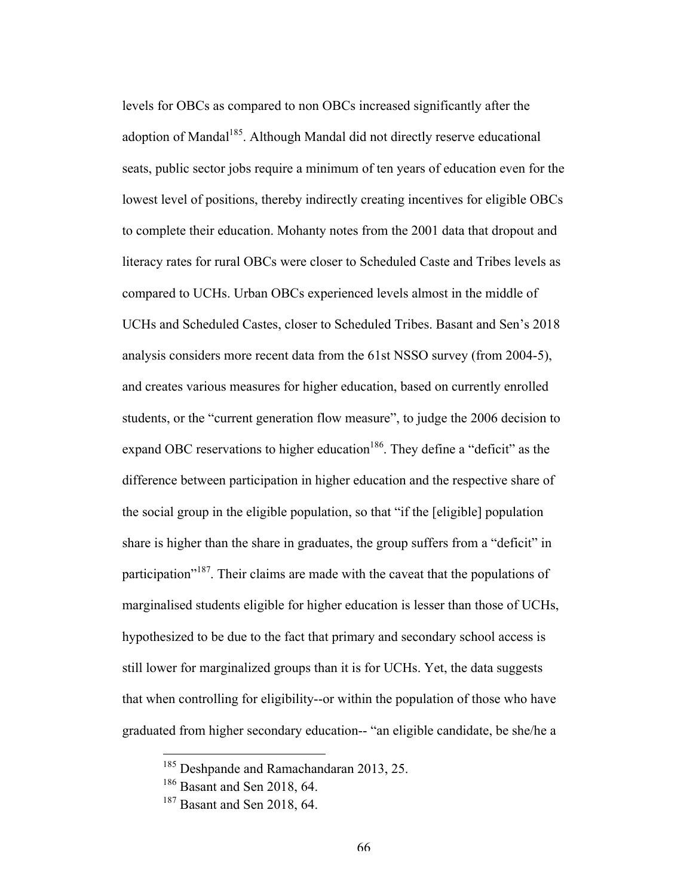levels for OBCs as compared to non OBCs increased significantly after the adoption of Mandal<sup>185</sup>. Although Mandal did not directly reserve educational seats, public sector jobs require a minimum of ten years of education even for the lowest level of positions, thereby indirectly creating incentives for eligible OBCs to complete their education. Mohanty notes from the 2001 data that dropout and literacy rates for rural OBCs were closer to Scheduled Caste and Tribes levels as compared to UCHs. Urban OBCs experienced levels almost in the middle of UCHs and Scheduled Castes, closer to Scheduled Tribes. Basant and Sen's 2018 analysis considers more recent data from the 61st NSSO survey (from 2004-5), and creates various measures for higher education, based on currently enrolled students, or the "current generation flow measure", to judge the 2006 decision to expand OBC reservations to higher education<sup>186</sup>. They define a "deficit" as the difference between participation in higher education and the respective share of the social group in the eligible population, so that "if the [eligible] population share is higher than the share in graduates, the group suffers from a "deficit" in participation<sup>"187</sup>. Their claims are made with the caveat that the populations of marginalised students eligible for higher education is lesser than those of UCHs, hypothesized to be due to the fact that primary and secondary school access is still lower for marginalized groups than it is for UCHs. Yet, the data suggests that when controlling for eligibility--or within the population of those who have graduated from higher secondary education-- "an eligible candidate, be she/he a

<sup>&</sup>lt;sup>185</sup> Deshpande and Ramachandaran 2013, 25.

<sup>186</sup> Basant and Sen 2018, 64.

<sup>187</sup> Basant and Sen 2018, 64.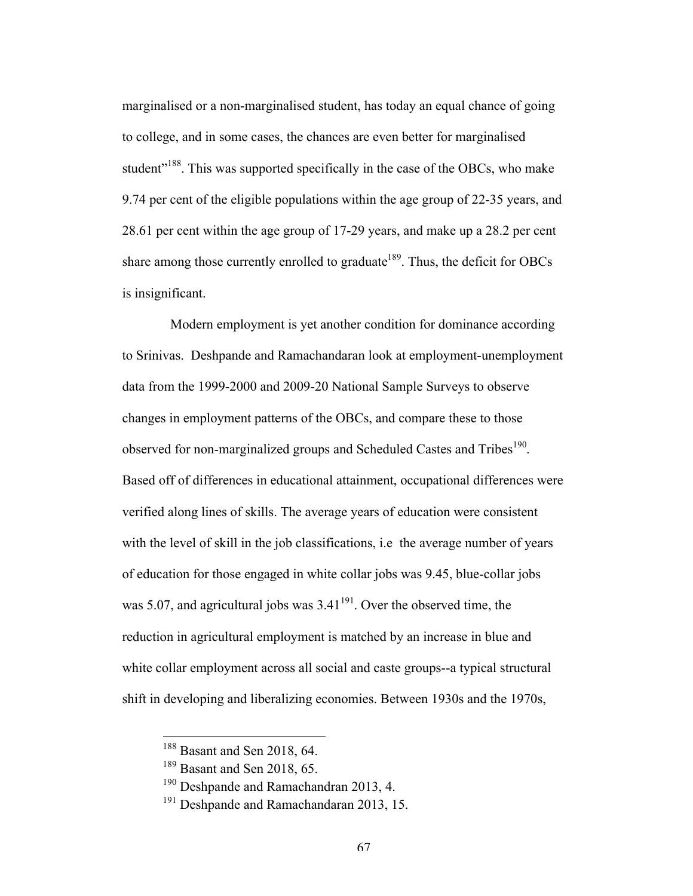marginalised or a non-marginalised student, has today an equal chance of going to college, and in some cases, the chances are even better for marginalised student"<sup>188</sup>. This was supported specifically in the case of the OBCs, who make 9.74 per cent of the eligible populations within the age group of 22-35 years, and 28.61 per cent within the age group of 17-29 years, and make up a 28.2 per cent share among those currently enrolled to graduate<sup>189</sup>. Thus, the deficit for OBCs is insignificant.

Modern employment is yet another condition for dominance according to Srinivas. Deshpande and Ramachandaran look at employment-unemployment data from the 1999-2000 and 2009-20 National Sample Surveys to observe changes in employment patterns of the OBCs, and compare these to those observed for non-marginalized groups and Scheduled Castes and Tribes<sup>190</sup>. Based off of differences in educational attainment, occupational differences were verified along lines of skills. The average years of education were consistent with the level of skill in the job classifications, i.e the average number of years of education for those engaged in white collar jobs was 9.45, blue-collar jobs was 5.07, and agricultural jobs was  $3.41^{191}$ . Over the observed time, the reduction in agricultural employment is matched by an increase in blue and white collar employment across all social and caste groups--a typical structural shift in developing and liberalizing economies. Between 1930s and the 1970s,

<sup>&</sup>lt;sup>188</sup> Basant and Sen 2018, 64.

<sup>189</sup> Basant and Sen 2018, 65.

<sup>&</sup>lt;sup>190</sup> Deshpande and Ramachandran 2013, 4.

<sup>&</sup>lt;sup>191</sup> Deshpande and Ramachandaran 2013, 15.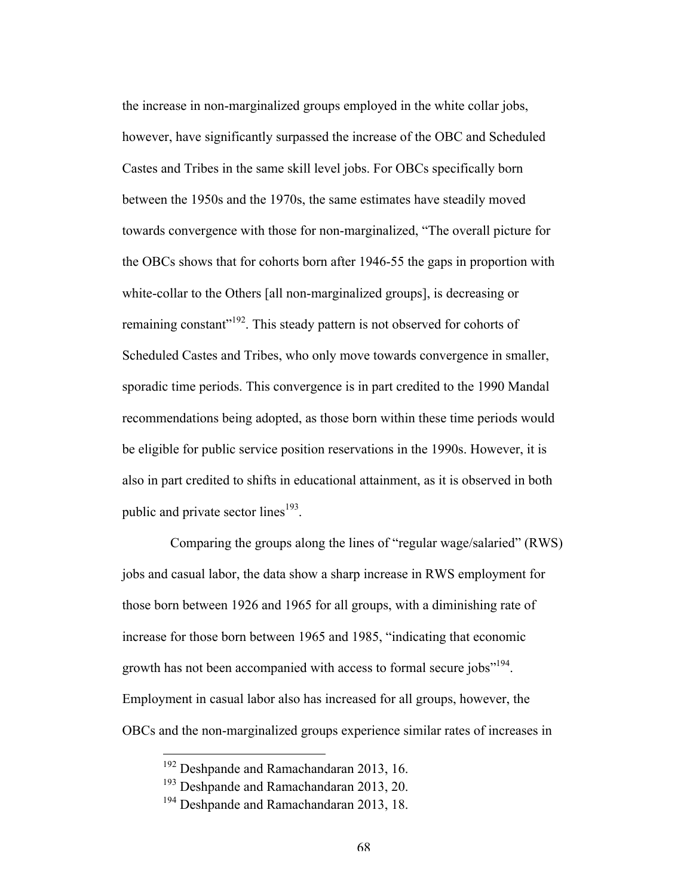the increase in non-marginalized groups employed in the white collar jobs, however, have significantly surpassed the increase of the OBC and Scheduled Castes and Tribes in the same skill level jobs. For OBCs specifically born between the 1950s and the 1970s, the same estimates have steadily moved towards convergence with those for non-marginalized, "The overall picture for the OBCs shows that for cohorts born after 1946-55 the gaps in proportion with white-collar to the Others [all non-marginalized groups], is decreasing or remaining constant"<sup>192</sup>. This steady pattern is not observed for cohorts of Scheduled Castes and Tribes, who only move towards convergence in smaller, sporadic time periods. This convergence is in part credited to the 1990 Mandal recommendations being adopted, as those born within these time periods would be eligible for public service position reservations in the 1990s. However, it is also in part credited to shifts in educational attainment, as it is observed in both public and private sector lines $193$ .

Comparing the groups along the lines of "regular wage/salaried" (RWS) jobs and casual labor, the data show a sharp increase in RWS employment for those born between 1926 and 1965 for all groups, with a diminishing rate of increase for those born between 1965 and 1985, "indicating that economic growth has not been accompanied with access to formal secure jobs<sup>"194</sup>. Employment in casual labor also has increased for all groups, however, the OBCs and the non-marginalized groups experience similar rates of increases in

<sup>&</sup>lt;sup>192</sup> Deshpande and Ramachandaran 2013, 16.

<sup>&</sup>lt;sup>193</sup> Deshpande and Ramachandaran 2013, 20.

<sup>&</sup>lt;sup>194</sup> Deshpande and Ramachandaran 2013, 18.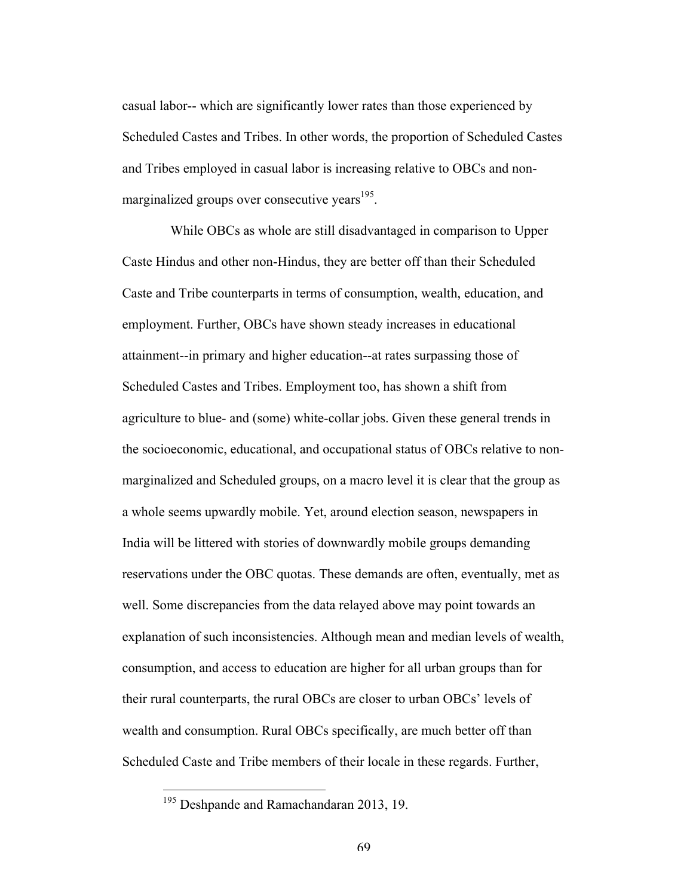casual labor-- which are significantly lower rates than those experienced by Scheduled Castes and Tribes. In other words, the proportion of Scheduled Castes and Tribes employed in casual labor is increasing relative to OBCs and nonmarginalized groups over consecutive years<sup>195</sup>.

While OBCs as whole are still disadvantaged in comparison to Upper Caste Hindus and other non-Hindus, they are better off than their Scheduled Caste and Tribe counterparts in terms of consumption, wealth, education, and employment. Further, OBCs have shown steady increases in educational attainment--in primary and higher education--at rates surpassing those of Scheduled Castes and Tribes. Employment too, has shown a shift from agriculture to blue- and (some) white-collar jobs. Given these general trends in the socioeconomic, educational, and occupational status of OBCs relative to nonmarginalized and Scheduled groups, on a macro level it is clear that the group as a whole seems upwardly mobile. Yet, around election season, newspapers in India will be littered with stories of downwardly mobile groups demanding reservations under the OBC quotas. These demands are often, eventually, met as well. Some discrepancies from the data relayed above may point towards an explanation of such inconsistencies. Although mean and median levels of wealth, consumption, and access to education are higher for all urban groups than for their rural counterparts, the rural OBCs are closer to urban OBCs' levels of wealth and consumption. Rural OBCs specifically, are much better off than Scheduled Caste and Tribe members of their locale in these regards. Further,

<sup>&</sup>lt;sup>195</sup> Deshpande and Ramachandaran 2013, 19.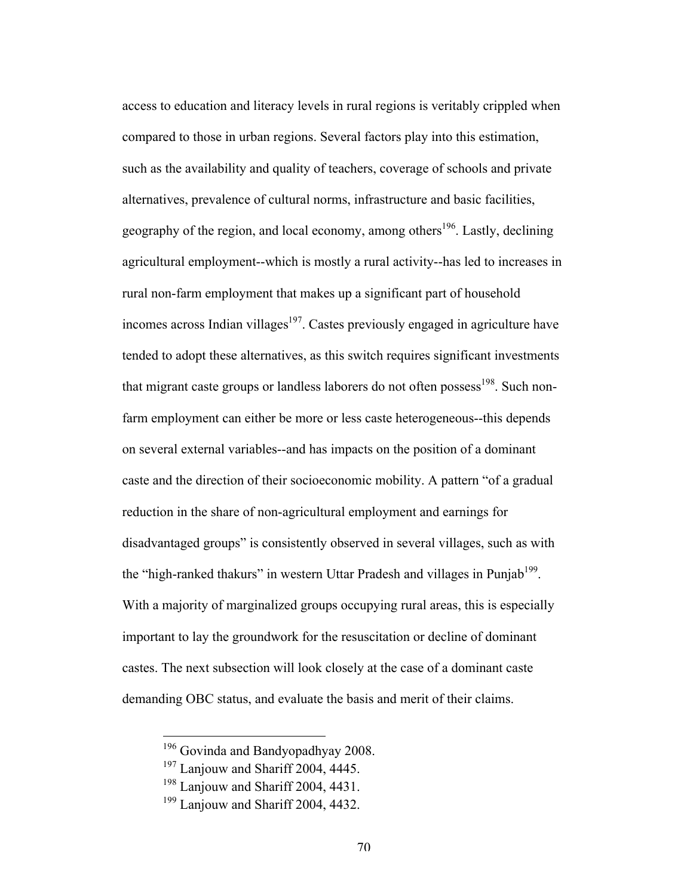access to education and literacy levels in rural regions is veritably crippled when compared to those in urban regions. Several factors play into this estimation, such as the availability and quality of teachers, coverage of schools and private alternatives, prevalence of cultural norms, infrastructure and basic facilities, geography of the region, and local economy, among others<sup>196</sup>. Lastly, declining agricultural employment--which is mostly a rural activity--has led to increases in rural non-farm employment that makes up a significant part of household incomes across Indian villages $197$ . Castes previously engaged in agriculture have tended to adopt these alternatives, as this switch requires significant investments that migrant caste groups or landless laborers do not often possess<sup>198</sup>. Such nonfarm employment can either be more or less caste heterogeneous--this depends on several external variables--and has impacts on the position of a dominant caste and the direction of their socioeconomic mobility. A pattern "of a gradual reduction in the share of non-agricultural employment and earnings for disadvantaged groups" is consistently observed in several villages, such as with the "high-ranked thakurs" in western Uttar Pradesh and villages in Punjab<sup>199</sup>. With a majority of marginalized groups occupying rural areas, this is especially important to lay the groundwork for the resuscitation or decline of dominant castes. The next subsection will look closely at the case of a dominant caste demanding OBC status, and evaluate the basis and merit of their claims.

<sup>&</sup>lt;sup>196</sup> Govinda and Bandyopadhyay 2008.

<sup>&</sup>lt;sup>197</sup> Lanjouw and Shariff 2004, 4445.

<sup>&</sup>lt;sup>198</sup> Lanjouw and Shariff 2004, 4431.

<sup>&</sup>lt;sup>199</sup> Lanjouw and Shariff 2004, 4432.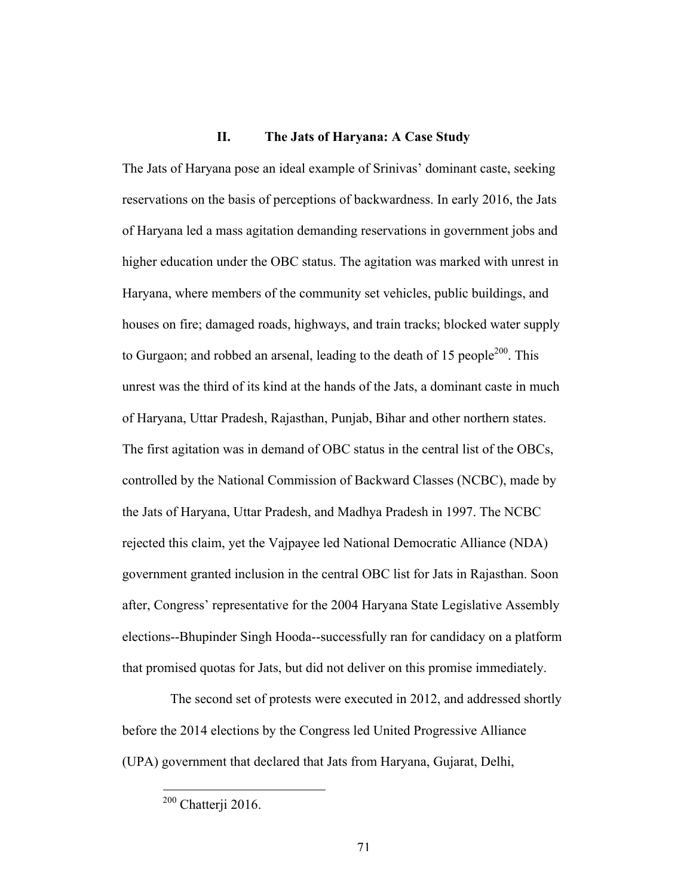## **II. The Jats of Haryana: A Case Study**

The Jats of Haryana pose an ideal example of Srinivas' dominant caste, seeking reservations on the basis of perceptions of backwardness. In early 2016, the Jats of Haryana led a mass agitation demanding reservations in government jobs and higher education under the OBC status. The agitation was marked with unrest in Haryana, where members of the community set vehicles, public buildings, and houses on fire; damaged roads, highways, and train tracks; blocked water supply to Gurgaon; and robbed an arsenal, leading to the death of 15 people<sup>200</sup>. This unrest was the third of its kind at the hands of the Jats, a dominant caste in much of Haryana, Uttar Pradesh, Rajasthan, Punjab, Bihar and other northern states. The first agitation was in demand of OBC status in the central list of the OBCs, controlled by the National Commission of Backward Classes (NCBC), made by the Jats of Haryana, Uttar Pradesh, and Madhya Pradesh in 1997. The NCBC rejected this claim, yet the Vajpayee led National Democratic Alliance (NDA) government granted inclusion in the central OBC list for Jats in Rajasthan. Soon after, Congress' representative for the 2004 Haryana State Legislative Assembly elections--Bhupinder Singh Hooda--successfully ran for candidacy on a platform that promised quotas for Jats, but did not deliver on this promise immediately.

The second set of protests were executed in 2012, and addressed shortly before the 2014 elections by the Congress led United Progressive Alliance (UPA) government that declared that Jats from Haryana, Gujarat, Delhi,

 <sup>200</sup> Chatterji 2016.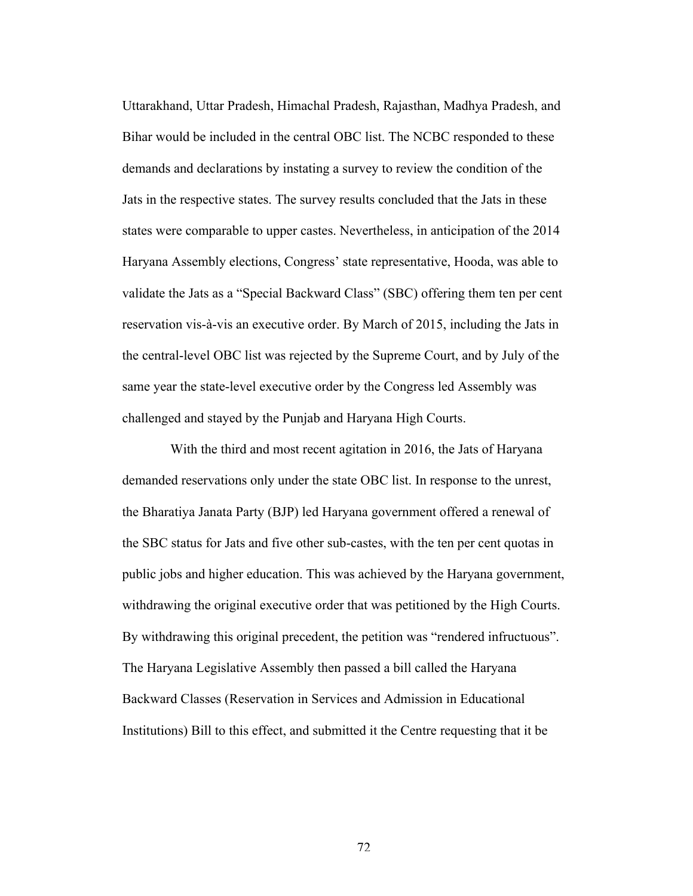Uttarakhand, Uttar Pradesh, Himachal Pradesh, Rajasthan, Madhya Pradesh, and Bihar would be included in the central OBC list. The NCBC responded to these demands and declarations by instating a survey to review the condition of the Jats in the respective states. The survey results concluded that the Jats in these states were comparable to upper castes. Nevertheless, in anticipation of the 2014 Haryana Assembly elections, Congress' state representative, Hooda, was able to validate the Jats as a "Special Backward Class" (SBC) offering them ten per cent reservation vis-à-vis an executive order. By March of 2015, including the Jats in the central-level OBC list was rejected by the Supreme Court, and by July of the same year the state-level executive order by the Congress led Assembly was challenged and stayed by the Punjab and Haryana High Courts.

With the third and most recent agitation in 2016, the Jats of Haryana demanded reservations only under the state OBC list. In response to the unrest, the Bharatiya Janata Party (BJP) led Haryana government offered a renewal of the SBC status for Jats and five other sub-castes, with the ten per cent quotas in public jobs and higher education. This was achieved by the Haryana government, withdrawing the original executive order that was petitioned by the High Courts. By withdrawing this original precedent, the petition was "rendered infructuous". The Haryana Legislative Assembly then passed a bill called the Haryana Backward Classes (Reservation in Services and Admission in Educational Institutions) Bill to this effect, and submitted it the Centre requesting that it be

72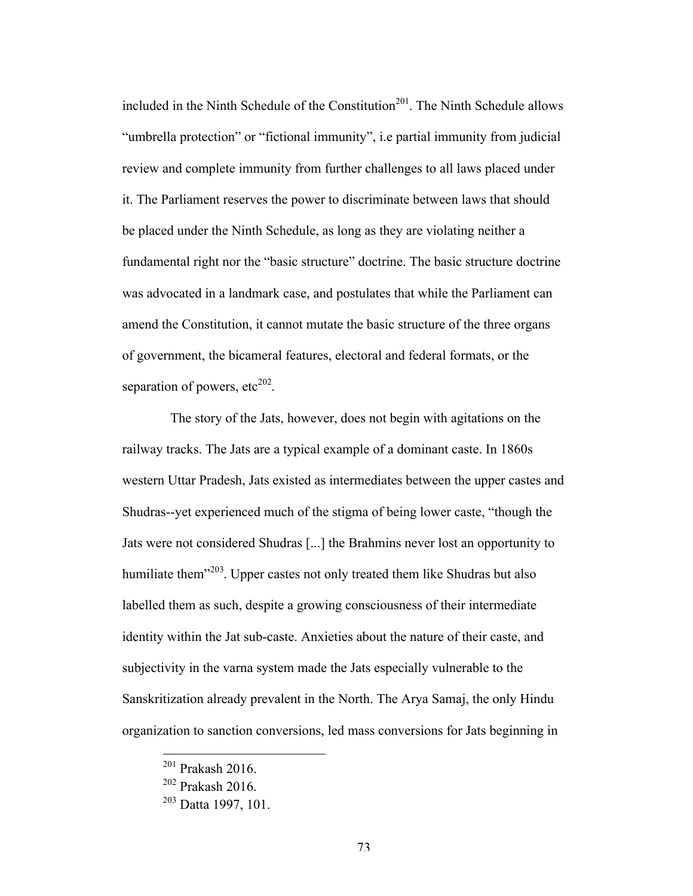included in the Ninth Schedule of the Constitution<sup>201</sup>. The Ninth Schedule allows "umbrella protection" or "fictional immunity", i.e partial immunity from judicial review and complete immunity from further challenges to all laws placed under it. The Parliament reserves the power to discriminate between laws that should be placed under the Ninth Schedule, as long as they are violating neither a fundamental right nor the "basic structure" doctrine. The basic structure doctrine was advocated in a landmark case, and postulates that while the Parliament can amend the Constitution, it cannot mutate the basic structure of the three organs of government, the bicameral features, electoral and federal formats, or the separation of powers,  $etc<sup>202</sup>$ .

The story of the Jats, however, does not begin with agitations on the railway tracks. The Jats are a typical example of a dominant caste. In 1860s western Uttar Pradesh, Jats existed as intermediates between the upper castes and Shudras--yet experienced much of the stigma of being lower caste, "though the Jats were not considered Shudras [...] the Brahmins never lost an opportunity to humiliate them<sup> $203$ </sup>. Upper castes not only treated them like Shudras but also labelled them as such, despite a growing consciousness of their intermediate identity within the Jat sub-caste. Anxieties about the nature of their caste, and subjectivity in the varna system made the Jats especially vulnerable to the Sanskritization already prevalent in the North. The Arya Samaj, the only Hindu organization to sanction conversions, led mass conversions for Jats beginning in

 <sup>201</sup> Prakash 2016.

<sup>202</sup> Prakash 2016.

<sup>&</sup>lt;sup>203</sup> Datta 1997, 101.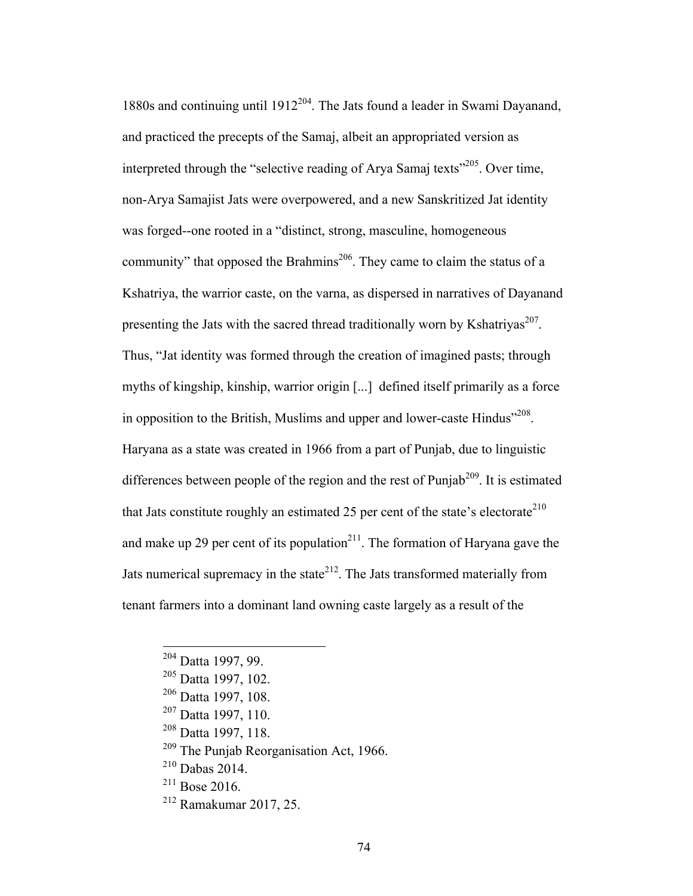1880s and continuing until  $1912^{204}$ . The Jats found a leader in Swami Dayanand, and practiced the precepts of the Samaj, albeit an appropriated version as interpreted through the "selective reading of Arya Samaj texts"<sup>205</sup>. Over time, non-Arya Samajist Jats were overpowered, and a new Sanskritized Jat identity was forged--one rooted in a "distinct, strong, masculine, homogeneous community" that opposed the Brahmins<sup>206</sup>. They came to claim the status of a Kshatriya, the warrior caste, on the varna, as dispersed in narratives of Dayanand presenting the Jats with the sacred thread traditionally worn by Kshatriyas<sup>207</sup>. Thus, "Jat identity was formed through the creation of imagined pasts; through myths of kingship, kinship, warrior origin [...] defined itself primarily as a force in opposition to the British, Muslims and upper and lower-caste Hindus<sup> $208$ </sup>. Haryana as a state was created in 1966 from a part of Punjab, due to linguistic differences between people of the region and the rest of Punjab<sup>209</sup>. It is estimated that Jats constitute roughly an estimated 25 per cent of the state's electorate<sup>210</sup> and make up 29 per cent of its population<sup>211</sup>. The formation of Haryana gave the Jats numerical supremacy in the state<sup>212</sup>. The Jats transformed materially from tenant farmers into a dominant land owning caste largely as a result of the

<sup>&</sup>lt;sup>204</sup> Datta 1997, 99.

<sup>205</sup> Datta 1997, 102.

<sup>&</sup>lt;sup>206</sup> Datta 1997, 108.

<sup>207</sup> Datta 1997, 110.

<sup>208</sup> Datta 1997, 118.

<sup>209</sup> The Punjab Reorganisation Act, 1966.

 $^{210}$  Dabas 2014.

 $^{211}$  Bose 2016.

<sup>212</sup> Ramakumar 2017, 25.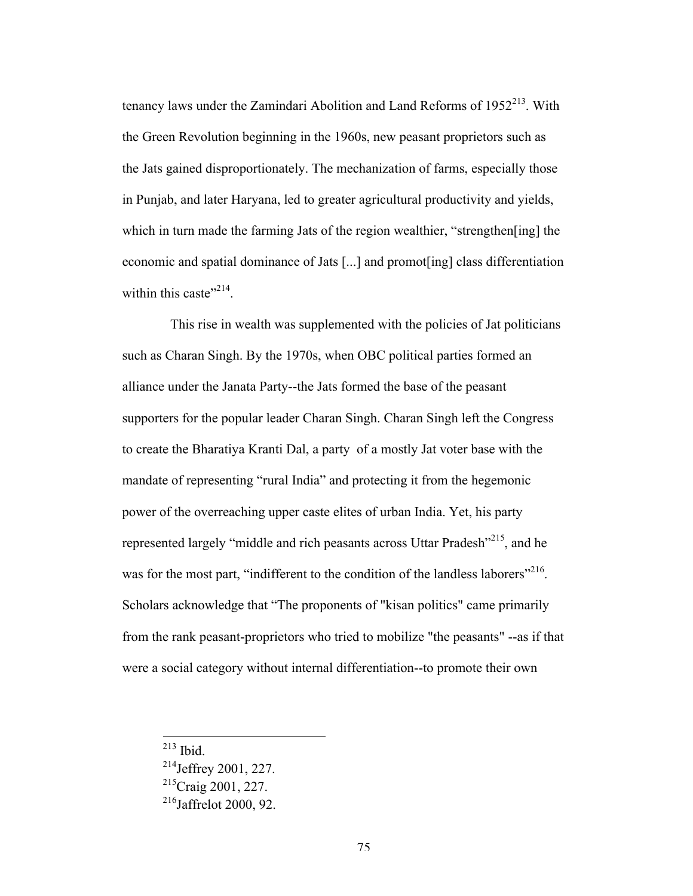tenancy laws under the Zamindari Abolition and Land Reforms of  $1952<sup>213</sup>$ . With the Green Revolution beginning in the 1960s, new peasant proprietors such as the Jats gained disproportionately. The mechanization of farms, especially those in Punjab, and later Haryana, led to greater agricultural productivity and yields, which in turn made the farming Jats of the region wealthier, "strengthen [ing] the economic and spatial dominance of Jats [...] and promot[ing] class differentiation within this caste"<sup>214</sup>.

This rise in wealth was supplemented with the policies of Jat politicians such as Charan Singh. By the 1970s, when OBC political parties formed an alliance under the Janata Party--the Jats formed the base of the peasant supporters for the popular leader Charan Singh. Charan Singh left the Congress to create the Bharatiya Kranti Dal, a party of a mostly Jat voter base with the mandate of representing "rural India" and protecting it from the hegemonic power of the overreaching upper caste elites of urban India. Yet, his party represented largely "middle and rich peasants across Uttar Pradesh"215, and he was for the most part, "indifferent to the condition of the landless laborers"<sup>216</sup>. Scholars acknowledge that "The proponents of "kisan politics" came primarily from the rank peasant-proprietors who tried to mobilize "the peasants" --as if that were a social category without internal differentiation--to promote their own

213 Ibid.

<sup>214</sup>Jeffrey 2001, 227.  $^{215}$ Craig 2001, 227.

 $216$ Jaffrelot 2000, 92.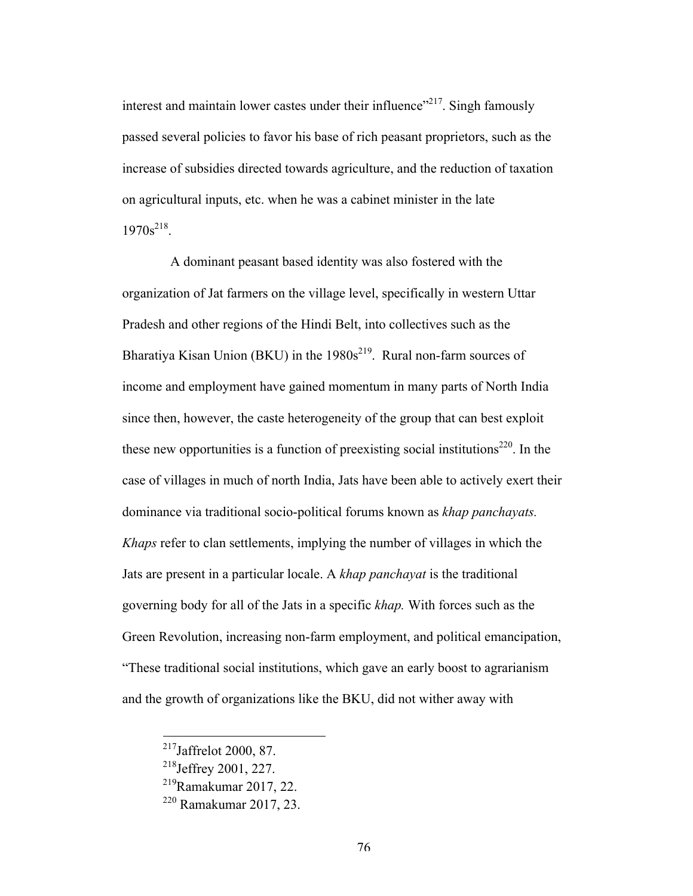interest and maintain lower castes under their influence"<sup>217</sup>. Singh famously passed several policies to favor his base of rich peasant proprietors, such as the increase of subsidies directed towards agriculture, and the reduction of taxation on agricultural inputs, etc. when he was a cabinet minister in the late  $1970s^{218}$ .

A dominant peasant based identity was also fostered with the organization of Jat farmers on the village level, specifically in western Uttar Pradesh and other regions of the Hindi Belt, into collectives such as the Bharatiya Kisan Union (BKU) in the  $1980s^{219}$ . Rural non-farm sources of income and employment have gained momentum in many parts of North India since then, however, the caste heterogeneity of the group that can best exploit these new opportunities is a function of preexisting social institutions<sup>220</sup>. In the case of villages in much of north India, Jats have been able to actively exert their dominance via traditional socio-political forums known as *khap panchayats. Khaps* refer to clan settlements, implying the number of villages in which the Jats are present in a particular locale. A *khap panchayat* is the traditional governing body for all of the Jats in a specific *khap.* With forces such as the Green Revolution, increasing non-farm employment, and political emancipation, "These traditional social institutions, which gave an early boost to agrarianism and the growth of organizations like the BKU, did not wither away with

 <sup>217</sup>Jaffrelot 2000, 87.

<sup>218</sup>Jeffrey 2001, 227.

 $^{219}$ Ramakumar 2017, 22.

<sup>220</sup> Ramakumar 2017, 23.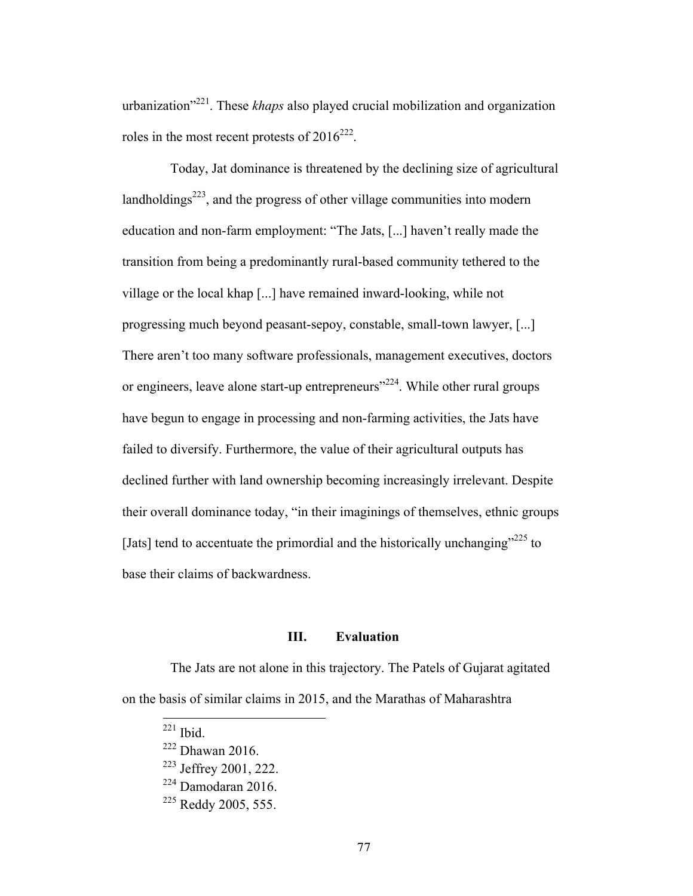urbanization"221. These *khaps* also played crucial mobilization and organization roles in the most recent protests of  $2016^{222}$ .

Today, Jat dominance is threatened by the declining size of agricultural landholdings<sup>223</sup>, and the progress of other village communities into modern education and non-farm employment: "The Jats, [...] haven't really made the transition from being a predominantly rural-based community tethered to the village or the local khap [...] have remained inward-looking, while not progressing much beyond peasant-sepoy, constable, small-town lawyer, [...] There aren't too many software professionals, management executives, doctors or engineers, leave alone start-up entrepreneurs<sup>"224</sup>. While other rural groups have begun to engage in processing and non-farming activities, the Jats have failed to diversify. Furthermore, the value of their agricultural outputs has declined further with land ownership becoming increasingly irrelevant. Despite their overall dominance today, "in their imaginings of themselves, ethnic groups [Jats] tend to accentuate the primordial and the historically unchanging"<sup>225</sup> to base their claims of backwardness.

#### **III. Evaluation**

The Jats are not alone in this trajectory. The Patels of Gujarat agitated on the basis of similar claims in 2015, and the Marathas of Maharashtra

<sup>223</sup> Jeffrey 2001, 222.

 $221$  Ibid.

<sup>222</sup> Dhawan 2016.

 $224$  Damodaran 2016.

<sup>&</sup>lt;sup>225</sup> Reddy 2005, 555.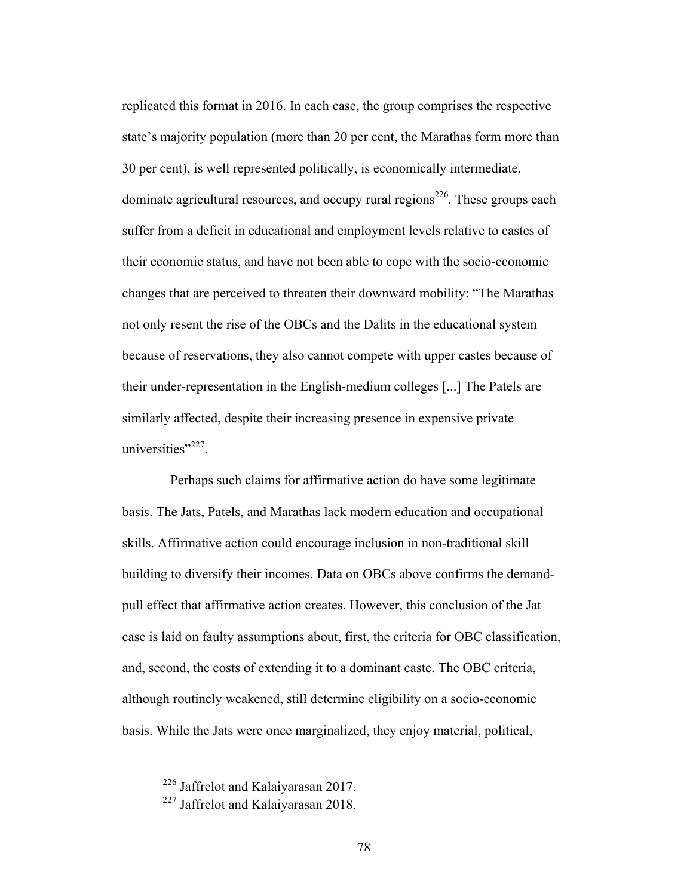replicated this format in 2016. In each case, the group comprises the respective state's majority population (more than 20 per cent, the Marathas form more than 30 per cent), is well represented politically, is economically intermediate, dominate agricultural resources, and occupy rural regions<sup>226</sup>. These groups each suffer from a deficit in educational and employment levels relative to castes of their economic status, and have not been able to cope with the socio-economic changes that are perceived to threaten their downward mobility: "The Marathas not only resent the rise of the OBCs and the Dalits in the educational system because of reservations, they also cannot compete with upper castes because of their under-representation in the English-medium colleges [...] The Patels are similarly affected, despite their increasing presence in expensive private universities"<sup>227</sup>.

Perhaps such claims for affirmative action do have some legitimate basis. The Jats, Patels, and Marathas lack modern education and occupational skills. Affirmative action could encourage inclusion in non-traditional skill building to diversify their incomes. Data on OBCs above confirms the demandpull effect that affirmative action creates. However, this conclusion of the Jat case is laid on faulty assumptions about, first, the criteria for OBC classification, and, second, the costs of extending it to a dominant caste. The OBC criteria, although routinely weakened, still determine eligibility on a socio-economic basis. While the Jats were once marginalized, they enjoy material, political,

 <sup>226</sup> Jaffrelot and Kalaiyarasan 2017.

<sup>&</sup>lt;sup>227</sup> Jaffrelot and Kalaiyarasan 2018.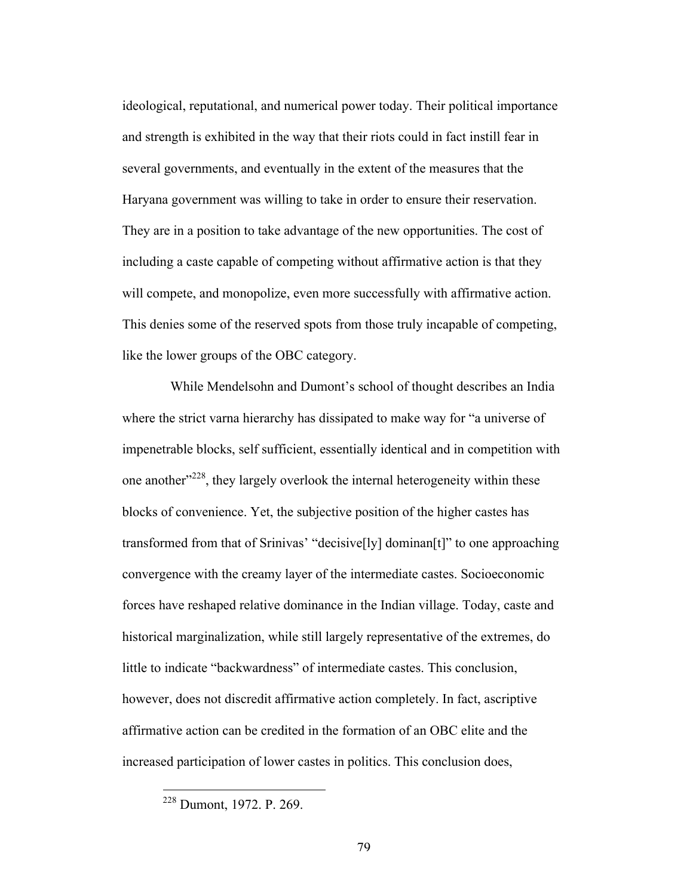ideological, reputational, and numerical power today. Their political importance and strength is exhibited in the way that their riots could in fact instill fear in several governments, and eventually in the extent of the measures that the Haryana government was willing to take in order to ensure their reservation. They are in a position to take advantage of the new opportunities. The cost of including a caste capable of competing without affirmative action is that they will compete, and monopolize, even more successfully with affirmative action. This denies some of the reserved spots from those truly incapable of competing, like the lower groups of the OBC category.

While Mendelsohn and Dumont's school of thought describes an India where the strict varna hierarchy has dissipated to make way for "a universe of impenetrable blocks, self sufficient, essentially identical and in competition with one another<sup> $228$ </sup>, they largely overlook the internal heterogeneity within these blocks of convenience. Yet, the subjective position of the higher castes has transformed from that of Srinivas' "decisive[ly] dominan[t]" to one approaching convergence with the creamy layer of the intermediate castes. Socioeconomic forces have reshaped relative dominance in the Indian village. Today, caste and historical marginalization, while still largely representative of the extremes, do little to indicate "backwardness" of intermediate castes. This conclusion, however, does not discredit affirmative action completely. In fact, ascriptive affirmative action can be credited in the formation of an OBC elite and the increased participation of lower castes in politics. This conclusion does,

 <sup>228</sup> Dumont, 1972. P. 269.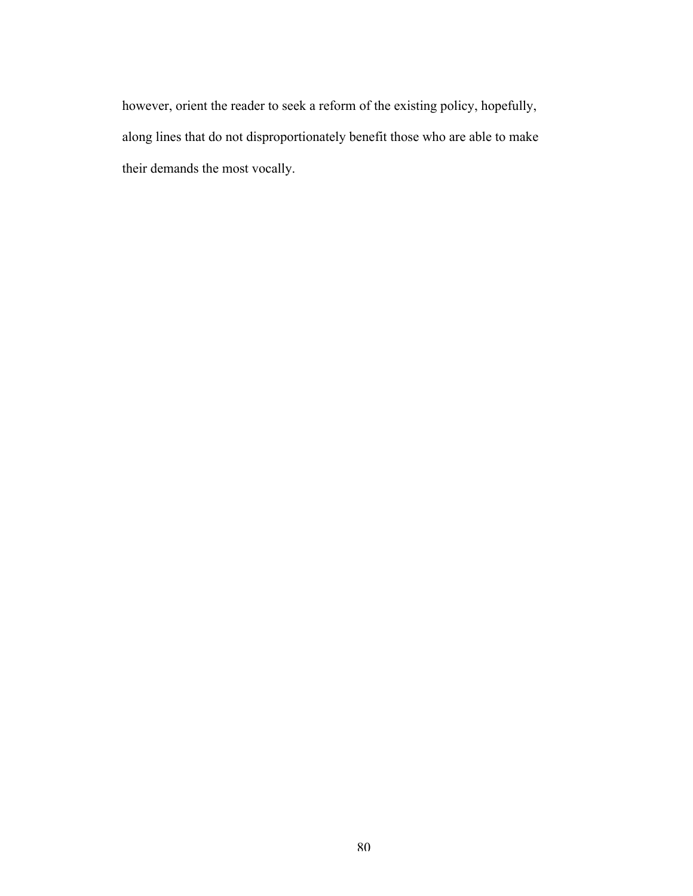however, orient the reader to seek a reform of the existing policy, hopefully, along lines that do not disproportionately benefit those who are able to make their demands the most vocally.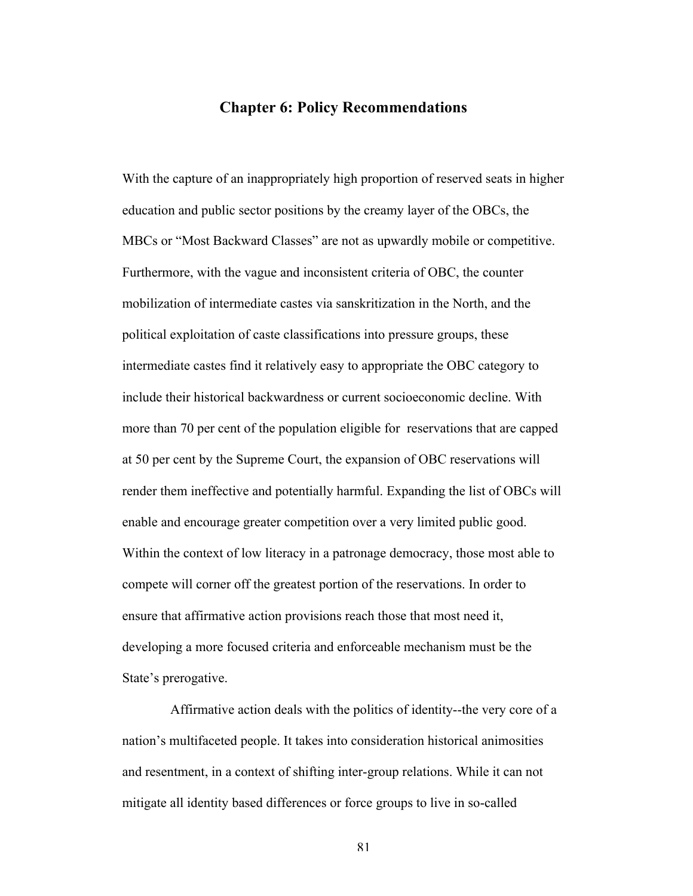## **Chapter 6: Policy Recommendations**

With the capture of an inappropriately high proportion of reserved seats in higher education and public sector positions by the creamy layer of the OBCs, the MBCs or "Most Backward Classes" are not as upwardly mobile or competitive. Furthermore, with the vague and inconsistent criteria of OBC, the counter mobilization of intermediate castes via sanskritization in the North, and the political exploitation of caste classifications into pressure groups, these intermediate castes find it relatively easy to appropriate the OBC category to include their historical backwardness or current socioeconomic decline. With more than 70 per cent of the population eligible for reservations that are capped at 50 per cent by the Supreme Court, the expansion of OBC reservations will render them ineffective and potentially harmful. Expanding the list of OBCs will enable and encourage greater competition over a very limited public good. Within the context of low literacy in a patronage democracy, those most able to compete will corner off the greatest portion of the reservations. In order to ensure that affirmative action provisions reach those that most need it, developing a more focused criteria and enforceable mechanism must be the State's prerogative.

Affirmative action deals with the politics of identity--the very core of a nation's multifaceted people. It takes into consideration historical animosities and resentment, in a context of shifting inter-group relations. While it can not mitigate all identity based differences or force groups to live in so-called

81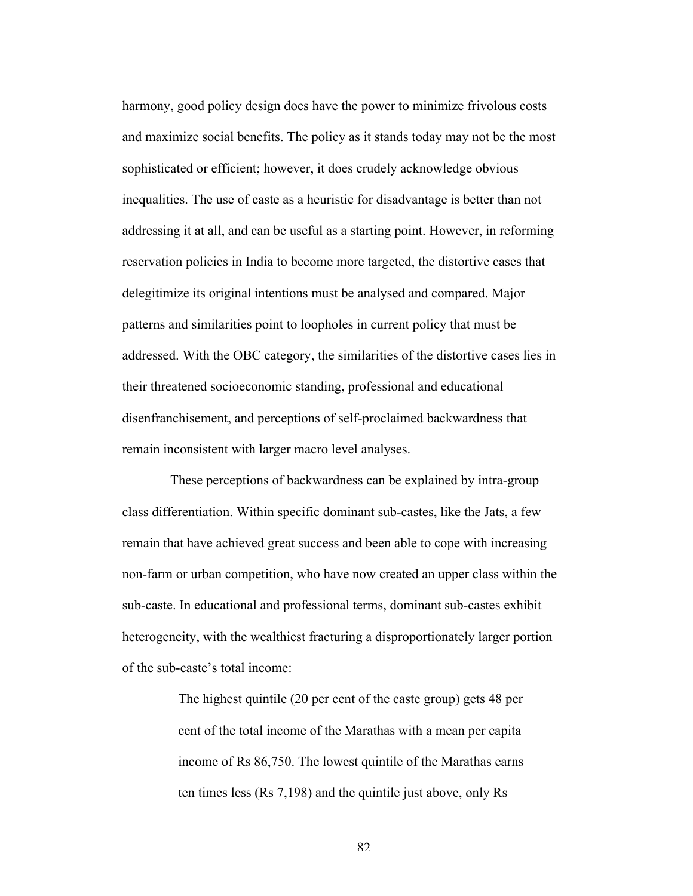harmony, good policy design does have the power to minimize frivolous costs and maximize social benefits. The policy as it stands today may not be the most sophisticated or efficient; however, it does crudely acknowledge obvious inequalities. The use of caste as a heuristic for disadvantage is better than not addressing it at all, and can be useful as a starting point. However, in reforming reservation policies in India to become more targeted, the distortive cases that delegitimize its original intentions must be analysed and compared. Major patterns and similarities point to loopholes in current policy that must be addressed. With the OBC category, the similarities of the distortive cases lies in their threatened socioeconomic standing, professional and educational disenfranchisement, and perceptions of self-proclaimed backwardness that remain inconsistent with larger macro level analyses.

These perceptions of backwardness can be explained by intra-group class differentiation. Within specific dominant sub-castes, like the Jats, a few remain that have achieved great success and been able to cope with increasing non-farm or urban competition, who have now created an upper class within the sub-caste. In educational and professional terms, dominant sub-castes exhibit heterogeneity, with the wealthiest fracturing a disproportionately larger portion of the sub-caste's total income:

> The highest quintile (20 per cent of the caste group) gets 48 per cent of the total income of the Marathas with a mean per capita income of Rs 86,750. The lowest quintile of the Marathas earns ten times less (Rs 7,198) and the quintile just above, only Rs

> > 82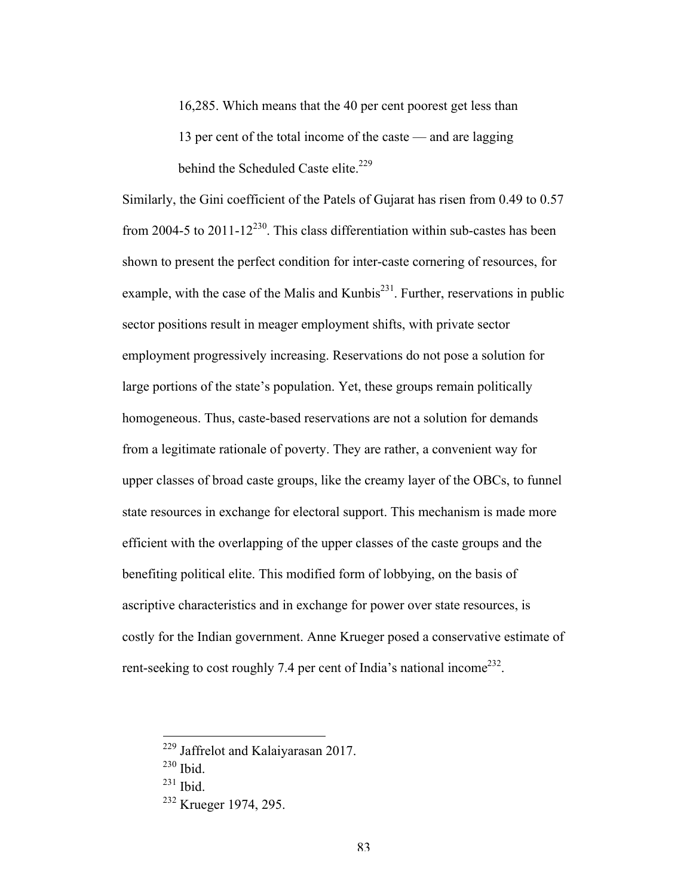16,285. Which means that the 40 per cent poorest get less than 13 per cent of the total income of the caste — and are lagging behind the Scheduled Caste elite.<sup>229</sup>

Similarly, the Gini coefficient of the Patels of Gujarat has risen from 0.49 to 0.57 from 2004-5 to 2011-12<sup>230</sup>. This class differentiation within sub-castes has been shown to present the perfect condition for inter-caste cornering of resources, for example, with the case of the Malis and Kunbis<sup>231</sup>. Further, reservations in public sector positions result in meager employment shifts, with private sector employment progressively increasing. Reservations do not pose a solution for large portions of the state's population. Yet, these groups remain politically homogeneous. Thus, caste-based reservations are not a solution for demands from a legitimate rationale of poverty. They are rather, a convenient way for upper classes of broad caste groups, like the creamy layer of the OBCs, to funnel state resources in exchange for electoral support. This mechanism is made more efficient with the overlapping of the upper classes of the caste groups and the benefiting political elite. This modified form of lobbying, on the basis of ascriptive characteristics and in exchange for power over state resources, is costly for the Indian government. Anne Krueger posed a conservative estimate of rent-seeking to cost roughly 7.4 per cent of India's national income<sup>232</sup>.

 <sup>229</sup> Jaffrelot and Kalaiyarasan 2017.

<sup>230</sup> Ibid.

 $^{231}$  Ibid.

<sup>&</sup>lt;sup>232</sup> Krueger 1974, 295.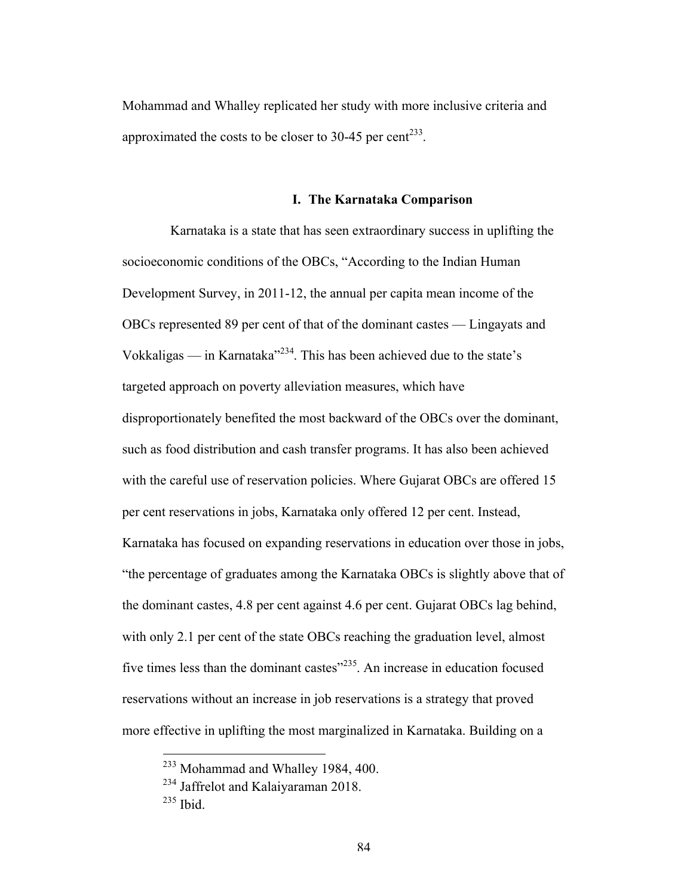Mohammad and Whalley replicated her study with more inclusive criteria and approximated the costs to be closer to 30-45 per cent<sup>233</sup>.

#### **I. The Karnataka Comparison**

Karnataka is a state that has seen extraordinary success in uplifting the socioeconomic conditions of the OBCs, "According to the Indian Human Development Survey, in 2011-12, the annual per capita mean income of the OBCs represented 89 per cent of that of the dominant castes — Lingayats and Vokkaligas — in Karnataka<sup> $234$ </sup>. This has been achieved due to the state's targeted approach on poverty alleviation measures, which have disproportionately benefited the most backward of the OBCs over the dominant, such as food distribution and cash transfer programs. It has also been achieved with the careful use of reservation policies. Where Gujarat OBCs are offered 15 per cent reservations in jobs, Karnataka only offered 12 per cent. Instead, Karnataka has focused on expanding reservations in education over those in jobs, "the percentage of graduates among the Karnataka OBCs is slightly above that of the dominant castes, 4.8 per cent against 4.6 per cent. Gujarat OBCs lag behind, with only 2.1 per cent of the state OBCs reaching the graduation level, almost five times less than the dominant castes $^{235}$ . An increase in education focused reservations without an increase in job reservations is a strategy that proved more effective in uplifting the most marginalized in Karnataka. Building on a

 <sup>233</sup> Mohammad and Whalley 1984, 400.

<sup>&</sup>lt;sup>234</sup> Jaffrelot and Kalaiyaraman 2018.

<sup>235</sup> Ibid.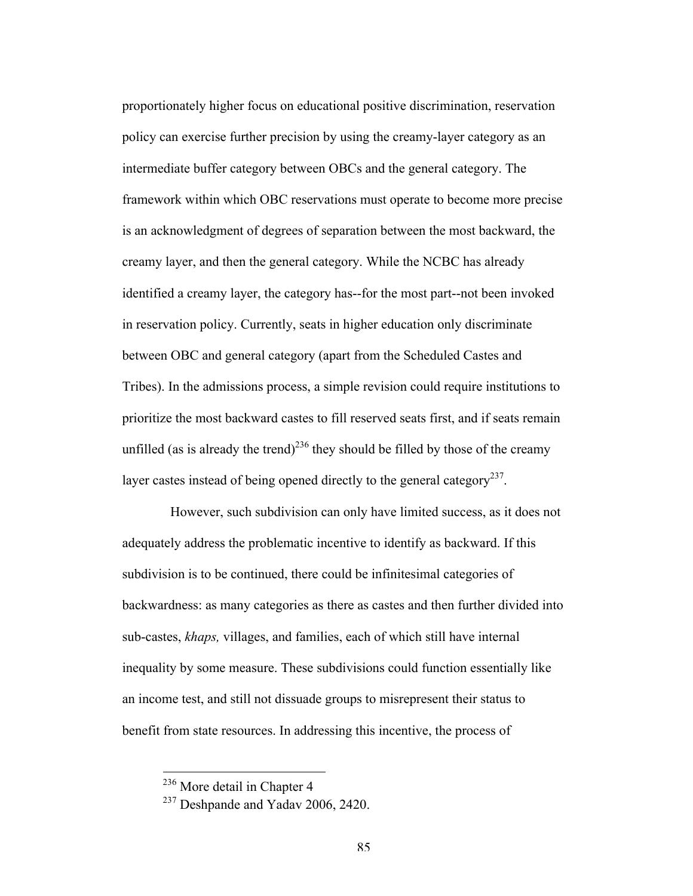proportionately higher focus on educational positive discrimination, reservation policy can exercise further precision by using the creamy-layer category as an intermediate buffer category between OBCs and the general category. The framework within which OBC reservations must operate to become more precise is an acknowledgment of degrees of separation between the most backward, the creamy layer, and then the general category. While the NCBC has already identified a creamy layer, the category has--for the most part--not been invoked in reservation policy. Currently, seats in higher education only discriminate between OBC and general category (apart from the Scheduled Castes and Tribes). In the admissions process, a simple revision could require institutions to prioritize the most backward castes to fill reserved seats first, and if seats remain unfilled (as is already the trend)<sup>236</sup> they should be filled by those of the creamy layer castes instead of being opened directly to the general category<sup>237</sup>.

However, such subdivision can only have limited success, as it does not adequately address the problematic incentive to identify as backward. If this subdivision is to be continued, there could be infinitesimal categories of backwardness: as many categories as there as castes and then further divided into sub-castes, *khaps,* villages, and families, each of which still have internal inequality by some measure. These subdivisions could function essentially like an income test, and still not dissuade groups to misrepresent their status to benefit from state resources. In addressing this incentive, the process of

 <sup>236</sup> More detail in Chapter 4

<sup>&</sup>lt;sup>237</sup> Deshpande and Yadav 2006, 2420.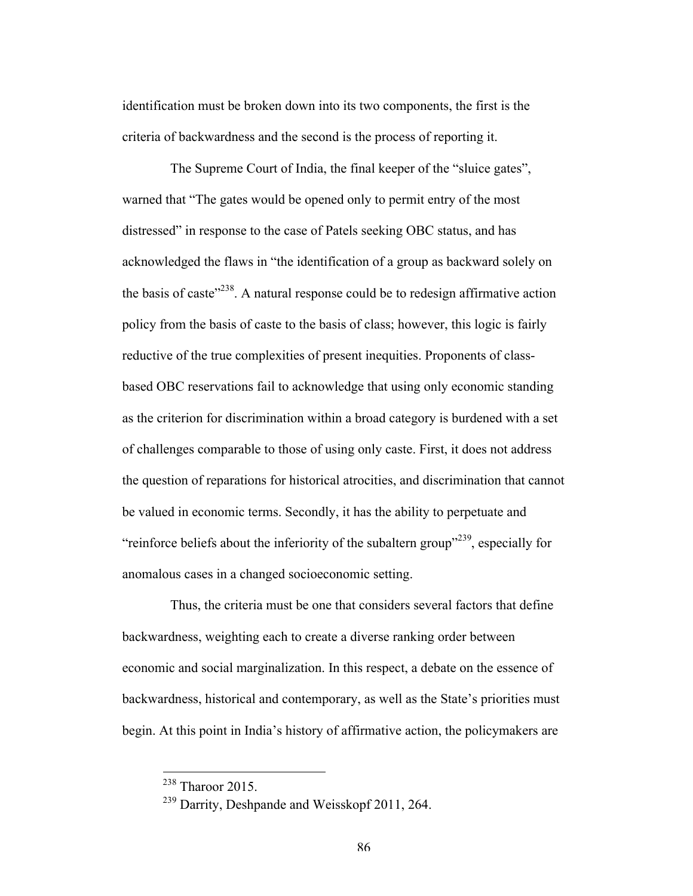identification must be broken down into its two components, the first is the criteria of backwardness and the second is the process of reporting it.

The Supreme Court of India, the final keeper of the "sluice gates", warned that "The gates would be opened only to permit entry of the most distressed" in response to the case of Patels seeking OBC status, and has acknowledged the flaws in "the identification of a group as backward solely on the basis of caste"238. A natural response could be to redesign affirmative action policy from the basis of caste to the basis of class; however, this logic is fairly reductive of the true complexities of present inequities. Proponents of classbased OBC reservations fail to acknowledge that using only economic standing as the criterion for discrimination within a broad category is burdened with a set of challenges comparable to those of using only caste. First, it does not address the question of reparations for historical atrocities, and discrimination that cannot be valued in economic terms. Secondly, it has the ability to perpetuate and "reinforce beliefs about the inferiority of the subaltern group"<sup>239</sup>, especially for anomalous cases in a changed socioeconomic setting.

Thus, the criteria must be one that considers several factors that define backwardness, weighting each to create a diverse ranking order between economic and social marginalization. In this respect, a debate on the essence of backwardness, historical and contemporary, as well as the State's priorities must begin. At this point in India's history of affirmative action, the policymakers are

 $238$  Tharoor 2015.

<sup>239</sup> Darrity, Deshpande and Weisskopf 2011, 264.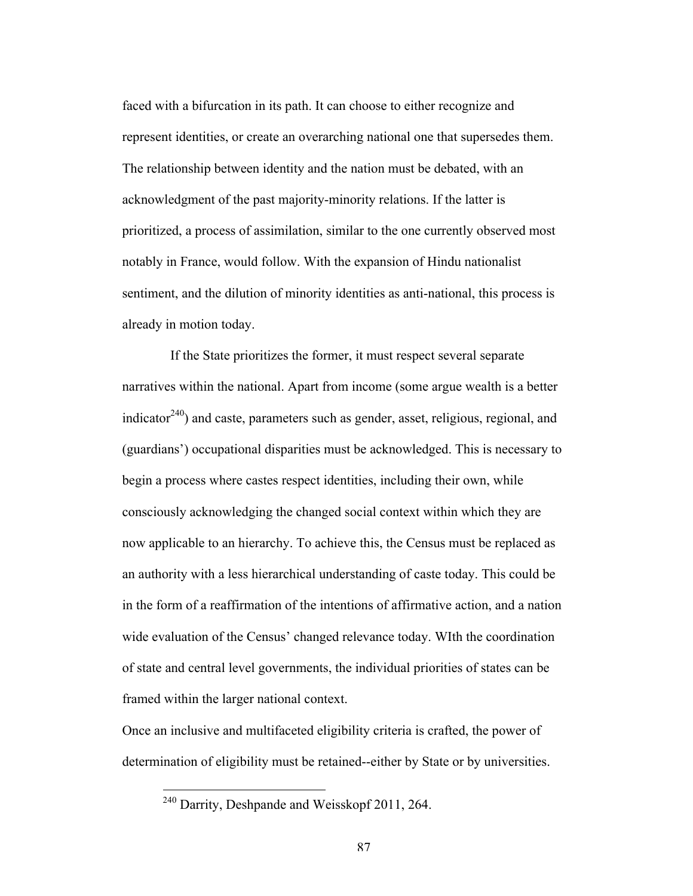faced with a bifurcation in its path. It can choose to either recognize and represent identities, or create an overarching national one that supersedes them. The relationship between identity and the nation must be debated, with an acknowledgment of the past majority-minority relations. If the latter is prioritized, a process of assimilation, similar to the one currently observed most notably in France, would follow. With the expansion of Hindu nationalist sentiment, and the dilution of minority identities as anti-national, this process is already in motion today.

If the State prioritizes the former, it must respect several separate narratives within the national. Apart from income (some argue wealth is a better indicator<sup>240</sup>) and caste, parameters such as gender, asset, religious, regional, and (guardians') occupational disparities must be acknowledged. This is necessary to begin a process where castes respect identities, including their own, while consciously acknowledging the changed social context within which they are now applicable to an hierarchy. To achieve this, the Census must be replaced as an authority with a less hierarchical understanding of caste today. This could be in the form of a reaffirmation of the intentions of affirmative action, and a nation wide evaluation of the Census' changed relevance today. WIth the coordination of state and central level governments, the individual priorities of states can be framed within the larger national context.

Once an inclusive and multifaceted eligibility criteria is crafted, the power of determination of eligibility must be retained--either by State or by universities.

 <sup>240</sup> Darrity, Deshpande and Weisskopf 2011, 264.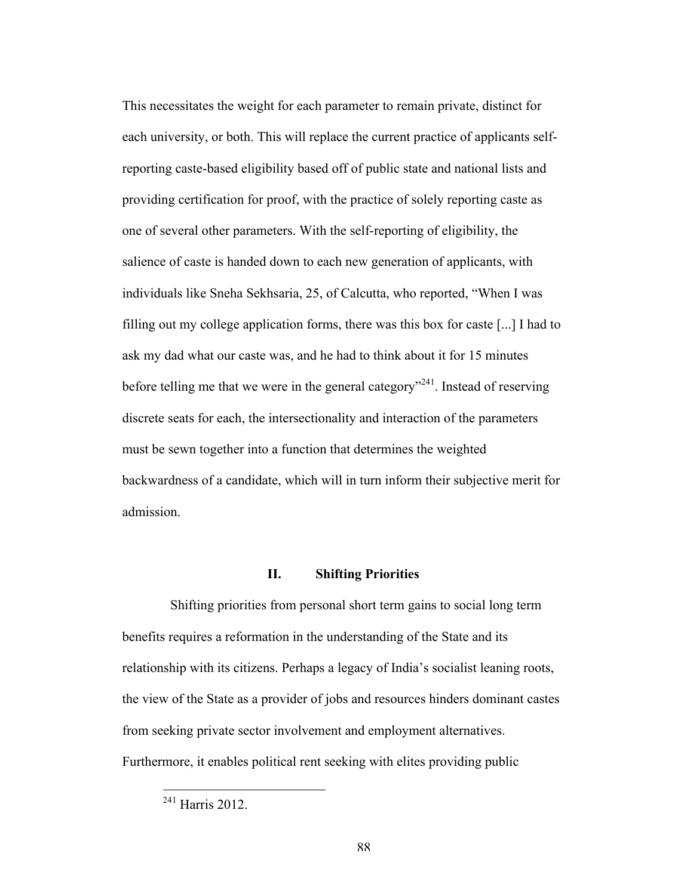This necessitates the weight for each parameter to remain private, distinct for each university, or both. This will replace the current practice of applicants selfreporting caste-based eligibility based off of public state and national lists and providing certification for proof, with the practice of solely reporting caste as one of several other parameters. With the self-reporting of eligibility, the salience of caste is handed down to each new generation of applicants, with individuals like Sneha Sekhsaria, 25, of Calcutta, who reported, "When I was filling out my college application forms, there was this box for caste [...] I had to ask my dad what our caste was, and he had to think about it for 15 minutes before telling me that we were in the general category<sup> $241$ </sup>. Instead of reserving discrete seats for each, the intersectionality and interaction of the parameters must be sewn together into a function that determines the weighted backwardness of a candidate, which will in turn inform their subjective merit for admission.

## **II. Shifting Priorities**

Shifting priorities from personal short term gains to social long term benefits requires a reformation in the understanding of the State and its relationship with its citizens. Perhaps a legacy of India's socialist leaning roots, the view of the State as a provider of jobs and resources hinders dominant castes from seeking private sector involvement and employment alternatives. Furthermore, it enables political rent seeking with elites providing public

 <sup>241</sup> Harris 2012.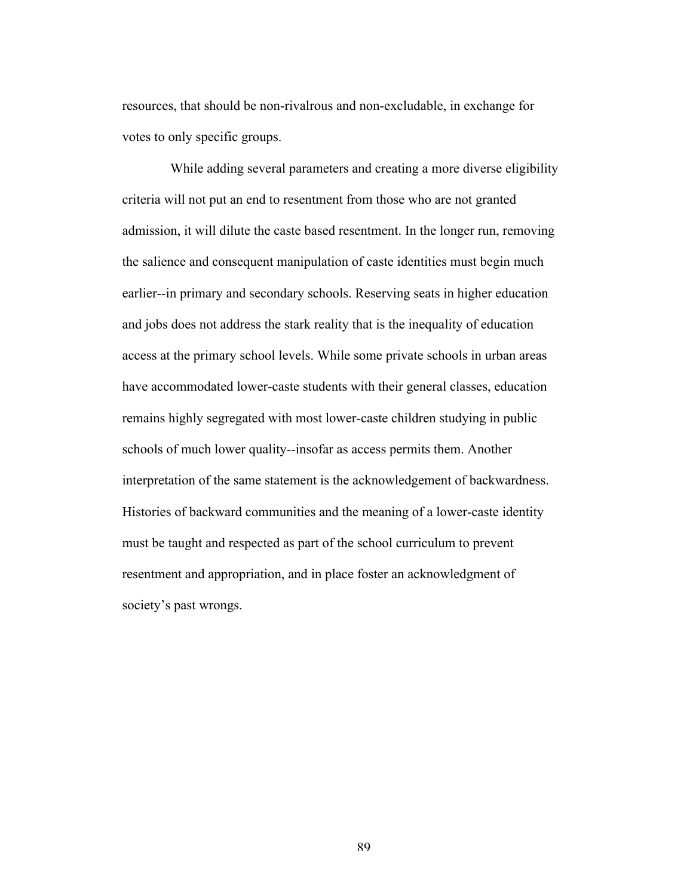resources, that should be non-rivalrous and non-excludable, in exchange for votes to only specific groups.

While adding several parameters and creating a more diverse eligibility criteria will not put an end to resentment from those who are not granted admission, it will dilute the caste based resentment. In the longer run, removing the salience and consequent manipulation of caste identities must begin much earlier--in primary and secondary schools. Reserving seats in higher education and jobs does not address the stark reality that is the inequality of education access at the primary school levels. While some private schools in urban areas have accommodated lower-caste students with their general classes, education remains highly segregated with most lower-caste children studying in public schools of much lower quality--insofar as access permits them. Another interpretation of the same statement is the acknowledgement of backwardness. Histories of backward communities and the meaning of a lower-caste identity must be taught and respected as part of the school curriculum to prevent resentment and appropriation, and in place foster an acknowledgment of society's past wrongs.

89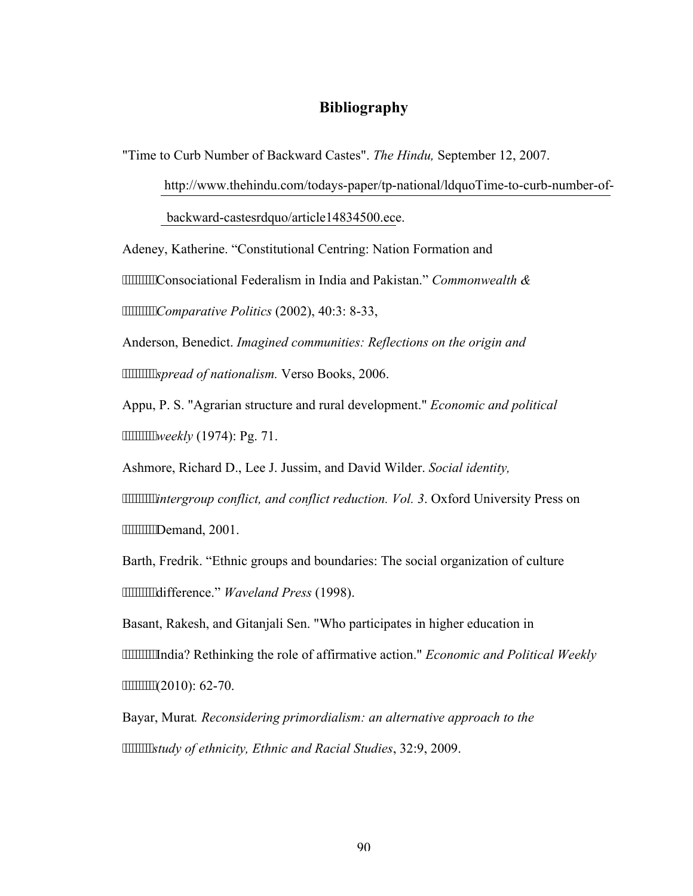# **Bibliography**

"Time to Curb Number of Backward Castes". *The Hindu,* September 12, 2007.

http://www.thehindu.com/todays-paper/tp-national/ldquoTime-to-curb-number-of-

backward-castesrdquo/article14834500.ece.

Adeney, Katherine. "Constitutional Centring: Nation Formation and

Consociational Federalism in India and Pakistan." *Commonwealth &* 

*Comparative Politics* (2002), 40:3: 8-33,

Anderson, Benedict. *Imagined communities: Reflections on the origin and spread of nationalism.* Verso Books, 2006.

Appu, P. S. "Agrarian structure and rural development." *Economic and political weekly* (1974): Pg. 71.

Ashmore, Richard D., Lee J. Jussim, and David Wilder. *Social identity,* 

*intergroup conflict, and conflict reduction. Vol. 3*. Oxford University Press on """"""""Demand, 2001.

Barth, Fredrik. "Ethnic groups and boundaries: The social organization of culture difference." *Waveland Press* (1998).

Basant, Rakesh, and Gitanjali Sen. "Who participates in higher education in

India? Rethinking the role of affirmative action." *Economic and Political Weekly* """""""(2010): 62-70.

Bayar, Murat*. Reconsidering primordialism: an alternative approach to the study of ethnicity, Ethnic and Racial Studies*, 32:9, 2009.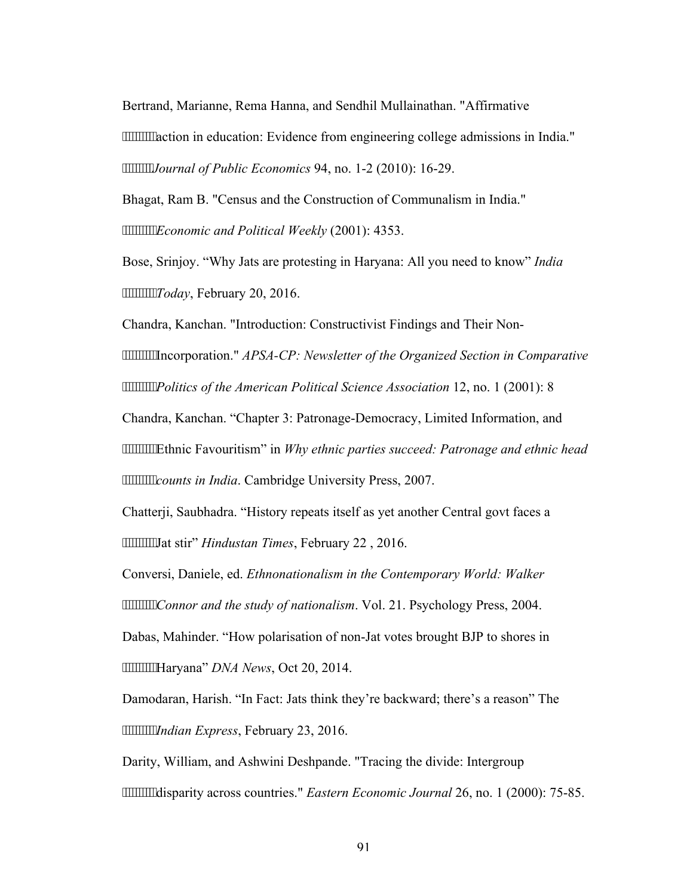Bertrand, Marianne, Rema Hanna, and Sendhil Mullainathan. "Affirmative

"""""""action in education: Evidence from engineering college admissions in India." *Journal of Public Economics* 94, no. 1-2 (2010): 16-29.

Bhagat, Ram B. "Census and the Construction of Communalism in India." *Economic and Political Weekly* (2001): 4353.

Bose, Srinjoy. "Why Jats are protesting in Haryana: All you need to know" *India Today*, February 20, 2016.

Chandra, Kanchan. "Introduction: Constructivist Findings and Their Non-

Incorporation." *APSA-CP: Newsletter of the Organized Section in Comparative Politics of the American Political Science Association* 12, no. 1 (2001): 8

Chandra, Kanchan. "Chapter 3: Patronage-Democracy, Limited Information, and

Ethnic Favouritism" in *Why ethnic parties succeed: Patronage and ethnic head counts in India.* Cambridge University Press, 2007.

Chatterji, Saubhadra. "History repeats itself as yet another Central govt faces a Jat stir" *Hindustan Times*, February 22 , 2016.

Conversi, Daniele, ed. *Ethnonationalism in the Contemporary World: Walker* 

*Connor and the study of nationalism*. Vol. 21. Psychology Press, 2004.

Dabas, Mahinder. "How polarisation of non-Jat votes brought BJP to shores in Haryana" *DNA News*, Oct 20, 2014.

Damodaran, Harish. "In Fact: Jats think they're backward; there's a reason" The *Indian Express*, February 23, 2016.

Darity, William, and Ashwini Deshpande. "Tracing the divide: Intergroup disparity across countries." *Eastern Economic Journal* 26, no. 1 (2000): 75-85.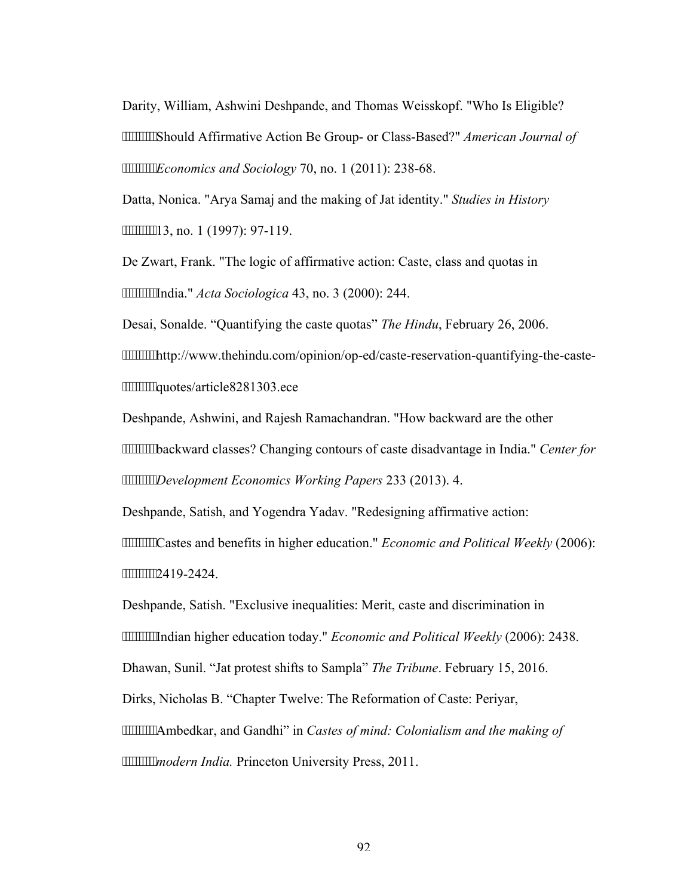Darity, William, Ashwini Deshpande, and Thomas Weisskopf. "Who Is Eligible? Should Affirmative Action Be Group- or Class-Based?" *American Journal of Economics and Sociology* 70, no. 1 (2011): 238-68.

Datta, Nonica. "Arya Samaj and the making of Jat identity." *Studies in History* 13, no. 1 (1997): 97-119.

De Zwart, Frank. "The logic of affirmative action: Caste, class and quotas in India." *Acta Sociologica* 43, no. 3 (2000): 244.

Desai, Sonalde. "Quantifying the caste quotas" *The Hindu*, February 26, 2006.

http://www.thehindu.com/opinion/op-ed/caste-reservation-quantifying-the-caste www.www.duotes/article8281303.ece

Deshpande, Ashwini, and Rajesh Ramachandran. "How backward are the other backward classes? Changing contours of caste disadvantage in India." *Center for Development Economics Working Papers* 233 (2013). 4.

Deshpande, Satish, and Yogendra Yadav. "Redesigning affirmative action:

Castes and benefits in higher education." *Economic and Political Weekly* (2006): """""""2419-2424.

Deshpande, Satish. "Exclusive inequalities: Merit, caste and discrimination in

Indian higher education today." *Economic and Political Weekly* (2006): 2438.

Dhawan, Sunil. "Jat protest shifts to Sampla" *The Tribune*. February 15, 2016.

Dirks, Nicholas B. "Chapter Twelve: The Reformation of Caste: Periyar,

Ambedkar, and Gandhi" in *Castes of mind: Colonialism and the making of* 

*mmmmmodern India.* Princeton University Press, 2011.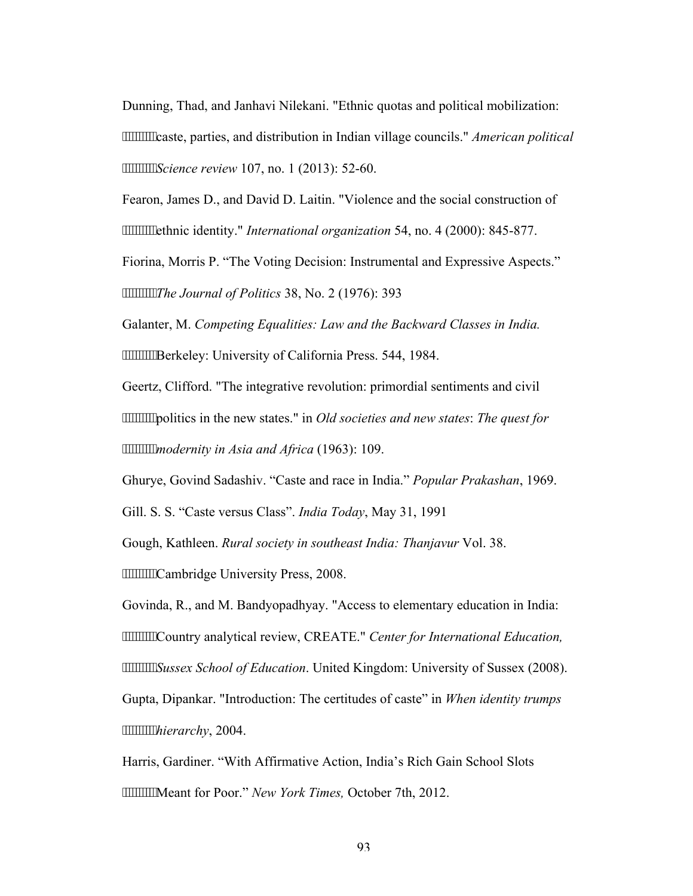Dunning, Thad, and Janhavi Nilekani. "Ethnic quotas and political mobilization: caste, parties, and distribution in Indian village councils." *American political Science review* 107, no. 1 (2013): 52-60.

Fearon, James D., and David D. Laitin. "Violence and the social construction of **""""""**" ethnic identity." *International organization* 54, no. 4 (2000): 845-877.

Fiorina, Morris P. "The Voting Decision: Instrumental and Expressive Aspects." *The Journal of Politics* 38, No. 2 (1976): 393

Galanter, M. *Competing Equalities: Law and the Backward Classes in India.* **""""""Berkeley:** University of California Press. 544, 1984.

Geertz, Clifford. "The integrative revolution: primordial sentiments and civil politics in the new states." in *Old societies and new states*: *The quest for modernity in Asia and Africa* (1963): 109.

Ghurye, Govind Sadashiv. "Caste and race in India." *Popular Prakashan*, 1969.

Gill. S. S. "Caste versus Class". *India Today*, May 31, 1991

Gough, Kathleen. *Rural society in southeast India: Thanjavur* Vol. 38.

**"""""""Cambridge University Press, 2008.** 

Govinda, R., and M. Bandyopadhyay. "Access to elementary education in India: Country analytical review, CREATE." *Center for International Education, Sussex School of Education*. United Kingdom: University of Sussex (2008). Gupta, Dipankar. "Introduction: The certitudes of caste" in *When identity trumps hierarchy*, 2004.

Harris, Gardiner. "With Affirmative Action, India's Rich Gain School Slots Meant for Poor." *New York Times,* October 7th, 2012.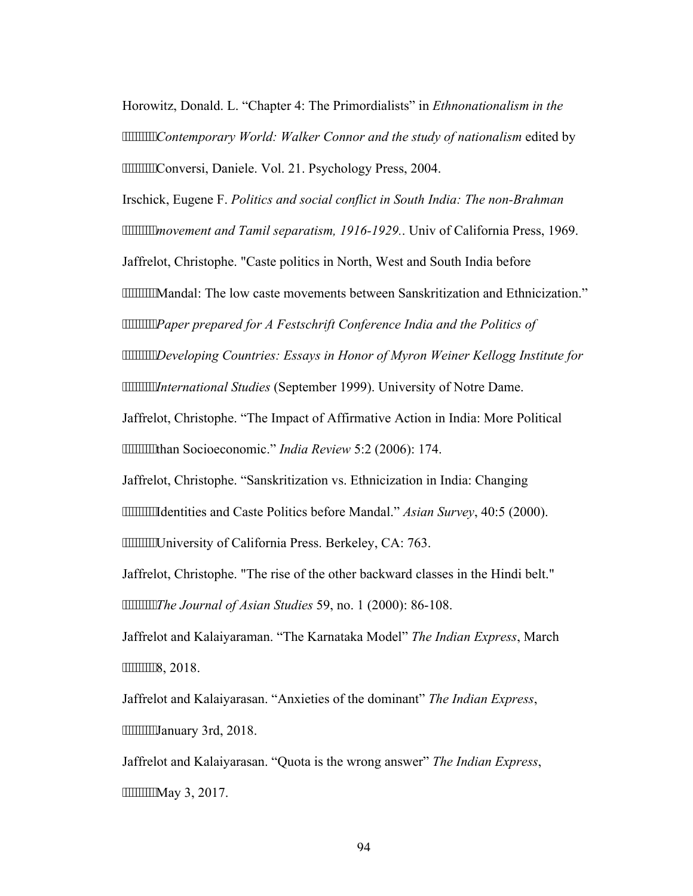Horowitz, Donald. L. "Chapter 4: The Primordialists" in *Ethnonationalism in the Contemporary World: Walker Connor and the study of nationalism* edited by **"""""""Conversi, Daniele. Vol. 21. Psychology Press, 2004.** 

Irschick, Eugene F. *Politics and social conflict in South India: The non-Brahman movement and Tamil separatism, 1916-1929.*. Univ of California Press, 1969. Jaffrelot, Christophe. "Caste politics in North, West and South India before Mandal: The low caste movements between Sanskritization and Ethnicization." *Paper prepared for A Festschrift Conference India and the Politics of* 

*Developing Countries: Essays in Honor of Myron Weiner Kellogg Institute for International Studies* (September 1999). University of Notre Dame.

Jaffrelot, Christophe. "The Impact of Affirmative Action in India: More Political than Socioeconomic." *India Review* 5:2 (2006): 174.

Jaffrelot, Christophe. "Sanskritization vs. Ethnicization in India: Changing

Identities and Caste Politics before Mandal." *Asian Survey*, 40:5 (2000).

**"""""""University of California Press. Berkeley, CA: 763.** 

Jaffrelot, Christophe. "The rise of the other backward classes in the Hindi belt." *The Journal of Asian Studies* 59, no. 1 (2000): 86-108.

Jaffrelot and Kalaiyaraman. "The Karnataka Model" *The Indian Express*, March """""""8, 2018.

Jaffrelot and Kalaiyarasan. "Anxieties of the dominant" *The Indian Express*, """"""""Hanuary 3rd, 2018.

Jaffrelot and Kalaiyarasan. "Quota is the wrong answer" *The Indian Express*, """""""May 3, 2017.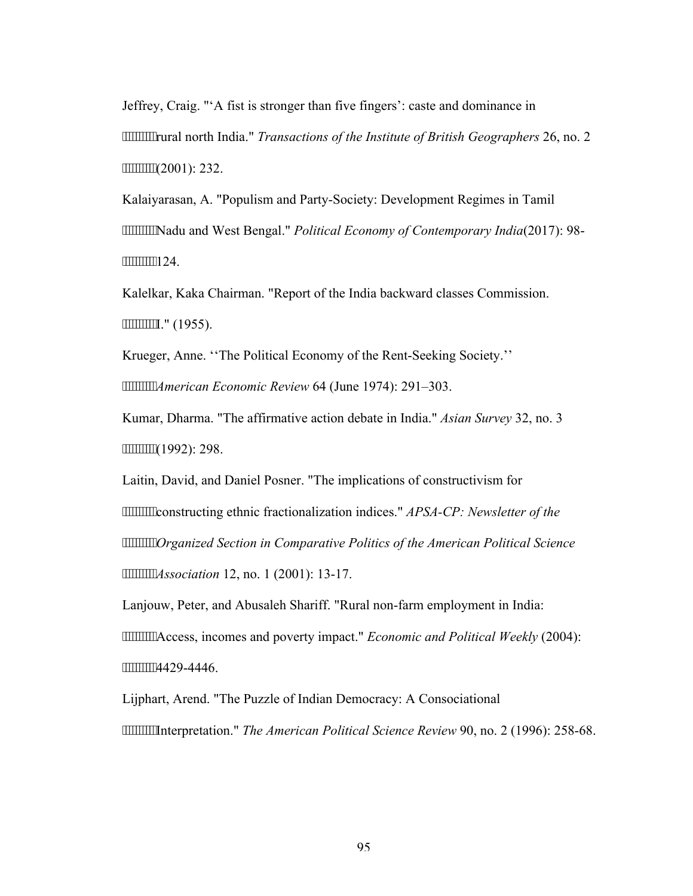Jeffrey, Craig. "'A fist is stronger than five fingers': caste and dominance in rural north India." *Transactions of the Institute of British Geographers* 26, no. 2 (2001): 232.

Kalaiyarasan, A. "Populism and Party-Society: Development Regimes in Tamil Nadu and West Bengal." *Political Economy of Contemporary India*(2017): 98- """"""""124.

Kalelkar, Kaka Chairman. "Report of the India backward classes Commission. """""""I." (1955).

Krueger, Anne. ''The Political Economy of the Rent-Seeking Society.'' *American Economic Review* 64 (June 1974): 291–303.

Kumar, Dharma. "The affirmative action debate in India." *Asian Survey* 32, no. 3 """""""(1992): 298.

Laitin, David, and Daniel Posner. "The implications of constructivism for constructing ethnic fractionalization indices." *APSA-CP: Newsletter of the Organized Section in Comparative Politics of the American Political Science Association* 12, no. 1 (2001): 13-17.

Lanjouw, Peter, and Abusaleh Shariff. "Rural non-farm employment in India: Access, incomes and poverty impact." *Economic and Political Weekly* (2004): """""""4429-4446.

Lijphart, Arend. "The Puzzle of Indian Democracy: A Consociational Interpretation." *The American Political Science Review* 90, no. 2 (1996): 258-68.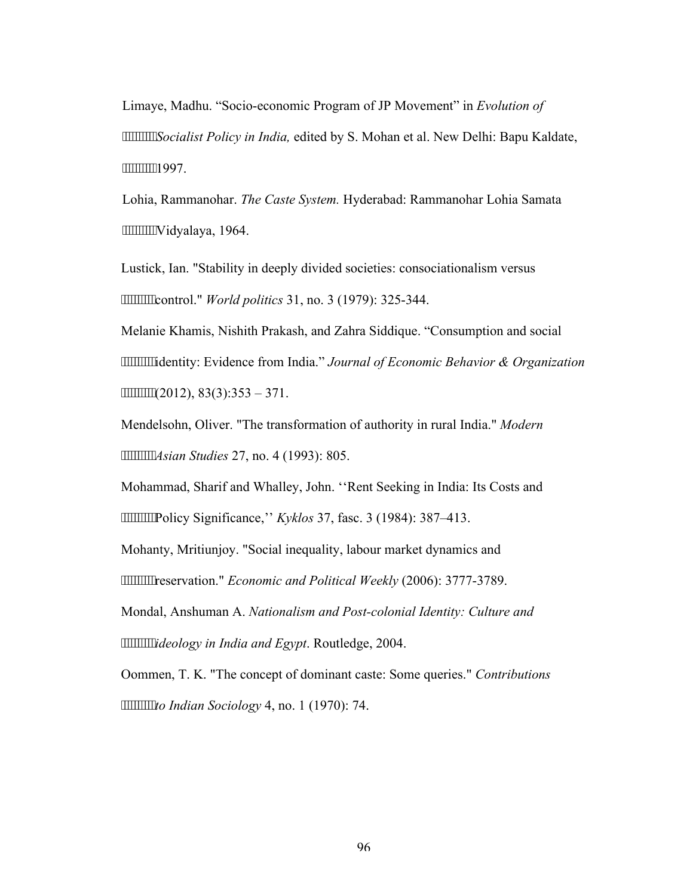Limaye, Madhu. "Socio-economic Program of JP Movement" in *Evolution of Socialist Policy in India,* edited by S. Mohan et al. New Delhi: Bapu Kaldate, """"""""1997.

Lohia, Rammanohar. *The Caste System.* Hyderabad: Rammanohar Lohia Samata Vidyalaya, 1964.

Lustick, Ian. "Stability in deeply divided societies: consociationalism versus control." *World politics* 31, no. 3 (1979): 325-344.

Melanie Khamis, Nishith Prakash, and Zahra Siddique. "Consumption and social identity: Evidence from India." *Journal of Economic Behavior & Organization*   $""""""""$ (2012), 83(3):353 – 371.

Mendelsohn, Oliver. "The transformation of authority in rural India." *Modern Asian Studies* 27, no. 4 (1993): 805.

Mohammad, Sharif and Whalley, John. ''Rent Seeking in India: Its Costs and Policy Significance,'' *Kyklos* 37, fasc. 3 (1984): 387–413.

Mohanty, Mritiunjoy. "Social inequality, labour market dynamics and reservation." *Economic and Political Weekly* (2006): 3777-3789.

Mondal, Anshuman A. *Nationalism and Post-colonial Identity: Culture and ideology in India and Egypt*. Routledge, 2004.

Oommen, T. K. "The concept of dominant caste: Some queries." *Contributions to Indian Sociology* 4, no. 1 (1970): 74.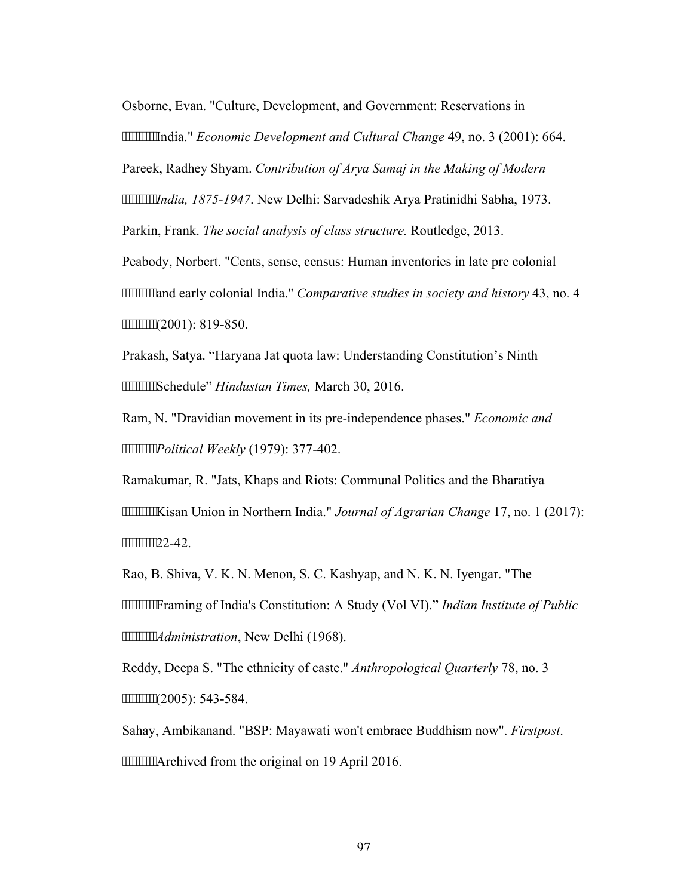Osborne, Evan. "Culture, Development, and Government: Reservations in India." *Economic Development and Cultural Change* 49, no. 3 (2001): 664. Pareek, Radhey Shyam. *Contribution of Arya Samaj in the Making of Modern India, 1875-1947*. New Delhi: Sarvadeshik Arya Pratinidhi Sabha, 1973. Parkin, Frank. *The social analysis of class structure.* Routledge, 2013. Peabody, Norbert. "Cents, sense, census: Human inventories in late pre colonial **""""""and early colonial India."** *Comparative studies in society and history* 43, no. 4 """"""""(2001): 819-850.

Prakash, Satya. "Haryana Jat quota law: Understanding Constitution's Ninth Schedule" *Hindustan Times,* March 30, 2016.

Ram, N. "Dravidian movement in its pre-independence phases." *Economic and Political Weekly* (1979): 377-402.

Ramakumar, R. "Jats, Khaps and Riots: Communal Politics and the Bharatiya Kisan Union in Northern India." *Journal of Agrarian Change* 17, no. 1 (2017): """"""122-42.

Rao, B. Shiva, V. K. N. Menon, S. C. Kashyap, and N. K. N. Iyengar. "The Framing of India's Constitution: A Study (Vol VI)." *Indian Institute of Public Administration*, New Delhi (1968).

Reddy, Deepa S. "The ethnicity of caste." *Anthropological Quarterly* 78, no. 3 (2005): 543-584.

Sahay, Ambikanand. "BSP: Mayawati won't embrace Buddhism now". *Firstpost*. **"""""""Archived from the original on 19 April 2016.**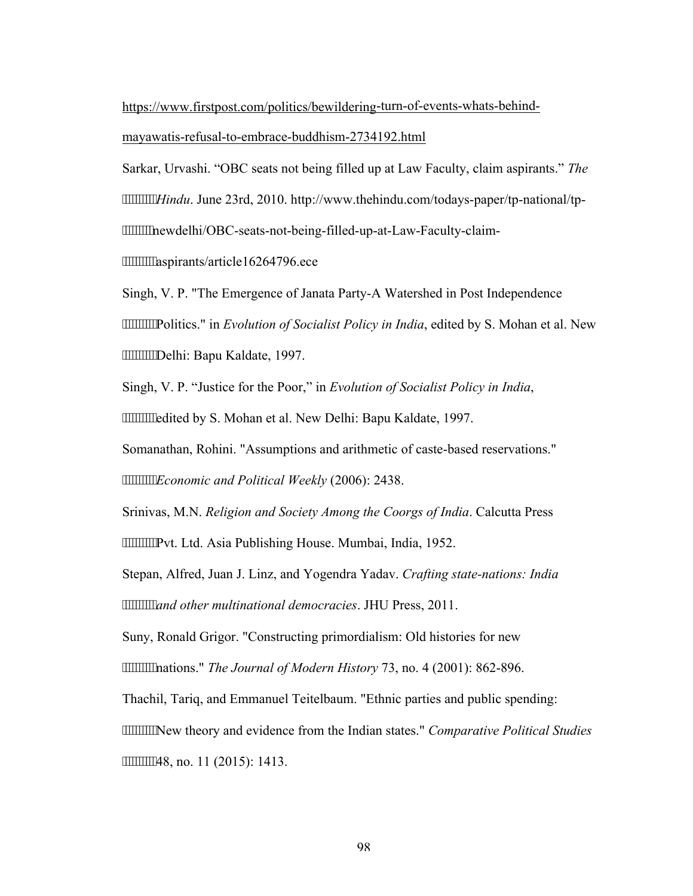https://www.firstpost.com/politics/bewildering-turn-of-events-whats-behind-

#### mayawatis-refusal-to-embrace-buddhism-2734192.html

Sarkar, Urvashi. "OBC seats not being filled up at Law Faculty, claim aspirants." *The Hindu*. June 23rd, 2010. http://www.thehindu.com/todays-paper/tp-national/tp newdelhi/OBC-seats-not-being-filled-up-at-Law-Faculty-claim-

aspirants/article16264796.ece

Singh, V. P. "The Emergence of Janata Party-A Watershed in Post Independence Politics." in *Evolution of Socialist Policy in India*, edited by S. Mohan et al. New Delhi: Bapu Kaldate, 1997.

Singh, V. P. "Justice for the Poor," in *Evolution of Socialist Policy in India*, **"""""""**edited by S. Mohan et al. New Delhi: Bapu Kaldate, 1997.

Somanathan, Rohini. "Assumptions and arithmetic of caste-based reservations."

*Economic and Political Weekly* (2006): 2438.

Srinivas, M.N. *Religion and Society Among the Coorgs of India*. Calcutta Press **""""""Pvt. Ltd. Asia Publishing House. Mumbai, India, 1952.** 

Stepan, Alfred, Juan J. Linz, and Yogendra Yadav. *Crafting state-nations: India and other multinational democracies*. JHU Press, 2011.

Suny, Ronald Grigor. "Constructing primordialism: Old histories for new nations." *The Journal of Modern History* 73, no. 4 (2001): 862-896.

Thachil, Tariq, and Emmanuel Teitelbaum. "Ethnic parties and public spending:

New theory and evidence from the Indian states." *Comparative Political Studies* 48, no. 11 (2015): 1413.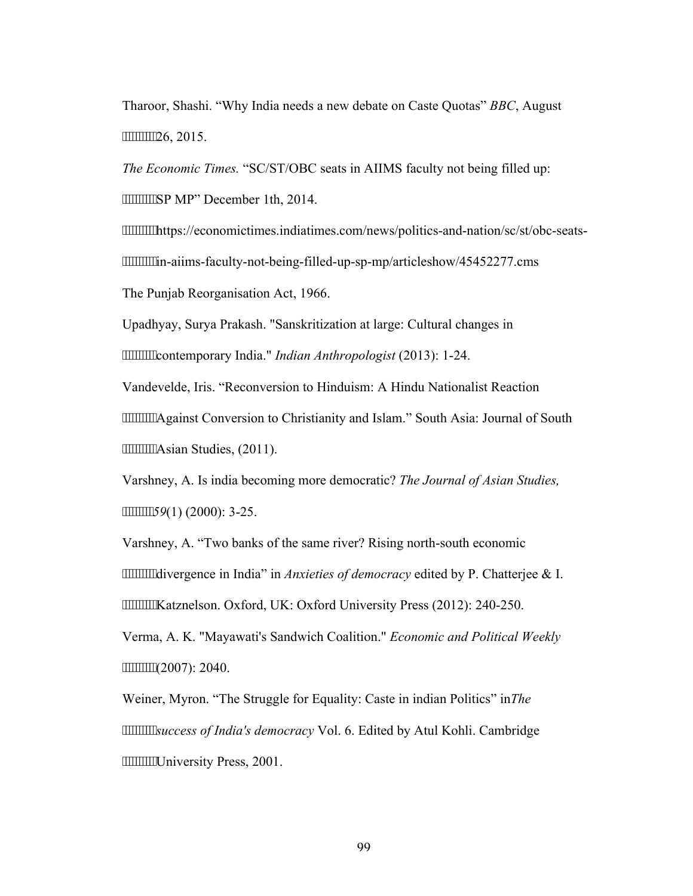Tharoor, Shashi. "Why India needs a new debate on Caste Quotas" *BBC*, August """"""26, 2015.

*The Economic Times.* "SC/ST/OBC seats in AIIMS faculty not being filled up: **"""""""SP MP"** December 1th, 2014.

https://economictimes.indiatimes.com/news/politics-and-nation/sc/st/obc-seats in-aiims-faculty-not-being-filled-up-sp-mp/articleshow/45452277.cms The Punjab Reorganisation Act, 1966.

Upadhyay, Surya Prakash. "Sanskritization at large: Cultural changes in contemporary India." *Indian Anthropologist* (2013): 1-24.

Vandevelde, Iris. "Reconversion to Hinduism: A Hindu Nationalist Reaction Against Conversion to Christianity and Islam." South Asia: Journal of South **""""""""Asian Studies, (2011).** 

Varshney, A. Is india becoming more democratic? *The Journal of Asian Studies, 59*(1) (2000): 3-25.

Varshney, A. "Two banks of the same river? Rising north-south economic divergence in India" in *Anxieties of democracy* edited by P. Chatterjee & I. **""""""Katznelson. Oxford, UK: Oxford University Press (2012): 240-250.** 

Verma, A. K. "Mayawati's Sandwich Coalition." *Economic and Political Weekly* """""""(2007): 2040.

Weiner, Myron. "The Struggle for Equality: Caste in indian Politics" in*The success of India's democracy* Vol. 6. Edited by Atul Kohli. Cambridge **""""""""University Press, 2001.**